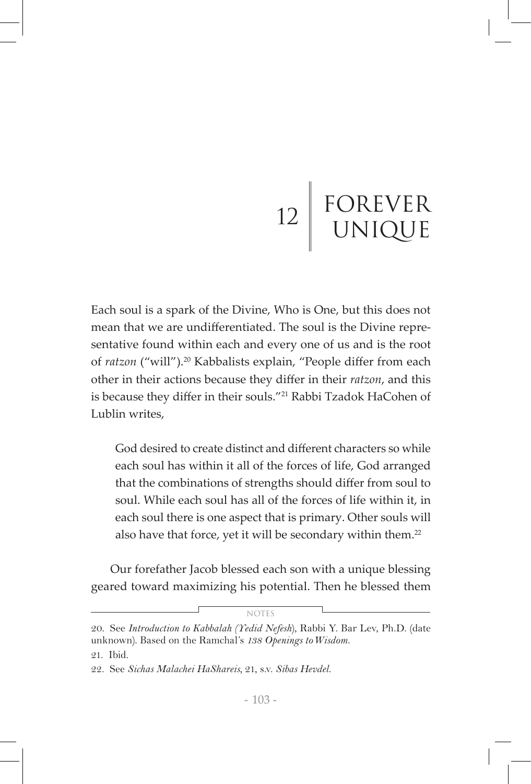# Forever  $\frac{12}{\text{UNIQUE}}$

Each soul is a spark of the Divine, Who is One, but this does not mean that we are undifferentiated. The soul is the Divine representative found within each and every one of us and is the root of *ratzon* ("will").<sup>20</sup> Kabbalists explain, "People differ from each other in their actions because they differ in their *ratzon*, and this is because they differ in their souls."21 Rabbi Tzadok HaCohen of Lublin writes,

God desired to create distinct and different characters so while each soul has within it all of the forces of life, God arranged that the combinations of strengths should differ from soul to soul. While each soul has all of the forces of life within it, in each soul there is one aspect that is primary. Other souls will also have that force, yet it will be secondary within them.<sup>22</sup>

Our forefather Jacob blessed each son with a unique blessing geared toward maximizing his potential. Then he blessed them

notes

21. Ibid.

<sup>20.</sup> See *Introduction to Kabbalah (Yedid Nefesh*), Rabbi Y. Bar Lev, Ph.D. (date unknown). Based on the Ramchal's *138 Openings to Wisdom*.

<sup>22.</sup> See *Sichas Malachei HaShareis,* 21, s.v. *Sibas Hevdel*.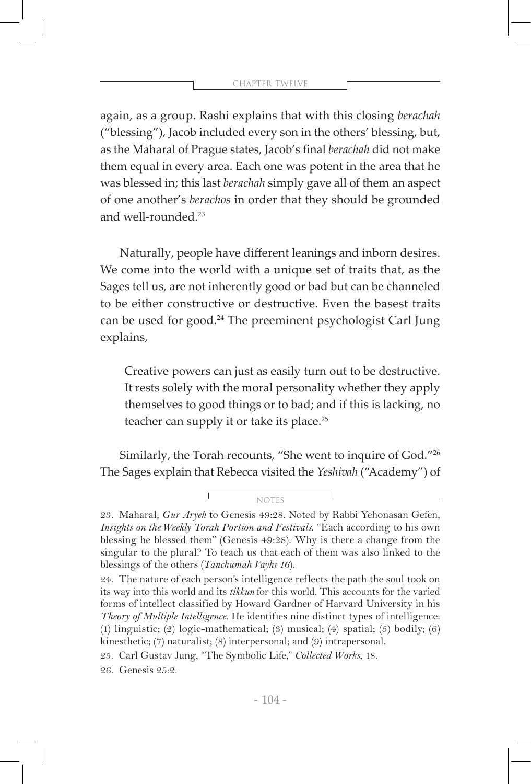#### chapter twelve

again, as a group. Rashi explains that with this closing *berachah* ("blessing"), Jacob included every son in the others' blessing, but, as the Maharal of Prague states, Jacob's final *berachah* did not make them equal in every area. Each one was potent in the area that he was blessed in; this last *berachah* simply gave all of them an aspect of one another's *berachos* in order that they should be grounded and well-rounded.<sup>23</sup>

Naturally, people have different leanings and inborn desires. We come into the world with a unique set of traits that, as the Sages tell us, are not inherently good or bad but can be channeled to be either constructive or destructive. Even the basest traits can be used for good.<sup>24</sup> The preeminent psychologist Carl Jung explains,

Creative powers can just as easily turn out to be destructive. It rests solely with the moral personality whether they apply themselves to good things or to bad; and if this is lacking, no teacher can supply it or take its place.<sup>25</sup>

Similarly, the Torah recounts, "She went to inquire of God."<sup>26</sup> The Sages explain that Rebecca visited the *Yeshivah* ("Academy") of

#### notes

26. Genesis 25:2.

<sup>23.</sup> Maharal, *Gur Aryeh* to Genesis 49:28. Noted by Rabbi Yehonasan Gefen, *Insights on the Weekly Torah Portion and Festivals*. "Each according to his own blessing he blessed them" (Genesis 49:28). Why is there a change from the singular to the plural? To teach us that each of them was also linked to the blessings of the others (*Tanchumah Vayhi 16*).

<sup>24.</sup> The nature of each person's intelligence reflects the path the soul took on its way into this world and its *tikkun* for this world. This accounts for the varied forms of intellect classified by Howard Gardner of Harvard University in his *Theory of Multiple Intelligence*. He identifies nine distinct types of intelligence: (1) linguistic; (2) logic-mathematical; (3) musical; (4) spatial; (5) bodily; (6) kinesthetic; (7) naturalist; (8) interpersonal; and (9) intrapersonal.

<sup>25.</sup> Carl Gustav Jung, "The Symbolic Life," *Collected Works*, 18.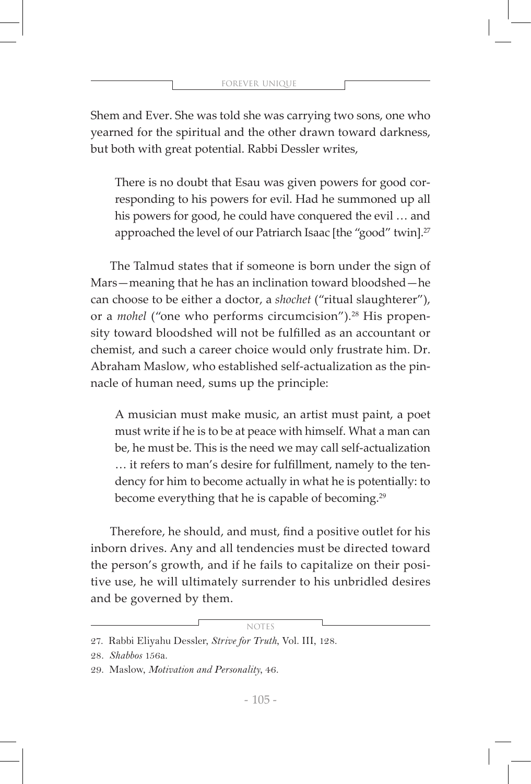Shem and Ever. She was told she was carrying two sons, one who yearned for the spiritual and the other drawn toward darkness, but both with great potential. Rabbi Dessler writes,

There is no doubt that Esau was given powers for good corresponding to his powers for evil. Had he summoned up all his powers for good, he could have conquered the evil … and approached the level of our Patriarch Isaac [the "good" twin].<sup>27</sup>

The Talmud states that if someone is born under the sign of Mars—meaning that he has an inclination toward bloodshed—he can choose to be either a doctor, a *shochet* ("ritual slaughterer"), or a *mohel* ("one who performs circumcision")*.* 28 His propensity toward bloodshed will not be fulfilled as an accountant or chemist, and such a career choice would only frustrate him. Dr. Abraham Maslow, who established self-actualization as the pinnacle of human need, sums up the principle:

A musician must make music, an artist must paint, a poet must write if he is to be at peace with himself. What a man can be, he must be. This is the need we may call self-actualization … it refers to man's desire for fulfillment, namely to the tendency for him to become actually in what he is potentially: to become everything that he is capable of becoming.<sup>29</sup>

Therefore, he should, and must, find a positive outlet for his inborn drives. Any and all tendencies must be directed toward the person's growth, and if he fails to capitalize on their positive use, he will ultimately surrender to his unbridled desires and be governed by them.

<sup>27.</sup> Rabbi Eliyahu Dessler, *Strive for Truth*, Vol. III, 128.

<sup>28.</sup> *Shabbos* 156a.

<sup>29.</sup> Maslow, *Motivation and Personality*, 46.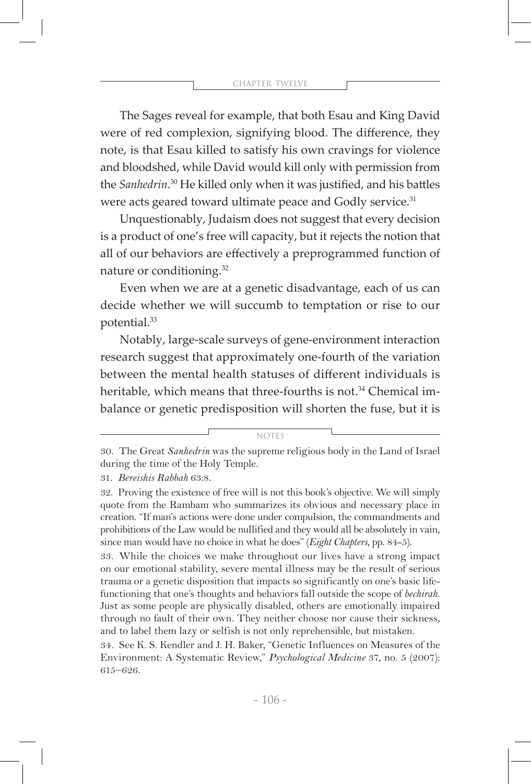The Sages reveal for example, that both Esau and King David were of red complexion, signifying blood. The difference, they note, is that Esau killed to satisfy his own cravings for violence and bloodshed, while David would kill only with permission from the *Sanhedrin*. <sup>30</sup> He killed only when it was justified, and his battles were acts geared toward ultimate peace and Godly service.<sup>31</sup>

Unquestionably, Judaism does not suggest that every decision is a product of one's free will capacity, but it rejects the notion that all of our behaviors are effectively a preprogrammed function of nature or conditioning.32

Even when we are at a genetic disadvantage, each of us can decide whether we will succumb to temptation or rise to our potential.33

Notably, large-scale surveys of gene-environment interaction research suggest that approximately one-fourth of the variation between the mental health statuses of different individuals is heritable, which means that three-fourths is not.<sup>34</sup> Chemical imbalance or genetic predisposition will shorten the fuse, but it is

#### NOTES

33. While the choices we make throughout our lives have a strong impact on our emotional stability, severe mental illness may be the result of serious trauma or a genetic disposition that impacts so significantly on one's basic lifefunctioning that one's thoughts and behaviors fall outside the scope of *bechirah*. Just as some people are physically disabled, others are emotionally impaired through no fault of their own. They neither choose nor cause their sickness, and to label them lazy or selfish is not only reprehensible, but mistaken.

34. See K. S. Kendler and J. H. Baker, "Genetic Influences on Measures of the Environment: A Systematic Review," *Psychological Medicine* 37, no. 5 (2007): 615–626.

<sup>30.</sup> The Great *Sanhedrin* was the supreme religious body in the Land of Israel during the time of the Holy Temple.

<sup>31.</sup> *Bereishis Rabbah* 63:8.

<sup>32.</sup> Proving the existence of free will is not this book's objective. We will simply quote from the Rambam who summarizes its obvious and necessary place in creation. "If man's actions were done under compulsion, the commandments and prohibitions of the Law would be nullified and they would all be absolutely in vain, since man would have no choice in what he does" (*Eight Chapters*, pp. 84-5).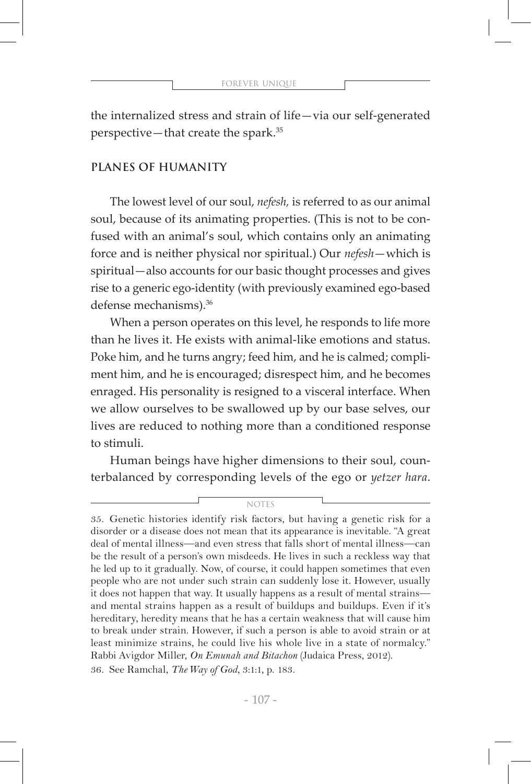|  | FOREVER UNIQUE |
|--|----------------|
|  |                |

the internalized stress and strain of life—via our self-generated perspective—that create the spark.<sup>35</sup>

## **PLANES OF HUMANITY**

The lowest level of our soul, *nefesh,* is referred to as our animal soul, because of its animating properties. (This is not to be confused with an animal's soul, which contains only an animating force and is neither physical nor spiritual.) Our *nefesh*—which is spiritual—also accounts for our basic thought processes and gives rise to a generic ego-identity (with previously examined ego-based defense mechanisms).36

When a person operates on this level, he responds to life more than he lives it. He exists with animal-like emotions and status. Poke him, and he turns angry; feed him, and he is calmed; compliment him, and he is encouraged; disrespect him, and he becomes enraged. His personality is resigned to a visceral interface. When we allow ourselves to be swallowed up by our base selves, our lives are reduced to nothing more than a conditioned response to stimuli.

Human beings have higher dimensions to their soul, counterbalanced by corresponding levels of the ego or *yetzer hara*.

notes

35. Genetic histories identify risk factors, but having a genetic risk for a disorder or a disease does not mean that its appearance is inevitable. "A great deal of mental illness—and even stress that falls short of mental illness—can be the result of a person's own misdeeds. He lives in such a reckless way that he led up to it gradually. Now, of course, it could happen sometimes that even people who are not under such strain can suddenly lose it. However, usually it does not happen that way. It usually happens as a result of mental strains and mental strains happen as a result of buildups and buildups. Even if it's hereditary, heredity means that he has a certain weakness that will cause him to break under strain. However, if such a person is able to avoid strain or at least minimize strains, he could live his whole live in a state of normalcy." Rabbi Avigdor Miller, *On Emunah and Bitachon* (Judaica Press, 2012). 36. See Ramchal, *The Way of God*, 3:1:1, p. 183.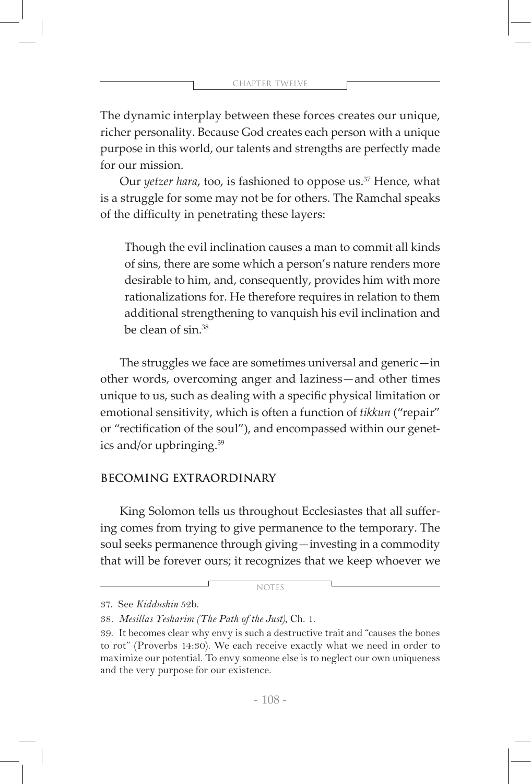The dynamic interplay between these forces creates our unique, richer personality. Because God creates each person with a unique purpose in this world, our talents and strengths are perfectly made for our mission.

Our *yetzer hara*, too, is fashioned to oppose us.<sup>37</sup> Hence, what is a struggle for some may not be for others. The Ramchal speaks of the difficulty in penetrating these layers:

Though the evil inclination causes a man to commit all kinds of sins, there are some which a person's nature renders more desirable to him, and, consequently, provides him with more rationalizations for. He therefore requires in relation to them additional strengthening to vanquish his evil inclination and be clean of sin.<sup>38</sup>

The struggles we face are sometimes universal and generic—in other words, overcoming anger and laziness—and other times unique to us, such as dealing with a specific physical limitation or emotional sensitivity, which is often a function of *tikkun* ("repair" or "rectification of the soul"), and encompassed within our genetics and/or upbringing.39

## **BECOMING EXTRAORdINARY**

King Solomon tells us throughout Ecclesiastes that all suffering comes from trying to give permanence to the temporary. The soul seeks permanence through giving—investing in a commodity that will be forever ours; it recognizes that we keep whoever we

notes

<sup>37.</sup> See *Kiddushin* 52b.

<sup>38.</sup> *Mesillas Yesharim (The Path of the Just)*, Ch. 1.

<sup>39.</sup> It becomes clear why envy is such a destructive trait and "causes the bones to rot" (Proverbs 14:30). We each receive exactly what we need in order to maximize our potential. To envy someone else is to neglect our own uniqueness and the very purpose for our existence.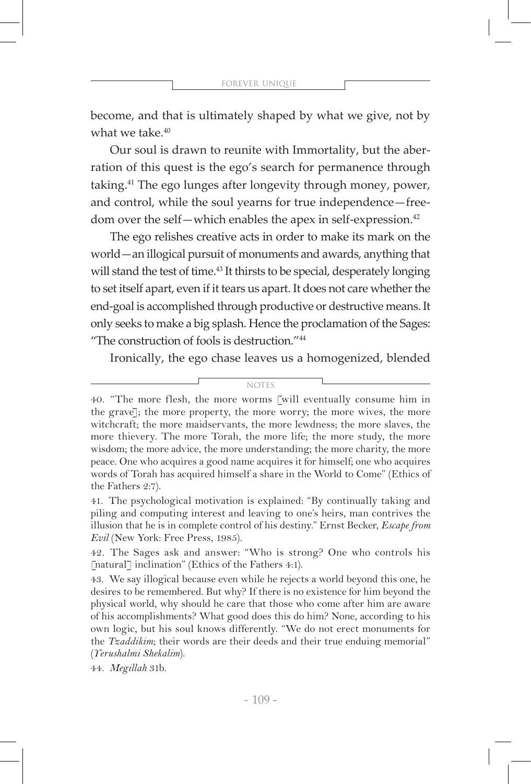become, and that is ultimately shaped by what we give, not by what we take. $40$ 

Our soul is drawn to reunite with Immortality, but the aberration of this quest is the ego's search for permanence through taking.41 The ego lunges after longevity through money, power, and control, while the soul yearns for true independence—freedom over the self-which enables the apex in self-expression.<sup>42</sup>

The ego relishes creative acts in order to make its mark on the world—an illogical pursuit of monuments and awards, anything that will stand the test of time.<sup>43</sup> It thirsts to be special, desperately longing to set itself apart, even if it tears us apart. It does not care whether the end-goal is accomplished through productive or destructive means. It only seeks to make a big splash. Hence the proclamation of the Sages: "The construction of fools is destruction."44

Ironically, the ego chase leaves us a homogenized, blended

#### notes

40. "The more flesh, the more worms [will eventually consume him in the grave]; the more property, the more worry; the more wives, the more witchcraft; the more maidservants, the more lewdness; the more slaves, the more thievery. The more Torah, the more life; the more study, the more wisdom; the more advice, the more understanding; the more charity, the more peace. One who acquires a good name acquires it for himself; one who acquires words of Torah has acquired himself a share in the World to Come" (Ethics of the Fathers 2:7).

41. The psychological motivation is explained: "By continually taking and piling and computing interest and leaving to one's heirs, man contrives the illusion that he is in complete control of his destiny." Ernst Becker, *Escape from Evil* (New York: Free Press, 1985).

44. *Megillah* 31b.

<sup>42.</sup> The Sages ask and answer: "Who is strong? One who controls his [natural] inclination" (Ethics of the Fathers 4:1).

<sup>43.</sup> We say illogical because even while he rejects a world beyond this one, he desires to be remembered. But why? If there is no existence for him beyond the physical world, why should he care that those who come after him are aware of his accomplishments? What good does this do him? None, according to his own logic, but his soul knows differently. "We do not erect monuments for the *Tzaddikim*; their words are their deeds and their true enduing memorial" (*Yerushalmi Shekalim*).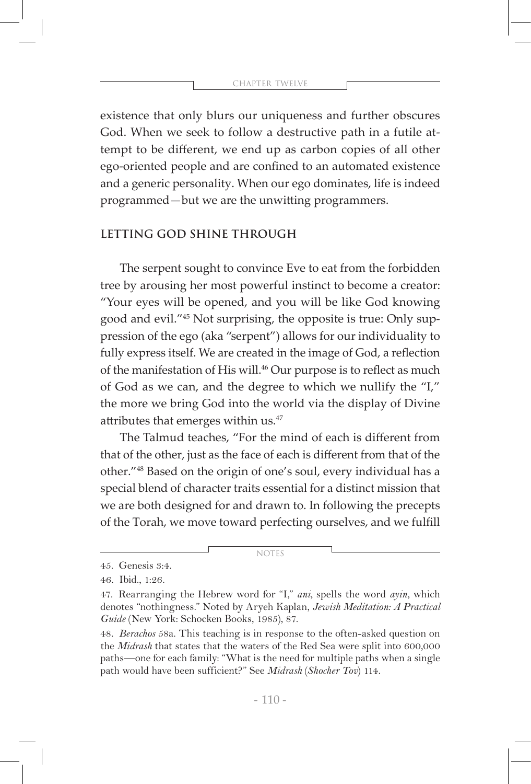existence that only blurs our uniqueness and further obscures God. When we seek to follow a destructive path in a futile attempt to be different, we end up as carbon copies of all other ego-oriented people and are confined to an automated existence and a generic personality. When our ego dominates, life is indeed programmed—but we are the unwitting programmers.

## **LETTING GOD SHINE THROUGH**

The serpent sought to convince Eve to eat from the forbidden tree by arousing her most powerful instinct to become a creator: "Your eyes will be opened, and you will be like God knowing good and evil."45 Not surprising, the opposite is true: Only suppression of the ego (aka "serpent") allows for our individuality to fully express itself. We are created in the image of God, a reflection of the manifestation of His will.46 Our purpose is to reflect as much of God as we can, and the degree to which we nullify the "I," the more we bring God into the world via the display of Divine attributes that emerges within us.<sup>47</sup>

The Talmud teaches, "For the mind of each is different from that of the other, just as the face of each is different from that of the other."48 Based on the origin of one's soul, every individual has a special blend of character traits essential for a distinct mission that we are both designed for and drawn to. In following the precepts of the Torah, we move toward perfecting ourselves, and we fulfill

<sup>45.</sup> Genesis 3:4.

<sup>46.</sup> Ibid., 1:26.

<sup>47.</sup> Rearranging the Hebrew word for "I," *ani,* spells the word *ayin*, which denotes "nothingness." Noted by Aryeh Kaplan, *Jewish Meditation: A Practical Guide* (New York: Schocken Books, 1985), 87.

<sup>48.</sup> *Berachos* 58a. This teaching is in response to the often-asked question on the *Midrash* that states that the waters of the Red Sea were split into 600,000 paths—one for each family: "What is the need for multiple paths when a single path would have been sufficient?" See *Midrash* (*Shocher Tov*) 114.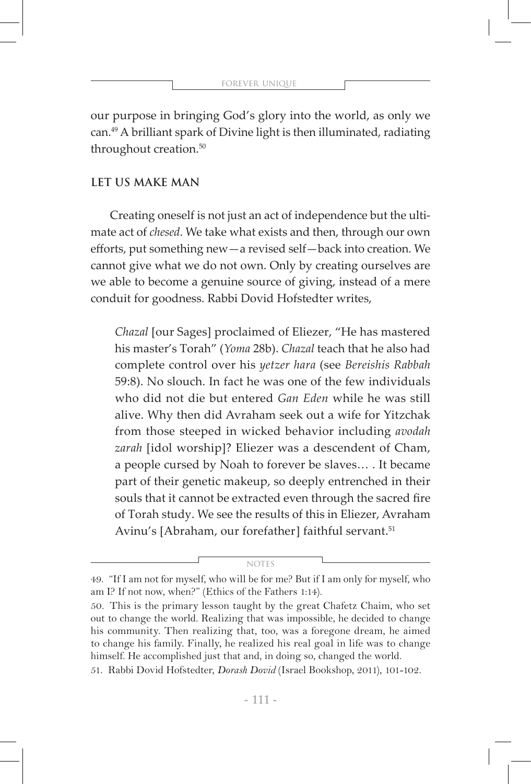| FOREVER UNIQUE |  |
|----------------|--|
|                |  |

our purpose in bringing God's glory into the world, as only we can.49 A brilliant spark of Divine light is then illuminated, radiating throughout creation.<sup>50</sup>

## **LET US MAKE MAN**

Creating oneself is not just an act of independence but the ultimate act of *chesed*. We take what exists and then, through our own efforts, put something new—a revised self—back into creation. We cannot give what we do not own. Only by creating ourselves are we able to become a genuine source of giving, instead of a mere conduit for goodness. Rabbi Dovid Hofstedter writes,

*Chazal* [our Sages] proclaimed of Eliezer, "He has mastered his master's Torah" (*Yoma* 28b). *Chazal* teach that he also had complete control over his *yetzer hara* (see *Bereishis Rabbah* 59:8). No slouch. In fact he was one of the few individuals who did not die but entered *Gan Eden* while he was still alive. Why then did Avraham seek out a wife for Yitzchak from those steeped in wicked behavior including *avodah*  zarah [idol worship]? Eliezer was a descendent of Cham, a people cursed by Noah to forever be slaves… . It became part of their genetic makeup, so deeply entrenched in their souls that it cannot be extracted even through the sacred fire of Torah study. We see the results of this in Eliezer, Avraham Avinu's [Abraham, our forefather] faithful servant.<sup>51</sup>

notes

<sup>49.</sup> "If I am not for myself, who will be for me? But if I am only for myself, who am I? If not now, when?" (Ethics of the Fathers 1:14).

<sup>50.</sup> This is the primary lesson taught by the great Chafetz Chaim, who set out to change the world. Realizing that was impossible, he decided to change his community. Then realizing that, too, was a foregone dream, he aimed to change his family. Finally, he realized his real goal in life was to change himself. He accomplished just that and, in doing so, changed the world.

<sup>51.</sup> Rabbi Dovid Hofstedter, *Dorash Dovid* (Israel Bookshop, 2011), 101-102.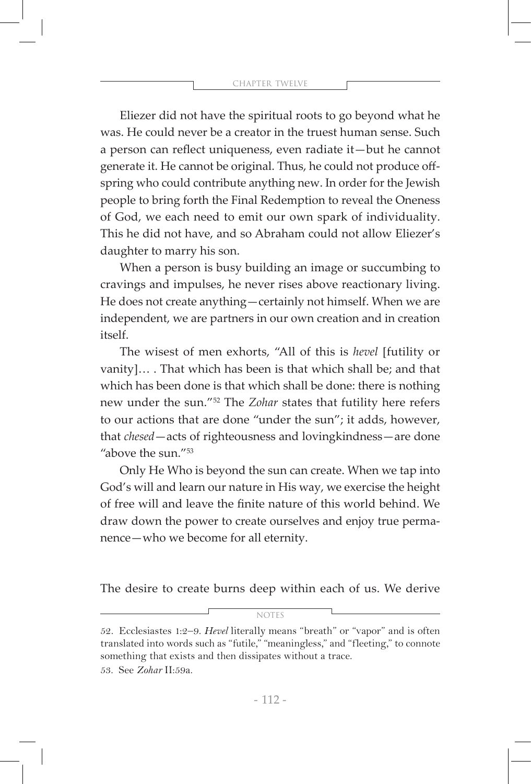Eliezer did not have the spiritual roots to go beyond what he was. He could never be a creator in the truest human sense. Such a person can reflect uniqueness, even radiate it—but he cannot generate it. He cannot be original. Thus, he could not produce offspring who could contribute anything new. In order for the Jewish people to bring forth the Final Redemption to reveal the Oneness of God, we each need to emit our own spark of individuality. This he did not have, and so Abraham could not allow Eliezer's daughter to marry his son.

When a person is busy building an image or succumbing to cravings and impulses, he never rises above reactionary living. He does not create anything—certainly not himself. When we are independent, we are partners in our own creation and in creation itself.

The wisest of men exhorts, "All of this is *hevel* [futility or vanity]… . That which has been is that which shall be; and that which has been done is that which shall be done: there is nothing new under the sun."52 The *Zohar* states that futility here refers to our actions that are done "under the sun"; it adds, however, that *chesed*—acts of righteousness and lovingkindness—are done "above the sun."<sup>53</sup>

Only He Who is beyond the sun can create. When we tap into God's will and learn our nature in His way, we exercise the height of free will and leave the finite nature of this world behind. We draw down the power to create ourselves and enjoy true permanence—who we become for all eternity.

The desire to create burns deep within each of us. We derive

<sup>52.</sup> Ecclesiastes 1:2–9. *Hevel* literally means "breath" or "vapor" and is often translated into words such as "futile," "meaningless," and "fleeting," to connote something that exists and then dissipates without a trace. 53. See *Zohar* II:59a.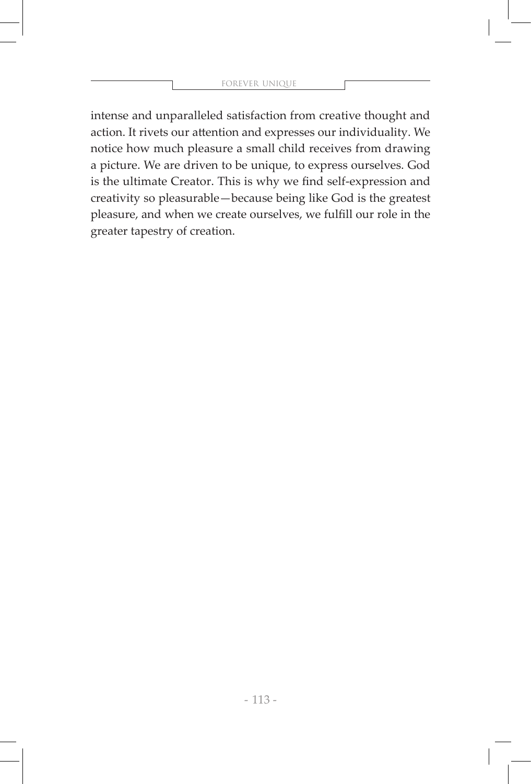forever unique

intense and unparalleled satisfaction from creative thought and action. It rivets our attention and expresses our individuality. We notice how much pleasure a small child receives from drawing a picture. We are driven to be unique, to express ourselves. God is the ultimate Creator. This is why we find self-expression and creativity so pleasurable—because being like God is the greatest pleasure, and when we create ourselves, we fulfill our role in the greater tapestry of creation.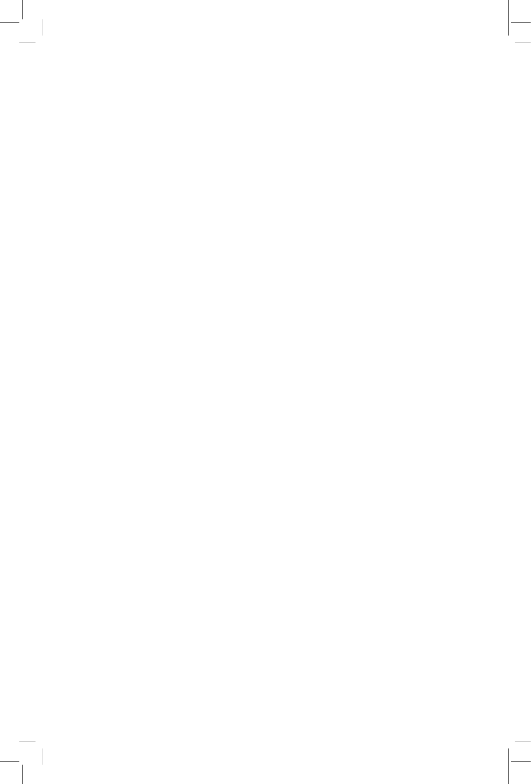$\begin{array}{ccc} \begin{array}{ccc} \end{array} & \begin{array}{ccc} \end{array} & \end{array}$  $\frac{1}{\sqrt{2}}$ 

Ξ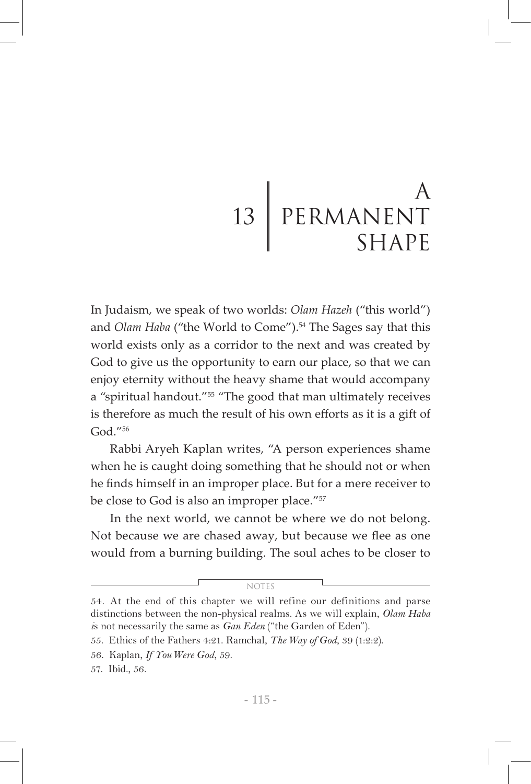## A permanent SHAPE 13

In Judaism, we speak of two worlds: *Olam Hazeh* ("this world") and *Olam Haba* ("the World to Come").<sup>54</sup> The Sages say that this world exists only as a corridor to the next and was created by God to give us the opportunity to earn our place, so that we can enjoy eternity without the heavy shame that would accompany a "spiritual handout."55 "The good that man ultimately receives is therefore as much the result of his own efforts as it is a gift of God."56

Rabbi Aryeh Kaplan writes, "A person experiences shame when he is caught doing something that he should not or when he finds himself in an improper place. But for a mere receiver to be close to God is also an improper place."57

In the next world, we cannot be where we do not belong. Not because we are chased away, but because we flee as one would from a burning building. The soul aches to be closer to

<sup>54.</sup> At the end of this chapter we will refine our definitions and parse distinctions between the non-physical realms. As we will explain, *Olam Haba i*s not necessarily the same as *Gan Eden* ("the Garden of Eden").

<sup>55.</sup> Ethics of the Fathers 4:21. Ramchal, *The Way of God*, 39 (1:2:2).

<sup>56.</sup> Kaplan, *If You Were God*, 59.

<sup>57.</sup> Ibid., 56.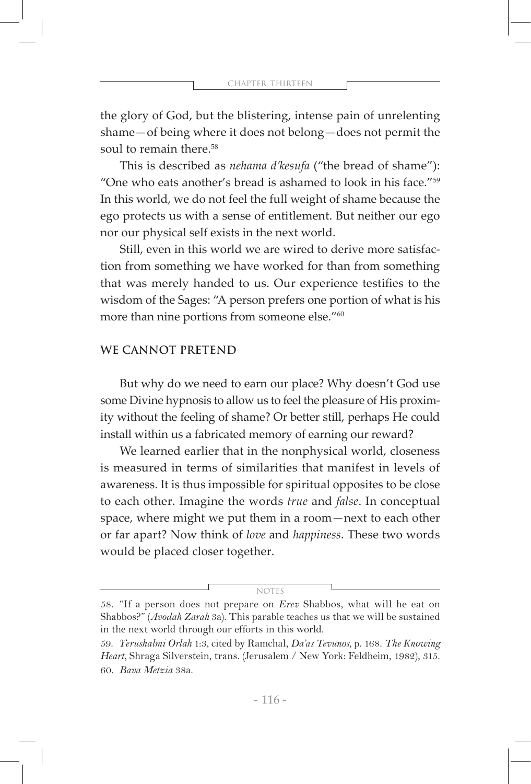the glory of God, but the blistering, intense pain of unrelenting shame—of being where it does not belong—does not permit the soul to remain there.<sup>58</sup>

This is described as *nehama d'kesufa* ("the bread of shame"): "One who eats another's bread is ashamed to look in his face."59 In this world, we do not feel the full weight of shame because the ego protects us with a sense of entitlement. But neither our ego nor our physical self exists in the next world.

Still, even in this world we are wired to derive more satisfaction from something we have worked for than from something that was merely handed to us. Our experience testifies to the wisdom of the Sages: "A person prefers one portion of what is his more than nine portions from someone else."60

#### **WE CANNOT PRETEND**

But why do we need to earn our place? Why doesn't God use some Divine hypnosis to allow us to feel the pleasure of His proximity without the feeling of shame? Or better still, perhaps He could install within us a fabricated memory of earning our reward?

We learned earlier that in the nonphysical world, closeness is measured in terms of similarities that manifest in levels of awareness. It is thus impossible for spiritual opposites to be close to each other. Imagine the words *true* and *false*. In conceptual space, where might we put them in a room—next to each other or far apart? Now think of *love* and *happiness*. These two words would be placed closer together.

<sup>58.</sup> "If a person does not prepare on *Erev* Shabbos, what will he eat on Shabbos?" (*Avodah Zarah* 3a). This parable teaches us that we will be sustained in the next world through our efforts in this world.

<sup>59.</sup> *Yerushalmi Orlah* 1:3, cited by Ramchal, *Da'as Tevunos,* p. 168. *The Knowing Heart,* Shraga Silverstein, trans. (Jerusalem / New York: Feldheim, 1982), 315. 60. *Bava Metzia* 38a.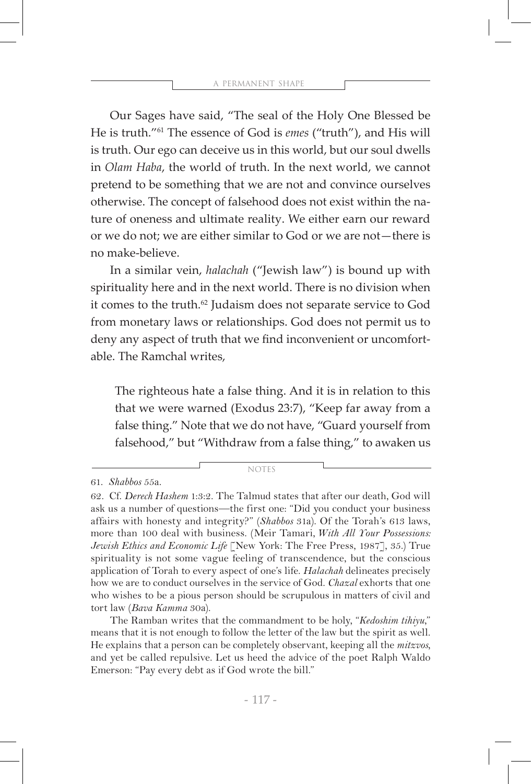Our Sages have said, "The seal of the Holy One Blessed be He is truth."61 The essence of God is *emes* ("truth"), and His will is truth. Our ego can deceive us in this world, but our soul dwells in *Olam Haba*, the world of truth. In the next world, we cannot pretend to be something that we are not and convince ourselves otherwise. The concept of falsehood does not exist within the nature of oneness and ultimate reality. We either earn our reward or we do not; we are either similar to God or we are not—there is no make-believe.

In a similar vein, *halachah* ("Jewish law") is bound up with spirituality here and in the next world. There is no division when it comes to the truth.<sup>62</sup> Judaism does not separate service to God from monetary laws or relationships. God does not permit us to deny any aspect of truth that we find inconvenient or uncomfortable. The Ramchal writes,

The righteous hate a false thing. And it is in relation to this that we were warned (Exodus 23:7), "Keep far away from a false thing." Note that we do not have, "Guard yourself from falsehood," but "Withdraw from a false thing," to awaken us

<sup>61.</sup> *Shabbos* 55a.

<sup>62.</sup> Cf. *Derech Hashem* 1:3:2. The Talmud states that after our death, God will ask us a number of questions—the first one: "Did you conduct your business affairs with honesty and integrity?" (*Shabbos* 31a). Of the Torah's 613 laws, more than 100 deal with business. (Meir Tamari, *With All Your Possessions: Jewish Ethics and Economic Life* [New York: The Free Press, 1987], 35.) True spirituality is not some vague feeling of transcendence, but the conscious application of Torah to every aspect of one's life. *Halachah* delineates precisely how we are to conduct ourselves in the service of God. *Chazal* exhorts that one who wishes to be a pious person should be scrupulous in matters of civil and tort law (*Bava Kamma* 30a).

The Ramban writes that the commandment to be holy, "*Kedoshim tihiyu*," means that it is not enough to follow the letter of the law but the spirit as well. He explains that a person can be completely observant, keeping all the *mitzvos,*  and yet be called repulsive. Let us heed the advice of the poet Ralph Waldo Emerson: "Pay every debt as if God wrote the bill."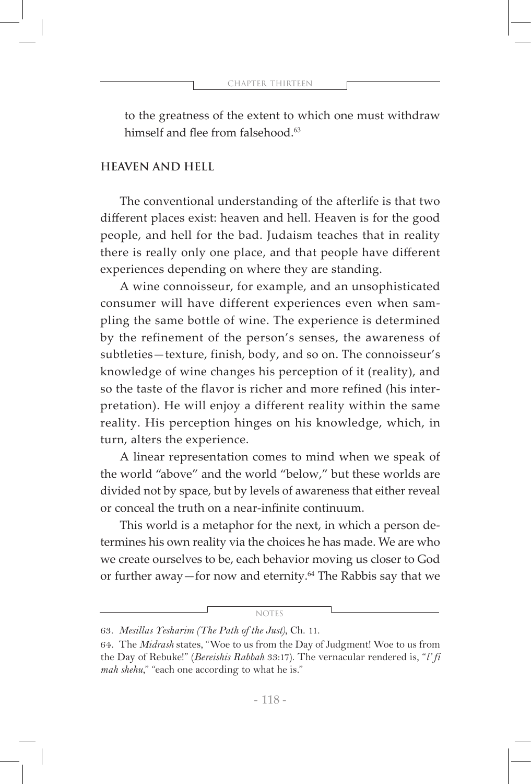to the greatness of the extent to which one must withdraw himself and flee from falsehood.<sup>63</sup>

## **HEAVEN AND HELL**

The conventional understanding of the afterlife is that two different places exist: heaven and hell. Heaven is for the good people, and hell for the bad. Judaism teaches that in reality there is really only one place, and that people have different experiences depending on where they are standing.

A wine connoisseur, for example, and an unsophisticated consumer will have different experiences even when sampling the same bottle of wine. The experience is determined by the refinement of the person's senses, the awareness of subtleties—texture, finish, body, and so on. The connoisseur's knowledge of wine changes his perception of it (reality), and so the taste of the flavor is richer and more refined (his interpretation). He will enjoy a different reality within the same reality. His perception hinges on his knowledge, which, in turn, alters the experience.

A linear representation comes to mind when we speak of the world "above" and the world "below," but these worlds are divided not by space, but by levels of awareness that either reveal or conceal the truth on a near-infinite continuum.

This world is a metaphor for the next, in which a person determines his own reality via the choices he has made. We are who we create ourselves to be, each behavior moving us closer to God or further away—for now and eternity.<sup>64</sup> The Rabbis say that we

#### notes

63. *Mesillas Yesharim (The Path of the Just)*, Ch. 11.

<sup>64.</sup> The *Midrash* states, "Woe to us from the Day of Judgment! Woe to us from the Day of Rebuke!" (*Bereishis Rabbah* 33:17). The vernacular rendered is, "*l' fi mah shehu*," "each one according to what he is."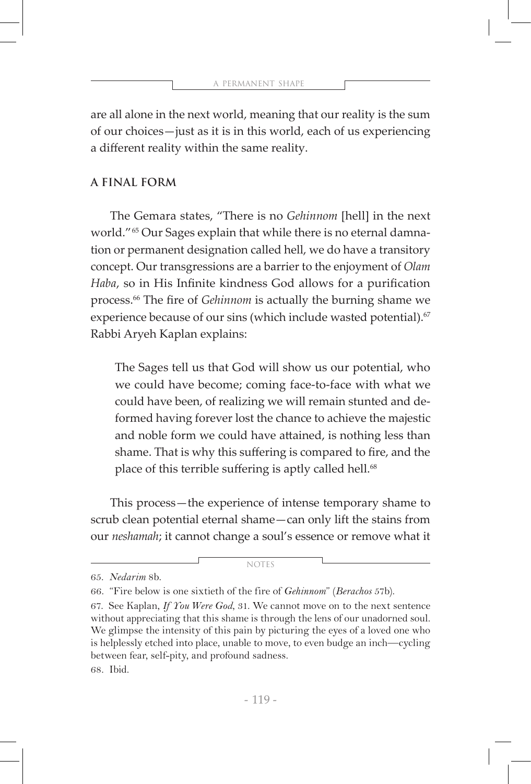| . PERMANENT SHAPE |  |  |  |  |  |
|-------------------|--|--|--|--|--|
|-------------------|--|--|--|--|--|

are all alone in the next world, meaning that our reality is the sum of our choices—just as it is in this world, each of us experiencing a different reality within the same reality.

## **A FINAL FORM**

The Gemara states, "There is no *Gehinnom* [hell] in the next world."65 Our Sages explain that while there is no eternal damnation or permanent designation called hell, we do have a transitory concept. Our transgressions are a barrier to the enjoyment of *Olam Haba*, so in His Infinite kindness God allows for a purification process.66 The fire of *Gehinnom* is actually the burning shame we experience because of our sins (which include wasted potential).<sup>67</sup> Rabbi Aryeh Kaplan explains:

The Sages tell us that God will show us our potential, who we could have become; coming face-to-face with what we could have been, of realizing we will remain stunted and deformed having forever lost the chance to achieve the majestic and noble form we could have attained, is nothing less than shame. That is why this suffering is compared to fire, and the place of this terrible suffering is aptly called hell.<sup>68</sup>

This process—the experience of intense temporary shame to scrub clean potential eternal shame—can only lift the stains from our *neshamah*; it cannot change a soul's essence or remove what it

- 119 -

notes

<sup>65.</sup> *Nedarim* 8b.

<sup>66.</sup> "Fire below is one sixtieth of the fire of *Gehinnom*" (*Berachos* 57b).

<sup>67.</sup> See Kaplan, *If You Were God*, 31. We cannot move on to the next sentence without appreciating that this shame is through the lens of our unadorned soul. We glimpse the intensity of this pain by picturing the eyes of a loved one who is helplessly etched into place, unable to move, to even budge an inch—cycling between fear, self-pity, and profound sadness. 68. Ibid.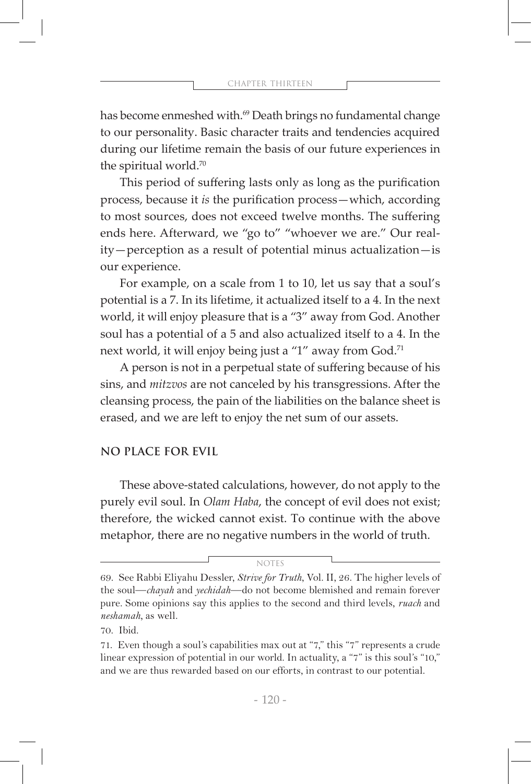#### chapter thirteen

has become enmeshed with.<sup>69</sup> Death brings no fundamental change to our personality. Basic character traits and tendencies acquired during our lifetime remain the basis of our future experiences in the spiritual world.<sup>70</sup>

This period of suffering lasts only as long as the purification process, because it *is* the purification process—which, according to most sources, does not exceed twelve months. The suffering ends here. Afterward, we "go to" "whoever we are." Our reality—perception as a result of potential minus actualization—is our experience.

For example, on a scale from 1 to 10, let us say that a soul's potential is a 7. In its lifetime, it actualized itself to a 4. In the next world, it will enjoy pleasure that is a "3" away from God. Another soul has a potential of a 5 and also actualized itself to a 4. In the next world, it will enjoy being just a "1" away from God.<sup>71</sup>

A person is not in a perpetual state of suffering because of his sins, and *mitzvos* are not canceled by his transgressions. After the cleansing process, the pain of the liabilities on the balance sheet is erased, and we are left to enjoy the net sum of our assets.

## **NO PLACE FOR EVIL**

These above-stated calculations, however, do not apply to the purely evil soul. In *Olam Haba*, the concept of evil does not exist; therefore, the wicked cannot exist. To continue with the above metaphor, there are no negative numbers in the world of truth.

#### NOTES

70. Ibid.

<sup>69.</sup> See Rabbi Eliyahu Dessler, *Strive for Truth*, Vol. II, 26. The higher levels of the soul—*chayah* and *yechidah*—do not become blemished and remain forever pure. Some opinions say this applies to the second and third levels, *ruach* and *neshamah,* as well.

<sup>71.</sup> Even though a soul's capabilities max out at "7," this "7" represents a crude linear expression of potential in our world. In actuality, a "7" is this soul's "10," and we are thus rewarded based on our efforts, in contrast to our potential.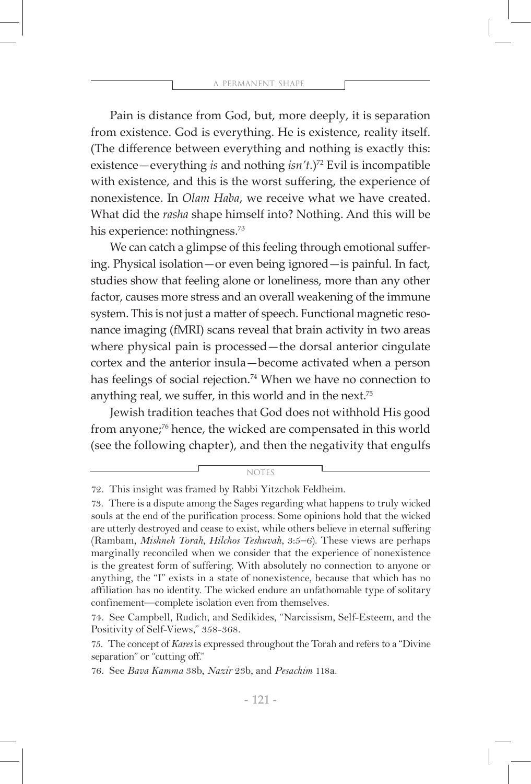Pain is distance from God, but, more deeply, it is separation from existence. God is everything. He is existence, reality itself. (The difference between everything and nothing is exactly this: existence—everything *is* and nothing *isn't*.)<sup>72</sup> Evil is incompatible with existence, and this is the worst suffering, the experience of nonexistence. In *Olam Haba*, we receive what we have created. What did the *rasha* shape himself into? Nothing. And this will be his experience: nothingness.<sup>73</sup>

We can catch a glimpse of this feeling through emotional suffering. Physical isolation—or even being ignored—is painful. In fact, studies show that feeling alone or loneliness, more than any other factor, causes more stress and an overall weakening of the immune system. This is not just a matter of speech. Functional magnetic resonance imaging (fMRI) scans reveal that brain activity in two areas where physical pain is processed—the dorsal anterior cingulate cortex and the anterior insula—become activated when a person has feelings of social rejection.<sup>74</sup> When we have no connection to anything real, we suffer, in this world and in the next.<sup>75</sup>

Jewish tradition teaches that God does not withhold His good from anyone;<sup>76</sup> hence, the wicked are compensated in this world (see the following chapter), and then the negativity that engulfs

<sup>72.</sup> This insight was framed by Rabbi Yitzchok Feldheim.

<sup>73.</sup> There is a dispute among the Sages regarding what happens to truly wicked souls at the end of the purification process. Some opinions hold that the wicked are utterly destroyed and cease to exist, while others believe in eternal suffering (Rambam, *Mishneh Torah*, *Hilchos Teshuvah*, 3:5–6). These views are perhaps marginally reconciled when we consider that the experience of nonexistence is the greatest form of suffering. With absolutely no connection to anyone or anything, the "I" exists in a state of nonexistence, because that which has no affiliation has no identity. The wicked endure an unfathomable type of solitary confinement—complete isolation even from themselves.

<sup>74.</sup> See Campbell, Rudich, and Sedikides, "Narcissism, Self-Esteem, and the Positivity of Self-Views," 358-368.

<sup>75.</sup> The concept of *Kares* is expressed throughout the Torah and refers to a "Divine separation" or "cutting off."

<sup>76.</sup> See *Bava Kamma* 38b, *Nazir* 23b, and *Pesachim* 118a.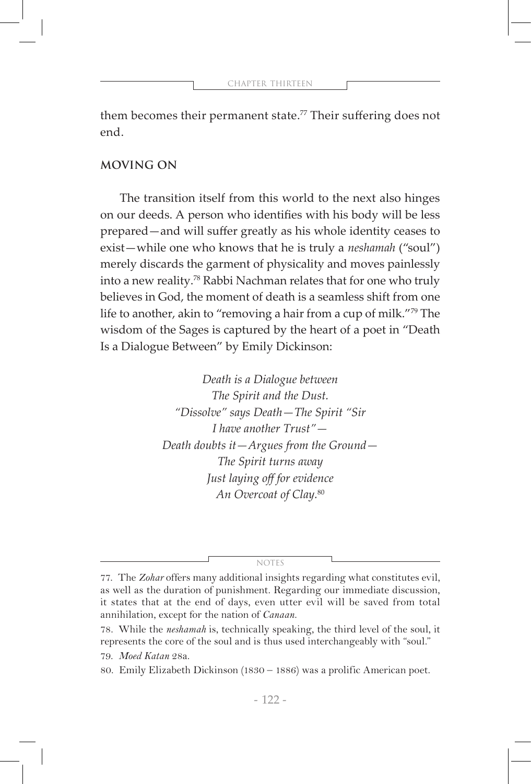them becomes their permanent state.<sup>77</sup> Their suffering does not end.

## **MOVING ON**

The transition itself from this world to the next also hinges on our deeds. A person who identifies with his body will be less prepared—and will suffer greatly as his whole identity ceases to exist—while one who knows that he is truly a *neshamah* ("soul") merely discards the garment of physicality and moves painlessly into a new reality.78 Rabbi Nachman relates that for one who truly believes in God, the moment of death is a seamless shift from one life to another, akin to "removing a hair from a cup of milk."<sup>79</sup> The wisdom of the Sages is captured by the heart of a poet in "Death Is a Dialogue Between" by Emily Dickinson:

> *Death is a Dialogue between The Spirit and the Dust. "Dissolve" says Death—The Spirit "Sir I have another Trust"— Death doubts it—Argues from the Ground— The Spirit turns away Just laying off for evidence An Overcoat of Clay.*<sup>80</sup>

> > NOTES

79. *Moed Katan* 28a.

<sup>77.</sup> The *Zohar* offers many additional insights regarding what constitutes evil, as well as the duration of punishment. Regarding our immediate discussion, it states that at the end of days, even utter evil will be saved from total annihilation, except for the nation of *Canaan.*

<sup>78.</sup> While the *neshamah* is, technically speaking, the third level of the soul, it represents the core of the soul and is thus used interchangeably with "soul."

<sup>80.</sup> Emily Elizabeth Dickinson (1830 – 1886) was a prolific American poet.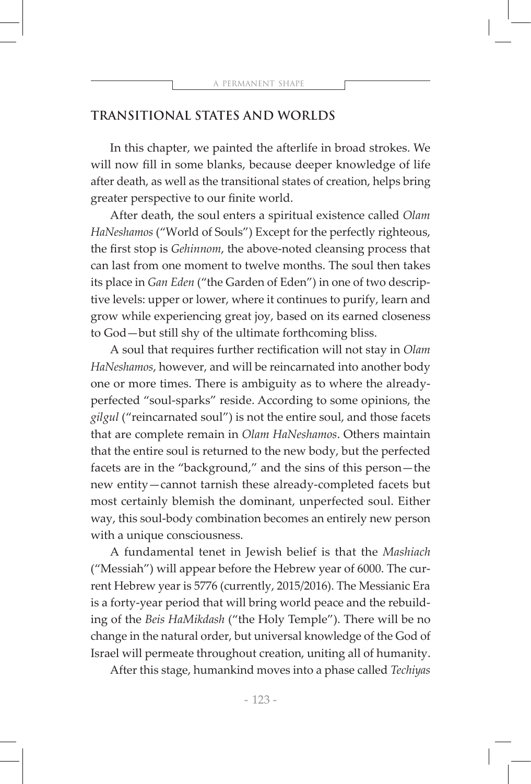## **TRANSITIONAL STATES AND WORLDS**

In this chapter, we painted the afterlife in broad strokes. We will now fill in some blanks, because deeper knowledge of life after death, as well as the transitional states of creation, helps bring greater perspective to our finite world.

After death, the soul enters a spiritual existence called *Olam HaNeshamos* ("World of Souls") Except for the perfectly righteous, the first stop is *Gehinnom*, the above-noted cleansing process that can last from one moment to twelve months. The soul then takes its place in *Gan Eden* ("the Garden of Eden") in one of two descriptive levels: upper or lower, where it continues to purify, learn and grow while experiencing great joy, based on its earned closeness to God—but still shy of the ultimate forthcoming bliss.

A soul that requires further rectification will not stay in *Olam HaNeshamos*, however, and will be reincarnated into another body one or more times. There is ambiguity as to where the alreadyperfected "soul-sparks" reside. According to some opinions, the *gilgul* ("reincarnated soul") is not the entire soul, and those facets that are complete remain in *Olam HaNeshamos*. Others maintain that the entire soul is returned to the new body, but the perfected facets are in the "background," and the sins of this person—the new entity—cannot tarnish these already-completed facets but most certainly blemish the dominant, unperfected soul. Either way, this soul-body combination becomes an entirely new person with a unique consciousness.

A fundamental tenet in Jewish belief is that the *Mashiach* ("Messiah") will appear before the Hebrew year of 6000. The current Hebrew year is 5776 (currently, 2015/2016). The Messianic Era is a forty-year period that will bring world peace and the rebuilding of the *Beis HaMikdash* ("the Holy Temple"). There will be no change in the natural order, but universal knowledge of the God of Israel will permeate throughout creation, uniting all of humanity.

After this stage, humankind moves into a phase called *Techiyas*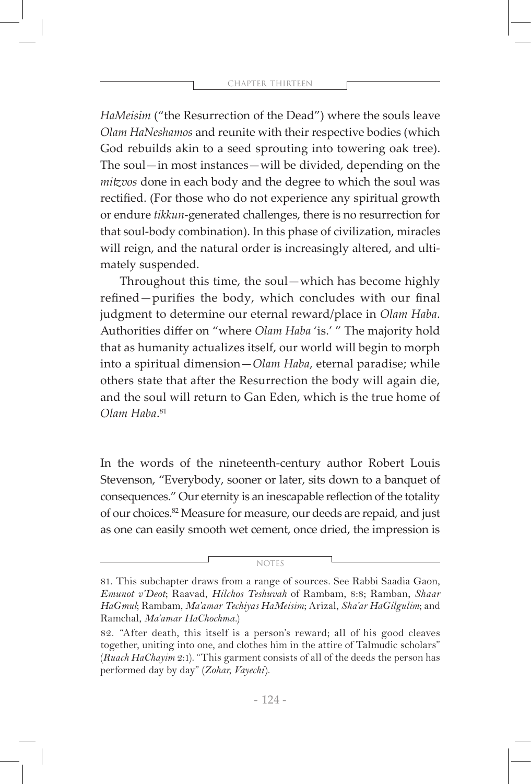#### chapter thirteen

*HaMeisim* ("the Resurrection of the Dead") where the souls leave *Olam HaNeshamos* and reunite with their respective bodies (which God rebuilds akin to a seed sprouting into towering oak tree). The soul—in most instances—will be divided, depending on the *mitzvos* done in each body and the degree to which the soul was rectified. (For those who do not experience any spiritual growth or endure *tikkun*-generated challenges, there is no resurrection for that soul-body combination). In this phase of civilization, miracles will reign, and the natural order is increasingly altered, and ultimately suspended.

Throughout this time, the soul—which has become highly refined—purifies the body, which concludes with our final judgment to determine our eternal reward/place in *Olam Haba*. Authorities differ on "where *Olam Haba* 'is.' " The majority hold that as humanity actualizes itself, our world will begin to morph into a spiritual dimension—*Olam Haba*, eternal paradise; while others state that after the Resurrection the body will again die, and the soul will return to Gan Eden, which is the true home of *Olam Haba*. 81

In the words of the nineteenth-century author Robert Louis Stevenson, "Everybody, sooner or later, sits down to a banquet of consequences." Our eternity is an inescapable reflection of the totality of our choices.82 Measure for measure, our deeds are repaid*,* and just as one can easily smooth wet cement, once dried, the impression is

#### NOTES

<sup>81.</sup> This subchapter draws from a range of sources. See Rabbi Saadia Gaon, *Emunot v'Deot*; Raavad, *Hilchos Teshuvah* of Rambam, 8:8; Ramban, *Shaar HaGmul*; Rambam, *Ma'amar Techiyas HaMeisim*; Arizal, *Sha'ar HaGilgulim*; and Ramchal, *Ma'amar HaChochma.*)

<sup>82.</sup> "After death, this itself is a person's reward; all of his good cleaves together, uniting into one, and clothes him in the attire of Talmudic scholars" (*Ruach HaChayim* 2:1). "This garment consists of all of the deeds the person has performed day by day" (*Zohar*, *Vayechi*).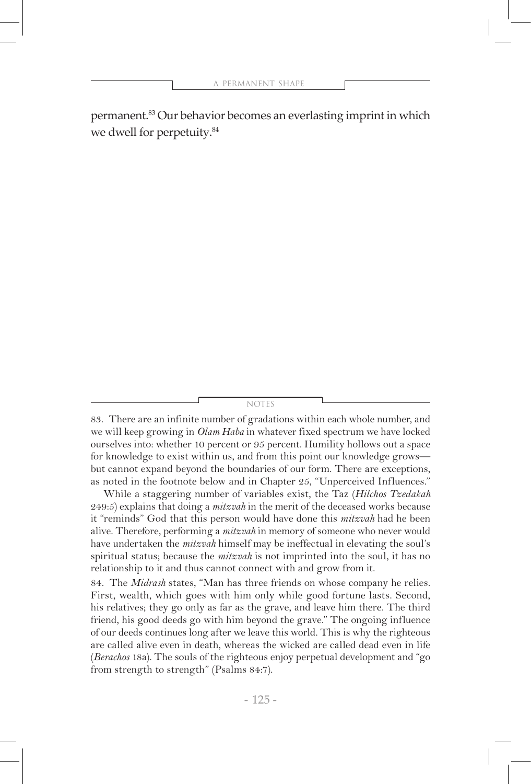permanent.83 Our behavior becomes an everlasting imprint in which we dwell for perpetuity.<sup>84</sup>

notes

83. There are an infinite number of gradations within each whole number, and we will keep growing in *Olam Haba* in whatever fixed spectrum we have locked ourselves into: whether 10 percent or 95 percent. Humility hollows out a space for knowledge to exist within us, and from this point our knowledge grows but cannot expand beyond the boundaries of our form. There are exceptions, as noted in the footnote below and in Chapter 25, "Unperceived Influences."

 While a staggering number of variables exist, the Taz (*Hilchos Tzedakah* 249:5) explains that doing a *mitzvah* in the merit of the deceased works because it "reminds" God that this person would have done this *mitzvah* had he been alive. Therefore, performing a *mitzvah* in memory of someone who never would have undertaken the *mitzvah* himself may be ineffectual in elevating the soul's spiritual status; because the *mitzvah* is not imprinted into the soul, it has no relationship to it and thus cannot connect with and grow from it.

84. The *Midrash* states, "Man has three friends on whose company he relies. First, wealth, which goes with him only while good fortune lasts. Second, his relatives; they go only as far as the grave, and leave him there. The third friend, his good deeds go with him beyond the grave." The ongoing influence of our deeds continues long after we leave this world. This is why the righteous are called alive even in death, whereas the wicked are called dead even in life (*Berachos* 18a). The souls of the righteous enjoy perpetual development and "go from strength to strength" (Psalms 84:7).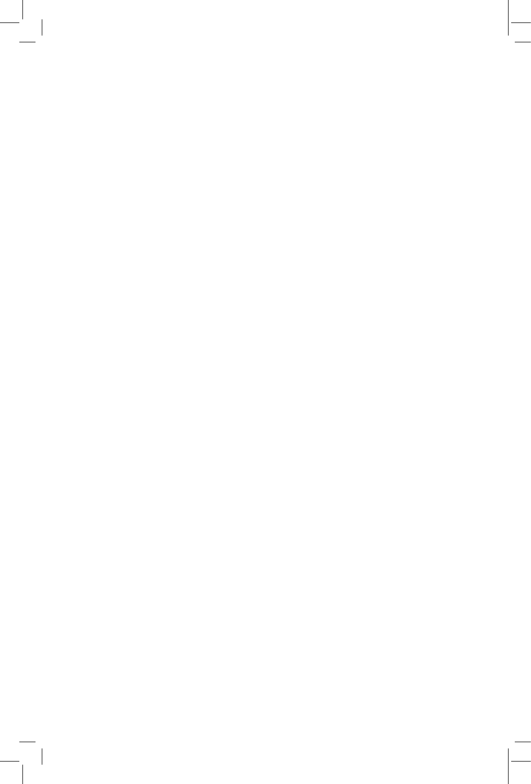$\begin{array}{ccc} \begin{array}{ccc} \end{array} & \begin{array}{ccc} \end{array} & \end{array}$  $\frac{1}{\sqrt{2}}$ 

Ξ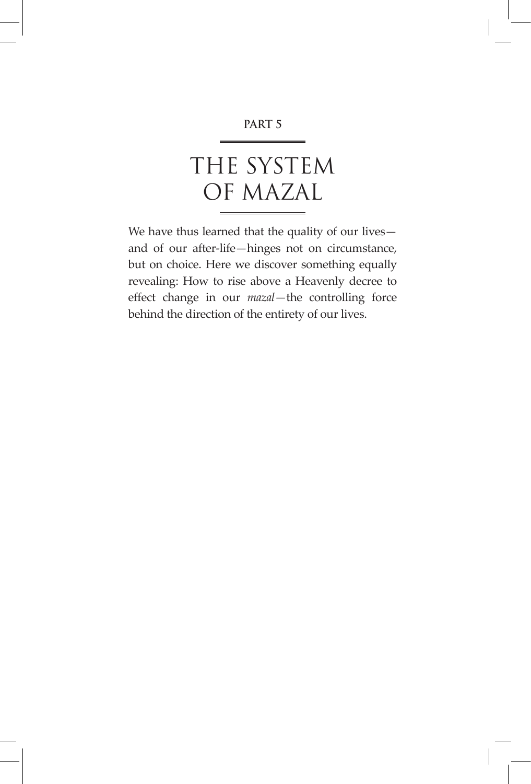## **part 5**

# The System of Mazal

We have thus learned that the quality of our livesand of our after-life—hinges not on circumstance, but on choice. Here we discover something equally revealing: How to rise above a Heavenly decree to effect change in our *mazal—*the controlling force behind the direction of the entirety of our lives.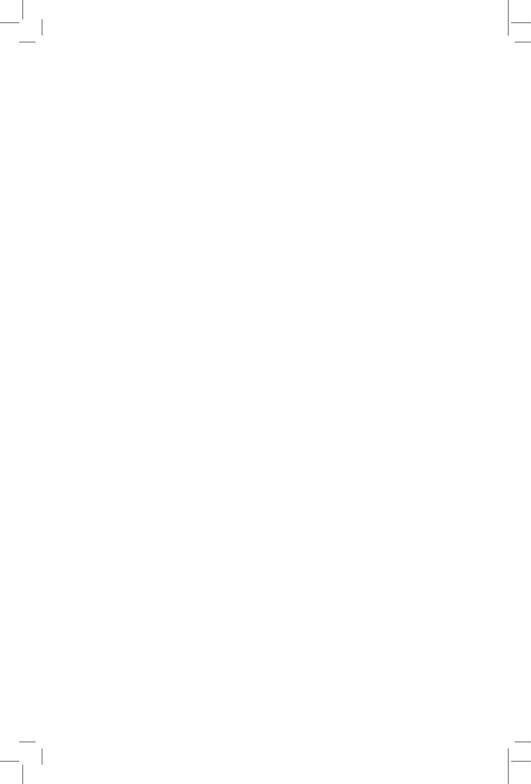$\begin{array}{ccc} \begin{array}{ccc} \end{array} & \begin{array}{ccc} \end{array} & \end{array}$  $\frac{1}{\sqrt{2}}$ 

Ξ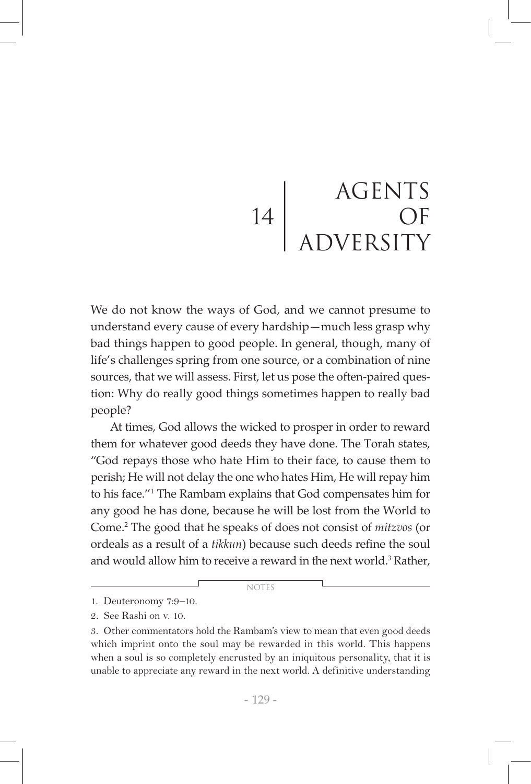## Agents of Adversity 14

We do not know the ways of God, and we cannot presume to understand every cause of every hardship—much less grasp why bad things happen to good people. In general, though, many of life's challenges spring from one source, or a combination of nine sources, that we will assess. First, let us pose the often-paired question: Why do really good things sometimes happen to really bad people?

At times, God allows the wicked to prosper in order to reward them for whatever good deeds they have done. The Torah states, "God repays those who hate Him to their face, to cause them to perish; He will not delay the one who hates Him, He will repay him to his face."1 The Rambam explains that God compensates him for any good he has done, because he will be lost from the World to Come.2 The good that he speaks of does not consist of *mitzvos* (or ordeals as a result of a *tikkun*) because such deeds refine the soul and would allow him to receive a reward in the next world.<sup>3</sup> Rather,

<sup>1.</sup> Deuteronomy 7:9–10.

<sup>2.</sup> See Rashi on v. 10.

<sup>3.</sup> Other commentators hold the Rambam's view to mean that even good deeds which imprint onto the soul may be rewarded in this world. This happens when a soul is so completely encrusted by an iniquitous personality, that it is unable to appreciate any reward in the next world. A definitive understanding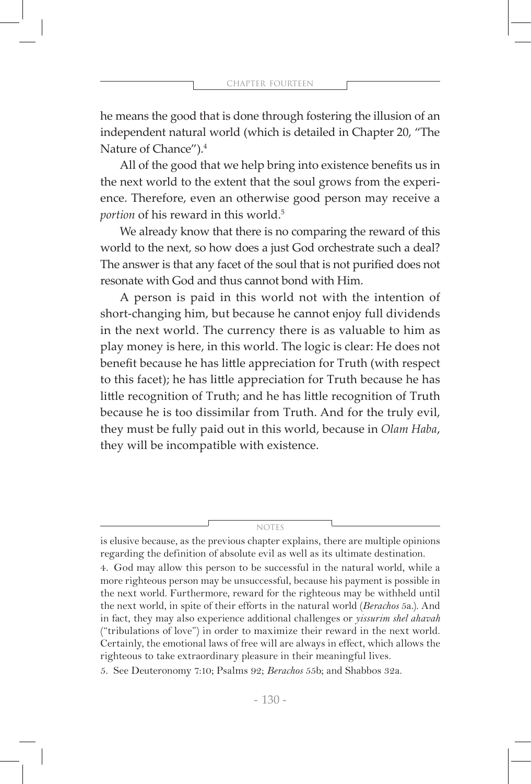he means the good that is done through fostering the illusion of an independent natural world (which is detailed in Chapter 20, "The Nature of Chance").4

All of the good that we help bring into existence benefits us in the next world to the extent that the soul grows from the experience. Therefore, even an otherwise good person may receive a *portion* of his reward in this world.<sup>5</sup>

We already know that there is no comparing the reward of this world to the next, so how does a just God orchestrate such a deal? The answer is that any facet of the soul that is not purified does not resonate with God and thus cannot bond with Him.

A person is paid in this world not with the intention of short-changing him, but because he cannot enjoy full dividends in the next world. The currency there is as valuable to him as play money is here, in this world. The logic is clear: He does not benefit because he has little appreciation for Truth (with respect to this facet); he has little appreciation for Truth because he has little recognition of Truth; and he has little recognition of Truth because he is too dissimilar from Truth. And for the truly evil, they must be fully paid out in this world, because in *Olam Haba*, they will be incompatible with existence.

notes

is elusive because, as the previous chapter explains, there are multiple opinions regarding the definition of absolute evil as well as its ultimate destination.

<sup>4.</sup> God may allow this person to be successful in the natural world, while a more righteous person may be unsuccessful, because his payment is possible in the next world. Furthermore, reward for the righteous may be withheld until the next world, in spite of their efforts in the natural world (*Berachos* 5a.). And in fact, they may also experience additional challenges or *yissurim shel ahavah* ("tribulations of love") in order to maximize their reward in the next world. Certainly, the emotional laws of free will are always in effect, which allows the righteous to take extraordinary pleasure in their meaningful lives.

<sup>5.</sup> See Deuteronomy 7:10; Psalms 92; *Berachos* 55b; and Shabbos 32a.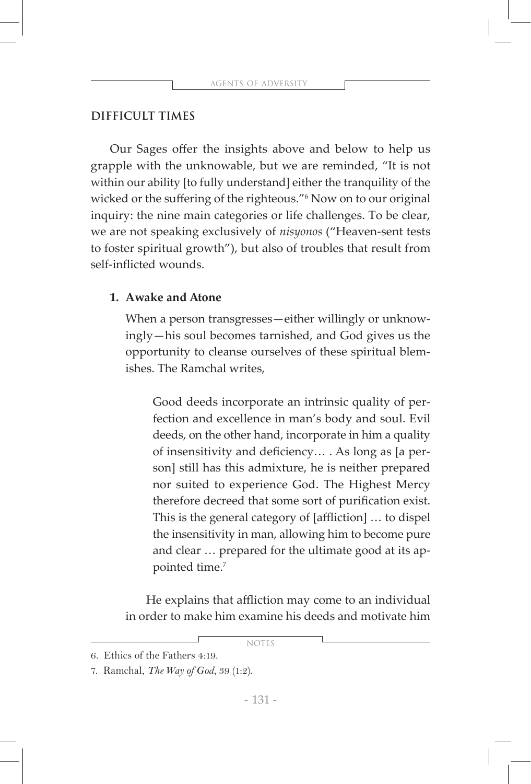## **DIFFICULT TIMES**

Our Sages offer the insights above and below to help us grapple with the unknowable, but we are reminded, "It is not within our ability [to fully understand] either the tranquility of the wicked or the suffering of the righteous."<sup>6</sup> Now on to our original inquiry: the nine main categories or life challenges. To be clear, we are not speaking exclusively of *nisyonos* ("Heaven-sent tests to foster spiritual growth"), but also of troubles that result from self-inflicted wounds.

## **1. Awake and Atone**

When a person transgresses—either willingly or unknowingly—his soul becomes tarnished, and God gives us the opportunity to cleanse ourselves of these spiritual blemishes. The Ramchal writes,

Good deeds incorporate an intrinsic quality of perfection and excellence in man's body and soul. Evil deeds, on the other hand, incorporate in him a quality of insensitivity and deficiency… . As long as [a person] still has this admixture, he is neither prepared nor suited to experience God. The Highest Mercy therefore decreed that some sort of purification exist. This is the general category of [affliction] … to dispel the insensitivity in man, allowing him to become pure and clear … prepared for the ultimate good at its appointed time.<sup>7</sup>

He explains that affliction may come to an individual in order to make him examine his deeds and motivate him

notes

<sup>6.</sup> Ethics of the Fathers 4:19.

<sup>7.</sup> Ramchal, *The Way of God,* 39 (1:2).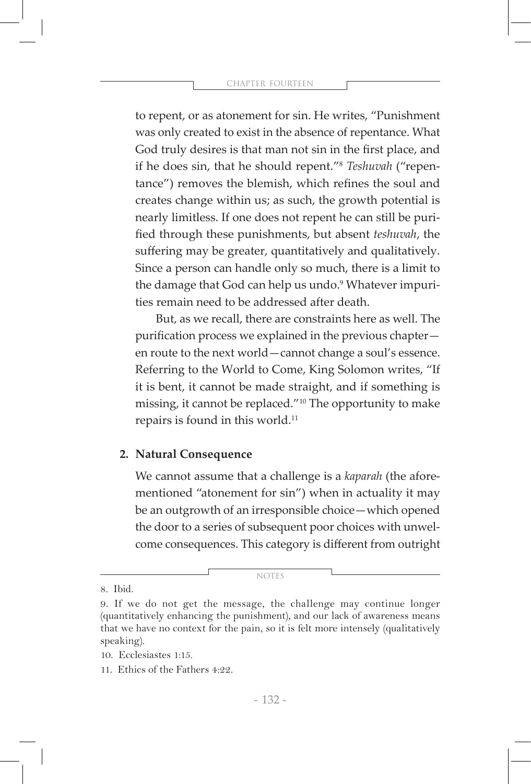to repent, or as atonement for sin. He writes, "Punishment was only created to exist in the absence of repentance. What God truly desires is that man not sin in the first place, and if he does sin, that he should repent."8 *Teshuvah* ("repentance") removes the blemish, which refines the soul and creates change within us; as such, the growth potential is nearly limitless. If one does not repent he can still be purified through these punishments, but absent *teshuvah*, the suffering may be greater, quantitatively and qualitatively. Since a person can handle only so much, there is a limit to the damage that God can help us undo.<sup>9</sup> Whatever impurities remain need to be addressed after death.

But, as we recall, there are constraints here as well. The purification process we explained in the previous chapter en route to the next world—cannot change a soul's essence. Referring to the World to Come, King Solomon writes, "If it is bent, it cannot be made straight, and if something is missing, it cannot be replaced."10 The opportunity to make repairs is found in this world.<sup>11</sup>

#### **2. Natural Consequence**

We cannot assume that a challenge is a *kaparah* (the aforementioned "atonement for sin") when in actuality it may be an outgrowth of an irresponsible choice—which opened the door to a series of subsequent poor choices with unwelcome consequences. This category is different from outright

<sup>8.</sup> Ibid.

<sup>9.</sup> If we do not get the message, the challenge may continue longer (quantitatively enhancing the punishment), and our lack of awareness means that we have no context for the pain, so it is felt more intensely (qualitatively speaking).

<sup>10.</sup> Ecclesiastes 1:15.

<sup>11.</sup> Ethics of the Fathers 4:22.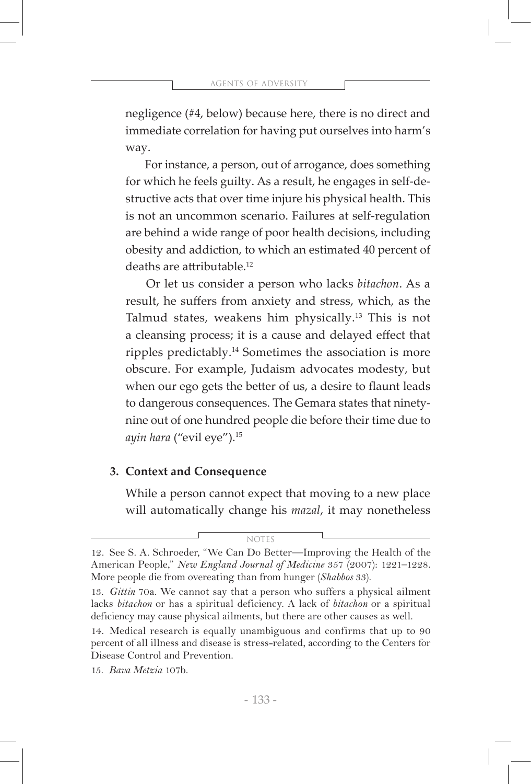negligence (#4, below) because here, there is no direct and immediate correlation for having put ourselves into harm's way.

For instance, a person, out of arrogance, does something for which he feels guilty. As a result, he engages in self-destructive acts that over time injure his physical health. This is not an uncommon scenario. Failures at self-regulation are behind a wide range of poor health decisions, including obesity and addiction, to which an estimated 40 percent of deaths are attributable.<sup>12</sup>

Or let us consider a person who lacks *bitachon*. As a result, he suffers from anxiety and stress, which, as the Talmud states, weakens him physically.<sup>13</sup> This is not a cleansing process; it is a cause and delayed effect that ripples predictably.14 Sometimes the association is more obscure. For example, Judaism advocates modesty, but when our ego gets the better of us, a desire to flaunt leads to dangerous consequences. The Gemara states that ninetynine out of one hundred people die before their time due to *ayin hara* ("evil eye").15

#### **3. Context and Consequence**

While a person cannot expect that moving to a new place will automatically change his *mazal*, it may nonetheless

15. *Bava Metzia* 107b.

notes

<sup>12.</sup> See S. A. Schroeder, "We Can Do Better—Improving the Health of the American People," *New England Journal of Medicine* 357 (2007): 1221–1228. More people die from overeating than from hunger (*Shabbos* 33).

<sup>13.</sup> *Gittin* 70a. We cannot say that a person who suffers a physical ailment lacks *bitachon* or has a spiritual deficiency. A lack of *bitachon* or a spiritual deficiency may cause physical ailments, but there are other causes as well.

<sup>14.</sup> Medical research is equally unambiguous and confirms that up to 90 percent of all illness and disease is stress-related, according to the Centers for Disease Control and Prevention.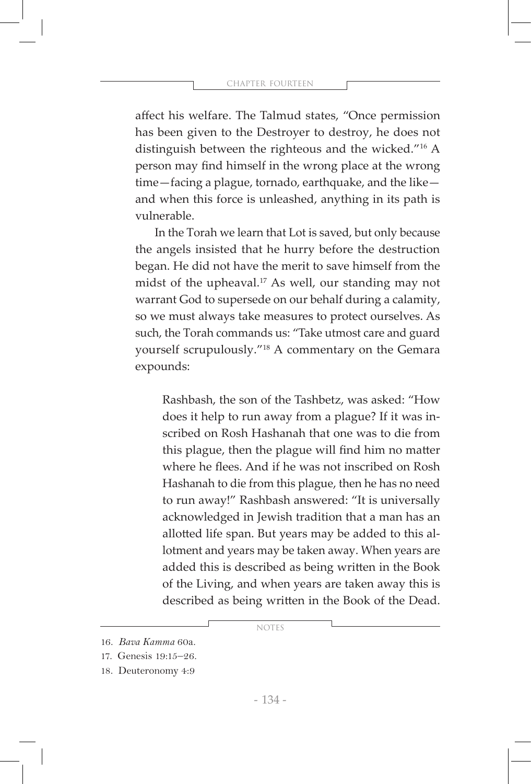affect his welfare. The Talmud states, "Once permission has been given to the Destroyer to destroy, he does not distinguish between the righteous and the wicked."16 A person may find himself in the wrong place at the wrong time—facing a plague, tornado, earthquake, and the like and when this force is unleashed, anything in its path is vulnerable.

In the Torah we learn that Lot is saved, but only because the angels insisted that he hurry before the destruction began. He did not have the merit to save himself from the midst of the upheaval.<sup>17</sup> As well, our standing may not warrant God to supersede on our behalf during a calamity, so we must always take measures to protect ourselves. As such, the Torah commands us: "Take utmost care and guard yourself scrupulously."18 A commentary on the Gemara expounds:

Rashbash, the son of the Tashbetz, was asked: "How does it help to run away from a plague? If it was inscribed on Rosh Hashanah that one was to die from this plague, then the plague will find him no matter where he flees. And if he was not inscribed on Rosh Hashanah to die from this plague, then he has no need to run away!" Rashbash answered: "It is universally acknowledged in Jewish tradition that a man has an allotted life span. But years may be added to this allotment and years may be taken away. When years are added this is described as being written in the Book of the Living, and when years are taken away this is described as being written in the Book of the Dead.

notes

<sup>16.</sup> *Bava Kamma* 60a.

<sup>17.</sup> Genesis 19:15–26.

<sup>18.</sup> Deuteronomy 4:9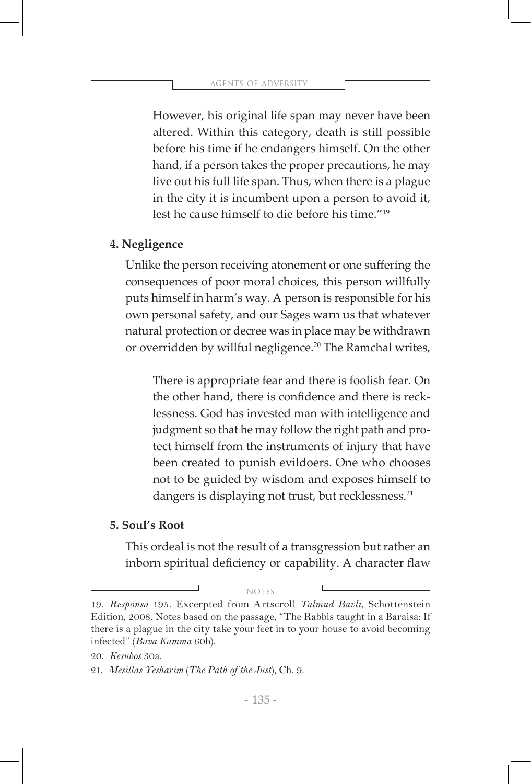However, his original life span may never have been altered. Within this category, death is still possible before his time if he endangers himself. On the other hand, if a person takes the proper precautions, he may live out his full life span. Thus, when there is a plague in the city it is incumbent upon a person to avoid it, lest he cause himself to die before his time."19

## **4. Negligence**

Unlike the person receiving atonement or one suffering the consequences of poor moral choices, this person willfully puts himself in harm's way. A person is responsible for his own personal safety, and our Sages warn us that whatever natural protection or decree was in place may be withdrawn or overridden by willful negligence.<sup>20</sup> The Ramchal writes,

There is appropriate fear and there is foolish fear. On the other hand, there is confidence and there is recklessness. God has invested man with intelligence and judgment so that he may follow the right path and protect himself from the instruments of injury that have been created to punish evildoers. One who chooses not to be guided by wisdom and exposes himself to dangers is displaying not trust, but recklessness.<sup>21</sup>

#### **5. Soul's Root**

This ordeal is not the result of a transgression but rather an inborn spiritual deficiency or capability. A character flaw

notes

20. *Kesubos* 30a.

<sup>19.</sup> *Responsa* 195. Excerpted from Artscroll *Talmud Bavli*, Schottenstein Edition, 2008. Notes based on the passage, "The Rabbis taught in a Baraisa: If there is a plague in the city take your feet in to your house to avoid becoming infected" (*Bava Kamma* 60b).

<sup>21.</sup> *Mesillas Yesharim* (*The Path of the Just*)*,* Ch. 9.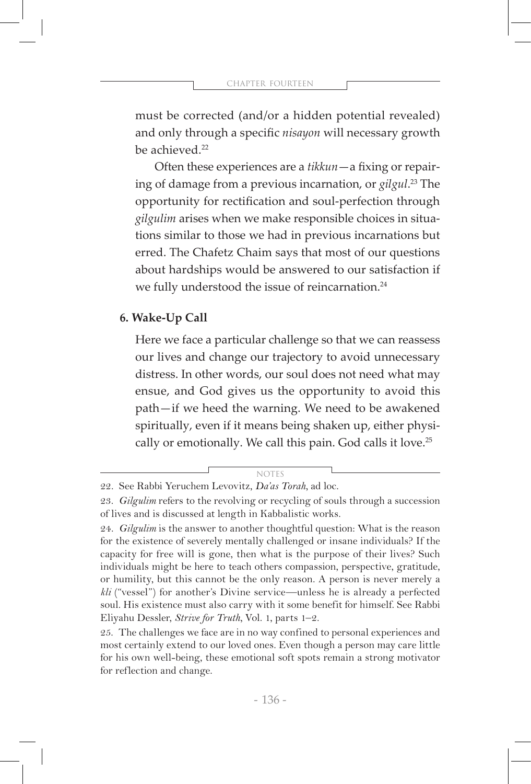must be corrected (and/or a hidden potential revealed) and only through a specific *nisayon* will necessary growth be achieved.<sup>22</sup>

Often these experiences are a *tikkun*—a fixing or repairing of damage from a previous incarnation, or *gilgul*. 23 The opportunity for rectification and soul-perfection through *gilgulim* arises when we make responsible choices in situations similar to those we had in previous incarnations but erred. The Chafetz Chaim says that most of our questions about hardships would be answered to our satisfaction if we fully understood the issue of reincarnation.<sup>24</sup>

#### **6. Wake-Up Call**

Here we face a particular challenge so that we can reassess our lives and change our trajectory to avoid unnecessary distress. In other words, our soul does not need what may ensue, and God gives us the opportunity to avoid this path—if we heed the warning. We need to be awakened spiritually, even if it means being shaken up, either physically or emotionally. We call this pain. God calls it love.<sup>25</sup>

**NOTES** 

<sup>22.</sup> See Rabbi Yeruchem Levovitz, *Da'as Torah,* ad loc.

<sup>23.</sup> *Gilgulim* refers to the revolving or recycling of souls through a succession of lives and is discussed at length in Kabbalistic works.

<sup>24.</sup> *Gilgulim* is the answer to another thoughtful question: What is the reason for the existence of severely mentally challenged or insane individuals? If the capacity for free will is gone, then what is the purpose of their lives? Such individuals might be here to teach others compassion, perspective, gratitude, or humility, but this cannot be the only reason. A person is never merely a *kli* ("vessel") for another's Divine service—unless he is already a perfected soul. His existence must also carry with it some benefit for himself. See Rabbi Eliyahu Dessler, *Strive for Truth,* Vol. 1, parts 1–2.

<sup>25.</sup> The challenges we face are in no way confined to personal experiences and most certainly extend to our loved ones. Even though a person may care little for his own well-being, these emotional soft spots remain a strong motivator for reflection and change.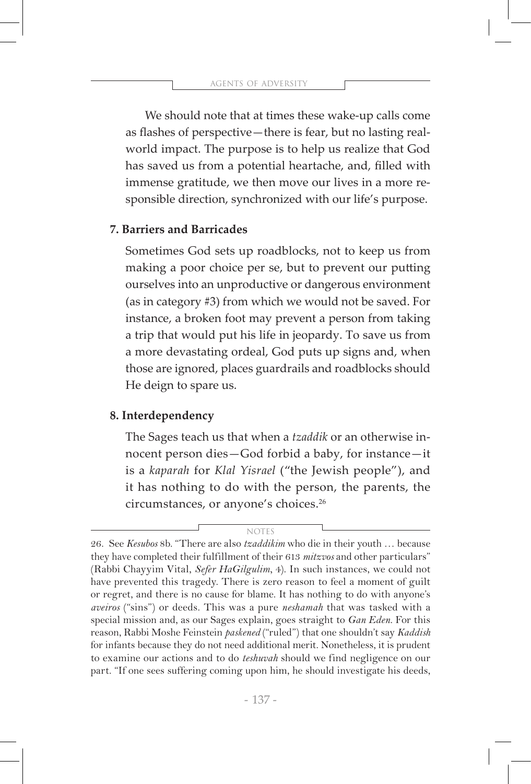We should note that at times these wake-up calls come as flashes of perspective—there is fear, but no lasting realworld impact. The purpose is to help us realize that God has saved us from a potential heartache, and, filled with immense gratitude, we then move our lives in a more responsible direction, synchronized with our life's purpose.

## **7. Barriers and Barricades**

Sometimes God sets up roadblocks, not to keep us from making a poor choice per se, but to prevent our putting ourselves into an unproductive or dangerous environment (as in category #3) from which we would not be saved. For instance, a broken foot may prevent a person from taking a trip that would put his life in jeopardy. To save us from a more devastating ordeal, God puts up signs and, when those are ignored, places guardrails and roadblocks should He deign to spare us.

## **8. Interdependency**

The Sages teach us that when a *tzaddik* or an otherwise innocent person dies—God forbid a baby, for instance—it is a *kaparah* for *Klal Yisrael* ("the Jewish people"), and it has nothing to do with the person, the parents, the circumstances, or anyone's choices.26

notes

<sup>26.</sup> See *Kesubos* 8b. "There are also *tzaddikim* who die in their youth … because they have completed their fulfillment of their 613 *mitzvos* and other particulars" (Rabbi Chayyim Vital, *Sefer HaGilgulim,* 4). In such instances, we could not have prevented this tragedy. There is zero reason to feel a moment of guilt or regret, and there is no cause for blame. It has nothing to do with anyone's *aveiros* ("sins") or deeds. This was a pure *neshamah* that was tasked with a special mission and, as our Sages explain, goes straight to *Gan Eden*. For this reason, Rabbi Moshe Feinstein *paskened* ("ruled") that one shouldn't say *Kaddish* for infants because they do not need additional merit. Nonetheless, it is prudent to examine our actions and to do *teshuvah* should we find negligence on our part. "If one sees suffering coming upon him, he should investigate his deeds,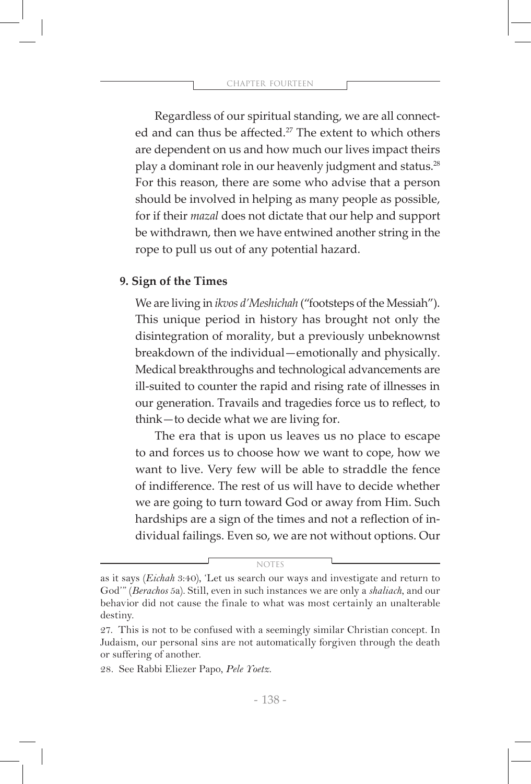Regardless of our spiritual standing, we are all connected and can thus be affected.<sup>27</sup> The extent to which others are dependent on us and how much our lives impact theirs play a dominant role in our heavenly judgment and status.<sup>28</sup> For this reason, there are some who advise that a person should be involved in helping as many people as possible, for if their *mazal* does not dictate that our help and support be withdrawn, then we have entwined another string in the rope to pull us out of any potential hazard.

#### **9. Sign of the Times**

We are living in *ikvos d'Meshichah* ("footsteps of the Messiah"). This unique period in history has brought not only the disintegration of morality, but a previously unbeknownst breakdown of the individual—emotionally and physically. Medical breakthroughs and technological advancements are ill-suited to counter the rapid and rising rate of illnesses in our generation. Travails and tragedies force us to reflect, to think—to decide what we are living for.

The era that is upon us leaves us no place to escape to and forces us to choose how we want to cope, how we want to live. Very few will be able to straddle the fence of indifference. The rest of us will have to decide whether we are going to turn toward God or away from Him. Such hardships are a sign of the times and not a reflection of individual failings. Even so, we are not without options. Our

#### notes

28. See Rabbi Eliezer Papo, *Pele Yoetz*.

as it says (*Eichah* 3:40), 'Let us search our ways and investigate and return to God'" (*Berachos* 5a). Still, even in such instances we are only a *shaliach*, and our behavior did not cause the finale to what was most certainly an unalterable destiny.

<sup>27.</sup> This is not to be confused with a seemingly similar Christian concept. In Judaism, our personal sins are not automatically forgiven through the death or suffering of another.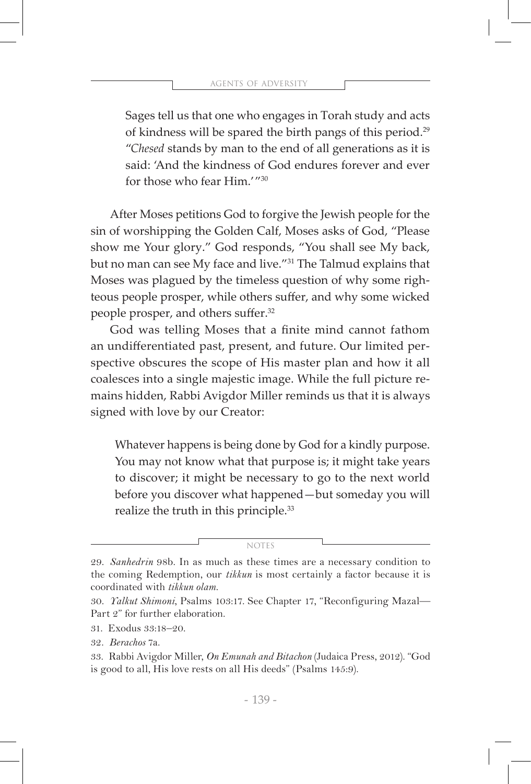Sages tell us that one who engages in Torah study and acts of kindness will be spared the birth pangs of this period.29 "*Chesed* stands by man to the end of all generations as it is said: 'And the kindness of God endures forever and ever for those who fear Him.'"<sup>30</sup>

After Moses petitions God to forgive the Jewish people for the sin of worshipping the Golden Calf, Moses asks of God, "Please show me Your glory." God responds, "You shall see My back, but no man can see My face and live."<sup>31</sup> The Talmud explains that Moses was plagued by the timeless question of why some righteous people prosper, while others suffer, and why some wicked people prosper, and others suffer.<sup>32</sup>

God was telling Moses that a finite mind cannot fathom an undifferentiated past, present, and future. Our limited perspective obscures the scope of His master plan and how it all coalesces into a single majestic image. While the full picture remains hidden, Rabbi Avigdor Miller reminds us that it is always signed with love by our Creator:

Whatever happens is being done by God for a kindly purpose. You may not know what that purpose is; it might take years to discover; it might be necessary to go to the next world before you discover what happened—but someday you will realize the truth in this principle.<sup>33</sup>

32. *Berachos* 7a.

notes

<sup>29.</sup> *Sanhedrin* 98b. In as much as these times are a necessary condition to the coming Redemption, our *tikkun* is most certainly a factor because it is coordinated with *tikkun olam*.

<sup>30.</sup> *Yalkut Shimoni*, Psalms 103:17. See Chapter 17, "Reconfiguring Mazal— Part 2" for further elaboration.

<sup>31.</sup> Exodus 33:18–20.

<sup>33.</sup> Rabbi Avigdor Miller, *On Emunah and Bitachon* (Judaica Press, 2012). "God is good to all, His love rests on all His deeds" (Psalms 145:9).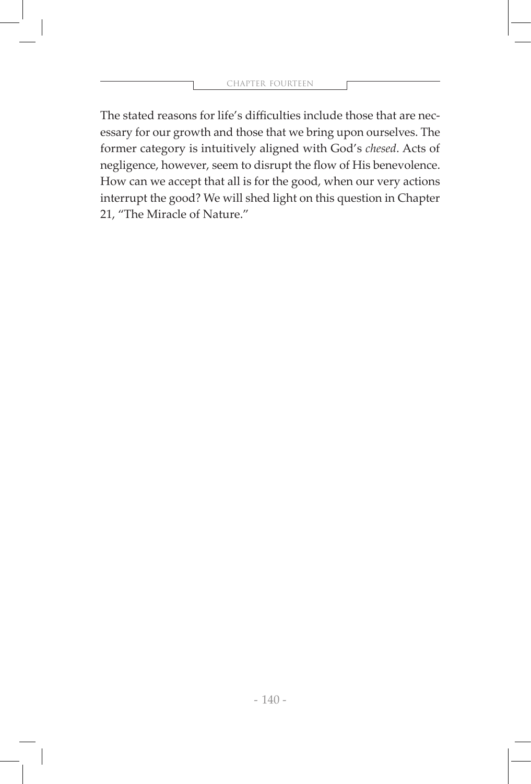## chapter fourteen

The stated reasons for life's difficulties include those that are necessary for our growth and those that we bring upon ourselves. The former category is intuitively aligned with God's *chesed*. Acts of negligence, however, seem to disrupt the flow of His benevolence. How can we accept that all is for the good, when our very actions interrupt the good? We will shed light on this question in Chapter 21, "The Miracle of Nature."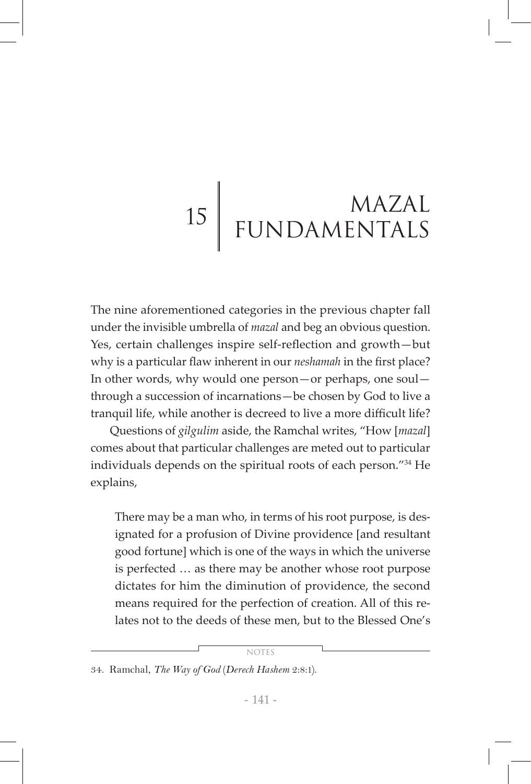# Mazal  $15$  FUNDAMENTALS

The nine aforementioned categories in the previous chapter fall under the invisible umbrella of *mazal* and beg an obvious question. Yes, certain challenges inspire self-reflection and growth—but why is a particular flaw inherent in our *neshamah* in the first place? In other words, why would one person—or perhaps, one soul through a succession of incarnations—be chosen by God to live a tranquil life, while another is decreed to live a more difficult life?

Questions of *gilgulim* aside, the Ramchal writes, "How [*mazal*] comes about that particular challenges are meted out to particular individuals depends on the spiritual roots of each person."34 He explains,

There may be a man who, in terms of his root purpose, is designated for a profusion of Divine providence [and resultant good fortune] which is one of the ways in which the universe is perfected … as there may be another whose root purpose dictates for him the diminution of providence, the second means required for the perfection of creation. All of this relates not to the deeds of these men, but to the Blessed One's

notes

<sup>34.</sup> Ramchal, *The Way of God* (*Derech Hashem* 2:8:1).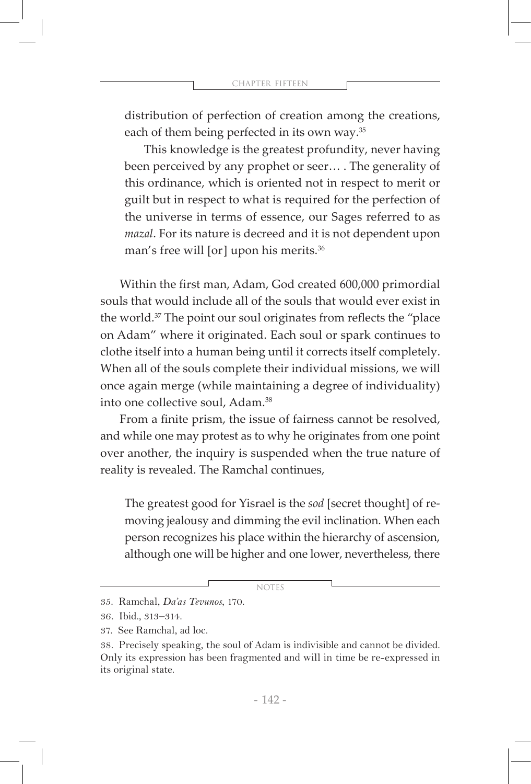distribution of perfection of creation among the creations, each of them being perfected in its own way.<sup>35</sup>

This knowledge is the greatest profundity, never having been perceived by any prophet or seer… . The generality of this ordinance, which is oriented not in respect to merit or guilt but in respect to what is required for the perfection of the universe in terms of essence, our Sages referred to as *mazal*. For its nature is decreed and it is not dependent upon man's free will [or] upon his merits.<sup>36</sup>

Within the first man, Adam, God created 600,000 primordial souls that would include all of the souls that would ever exist in the world.<sup>37</sup> The point our soul originates from reflects the "place on Adam" where it originated. Each soul or spark continues to clothe itself into a human being until it corrects itself completely. When all of the souls complete their individual missions, we will once again merge (while maintaining a degree of individuality) into one collective soul, Adam.38

From a finite prism, the issue of fairness cannot be resolved, and while one may protest as to why he originates from one point over another, the inquiry is suspended when the true nature of reality is revealed. The Ramchal continues,

The greatest good for Yisrael is the *sod* [secret thought] of removing jealousy and dimming the evil inclination. When each person recognizes his place within the hierarchy of ascension, although one will be higher and one lower, nevertheless, there

notes

<sup>35.</sup> Ramchal, *Da'as Tevunos*, 170.

<sup>36.</sup> Ibid., 313–314.

<sup>37.</sup> See Ramchal, ad loc.

<sup>38.</sup> Precisely speaking, the soul of Adam is indivisible and cannot be divided. Only its expression has been fragmented and will in time be re-expressed in its original state.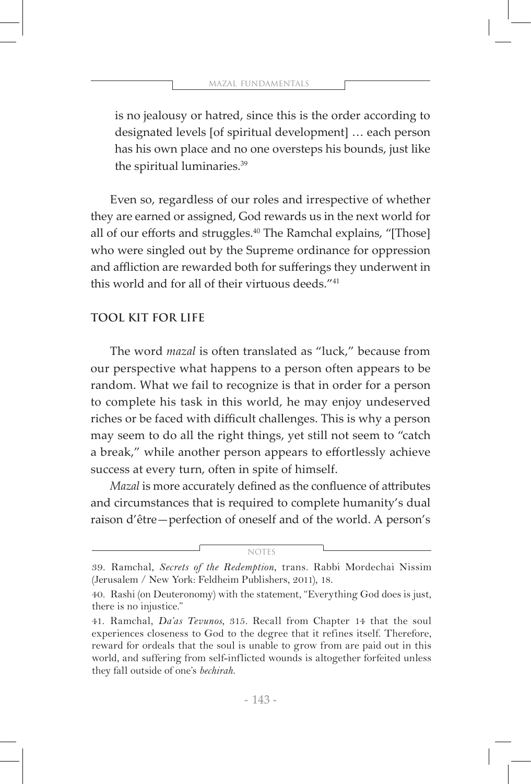is no jealousy or hatred, since this is the order according to designated levels [of spiritual development] … each person has his own place and no one oversteps his bounds, just like the spiritual luminaries.39

Even so, regardless of our roles and irrespective of whether they are earned or assigned, God rewards us in the next world for all of our efforts and struggles.<sup>40</sup> The Ramchal explains, "[Those] who were singled out by the Supreme ordinance for oppression and affliction are rewarded both for sufferings they underwent in this world and for all of their virtuous deeds."41

## **TOOL KIT FOR LIFE**

The word *mazal* is often translated as "luck," because from our perspective what happens to a person often appears to be random. What we fail to recognize is that in order for a person to complete his task in this world, he may enjoy undeserved riches or be faced with difficult challenges. This is why a person may seem to do all the right things, yet still not seem to "catch a break," while another person appears to effortlessly achieve success at every turn, often in spite of himself.

*Mazal* is more accurately defined as the confluence of attributes and circumstances that is required to complete humanity's dual raison d'être—perfection of oneself and of the world. A person's

<sup>39.</sup> Ramchal, *Secrets of the Redemption*, trans. Rabbi Mordechai Nissim (Jerusalem / New York: Feldheim Publishers, 2011), 18.

<sup>40.</sup> Rashi (on Deuteronomy) with the statement, "Everything God does is just, there is no injustice."

<sup>41.</sup> Ramchal, *Da'as Tevunos*, 315. Recall from Chapter 14 that the soul experiences closeness to God to the degree that it refines itself. Therefore, reward for ordeals that the soul is unable to grow from are paid out in this world, and suffering from self-inflicted wounds is altogether forfeited unless they fall outside of one's *bechirah*.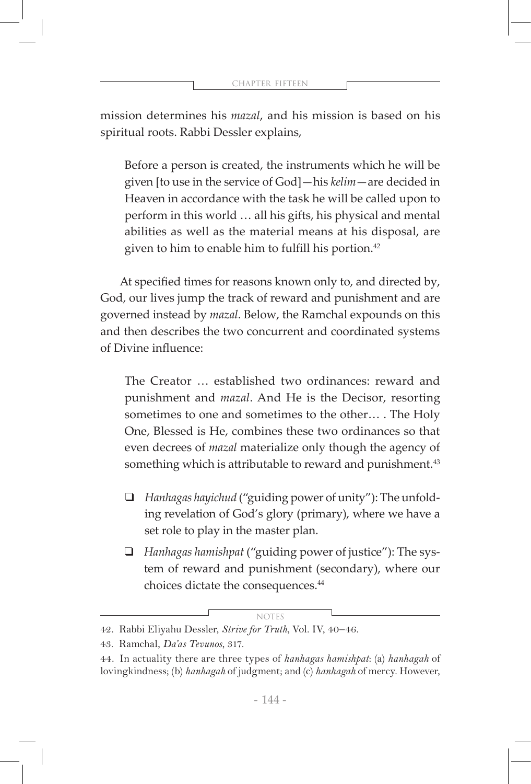mission determines his *mazal*, and his mission is based on his spiritual roots. Rabbi Dessler explains,

Before a person is created, the instruments which he will be given [to use in the service of God]—his *kelim*—are decided in Heaven in accordance with the task he will be called upon to perform in this world … all his gifts, his physical and mental abilities as well as the material means at his disposal, are given to him to enable him to fulfill his portion.<sup>42</sup>

At specified times for reasons known only to, and directed by, God, our lives jump the track of reward and punishment and are governed instead by *mazal*. Below, the Ramchal expounds on this and then describes the two concurrent and coordinated systems of Divine influence:

The Creator … established two ordinances: reward and punishment and *mazal*. And He is the Decisor, resorting sometimes to one and sometimes to the other… . The Holy One, Blessed is He, combines these two ordinances so that even decrees of *mazal* materialize only though the agency of something which is attributable to reward and punishment.<sup>43</sup>

- ❑ *Hanhagas hayichud* ("guiding power of unity"): The unfolding revelation of God's glory (primary), where we have a set role to play in the master plan.
- ❑ *Hanhagas hamishpat* ("guiding power of justice"): The system of reward and punishment (secondary), where our choices dictate the consequences.44

<sup>42.</sup> Rabbi Eliyahu Dessler, *Strive for Truth,* Vol. IV, 40–46.

<sup>43.</sup> Ramchal, *Da'as Tevunos*, 317.

<sup>44.</sup> In actuality there are three types of *hanhagas hamishpat*: (a) *hanhagah* of lovingkindness; (b) *hanhagah* of judgment; and (c) *hanhagah* of mercy. However,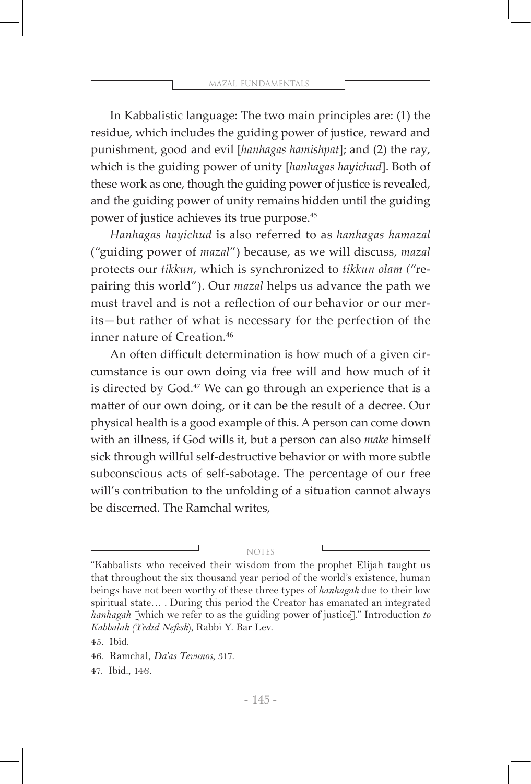In Kabbalistic language: The two main principles are: (1) the residue, which includes the guiding power of justice, reward and punishment, good and evil [*hanhagas hamishpat*]; and (2) the ray, which is the guiding power of unity [*hanhagas hayichud*]. Both of these work as one, though the guiding power of justice is revealed, and the guiding power of unity remains hidden until the guiding power of justice achieves its true purpose.<sup>45</sup>

*Hanhagas hayichud* is also referred to as *hanhagas hamazal* ("guiding power of *mazal*") because, as we will discuss, *mazal* protects our *tikkun*, which is synchronized to *tikkun olam (*"repairing this world"). Our *mazal* helps us advance the path we must travel and is not a reflection of our behavior or our merits—but rather of what is necessary for the perfection of the inner nature of Creation.46

An often difficult determination is how much of a given circumstance is our own doing via free will and how much of it is directed by God. $47$  We can go through an experience that is a matter of our own doing, or it can be the result of a decree. Our physical health is a good example of this. A person can come down with an illness, if God wills it, but a person can also *make* himself sick through willful self-destructive behavior or with more subtle subconscious acts of self-sabotage. The percentage of our free will's contribution to the unfolding of a situation cannot always be discerned. The Ramchal writes,

<sup>&</sup>quot;Kabbalists who received their wisdom from the prophet Elijah taught us that throughout the six thousand year period of the world's existence, human beings have not been worthy of these three types of *hanhagah* due to their low spiritual state… . During this period the Creator has emanated an integrated *hanhagah* [which we refer to as the guiding power of justice]." Introduction *to Kabbalah (Yedid Nefesh*), Rabbi Y. Bar Lev.

<sup>45.</sup> Ibid.

<sup>46.</sup> Ramchal, *Da'as Tevunos*, 317.

<sup>47.</sup> Ibid., 146.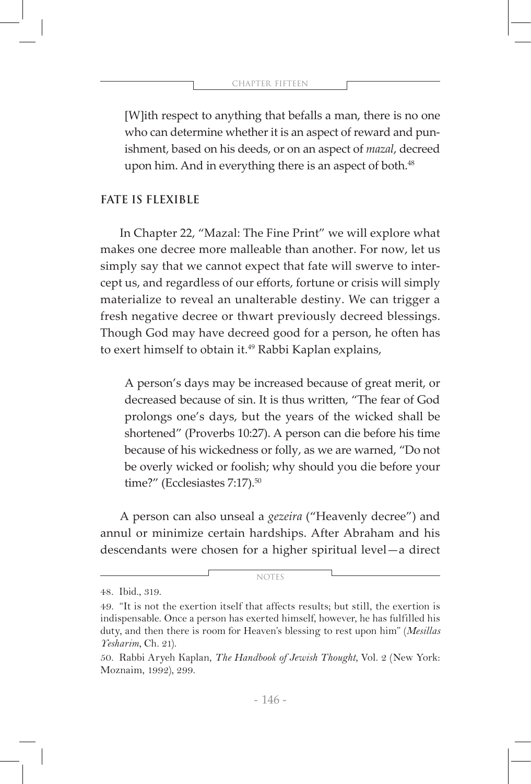[W]ith respect to anything that befalls a man, there is no one who can determine whether it is an aspect of reward and punishment, based on his deeds, or on an aspect of *mazal*, decreed upon him. And in everything there is an aspect of both.<sup>48</sup>

## **FATE IS FLEXIBLE**

In Chapter 22, "Mazal: The Fine Print" we will explore what makes one decree more malleable than another. For now, let us simply say that we cannot expect that fate will swerve to intercept us, and regardless of our efforts, fortune or crisis will simply materialize to reveal an unalterable destiny. We can trigger a fresh negative decree or thwart previously decreed blessings. Though God may have decreed good for a person, he often has to exert himself to obtain it.<sup>49</sup> Rabbi Kaplan explains,

A person's days may be increased because of great merit, or decreased because of sin. It is thus written, "The fear of God prolongs one's days, but the years of the wicked shall be shortened" (Proverbs 10:27). A person can die before his time because of his wickedness or folly, as we are warned, "Do not be overly wicked or foolish; why should you die before your time?" (Ecclesiastes 7:17).<sup>50</sup>

A person can also unseal a *gezeira* ("Heavenly decree") and annul or minimize certain hardships. After Abraham and his descendants were chosen for a higher spiritual level—a direct

NOTES

<sup>48.</sup> Ibid., 319.

<sup>49.</sup> "It is not the exertion itself that affects results; but still, the exertion is indispensable. Once a person has exerted himself, however, he has fulfilled his duty, and then there is room for Heaven's blessing to rest upon him" (*Mesillas Yesharim,* Ch. 21).

<sup>50.</sup> Rabbi Aryeh Kaplan, *The Handbook of Jewish Thought,* Vol. 2 (New York: Moznaim, 1992), 299.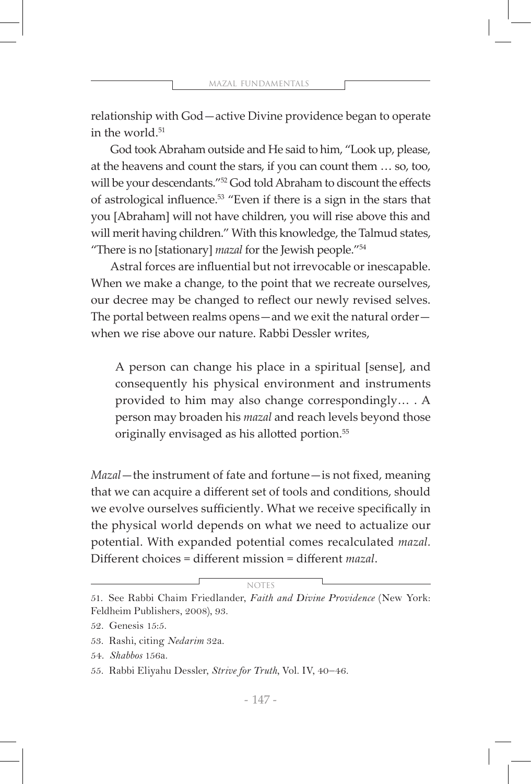relationship with God—active Divine providence began to operate in the world.<sup>51</sup>

God took Abraham outside and He said to him, "Look up, please, at the heavens and count the stars, if you can count them … so, too, will be your descendants."52 God told Abraham to discount the effects of astrological influence.53 "Even if there is a sign in the stars that you [Abraham] will not have children, you will rise above this and will merit having children." With this knowledge, the Talmud states, "There is no [stationary] *mazal* for the Jewish people."54

Astral forces are influential but not irrevocable or inescapable. When we make a change, to the point that we recreate ourselves, our decree may be changed to reflect our newly revised selves. The portal between realms opens—and we exit the natural order when we rise above our nature. Rabbi Dessler writes,

A person can change his place in a spiritual [sense], and consequently his physical environment and instruments provided to him may also change correspondingly… . A person may broaden his *mazal* and reach levels beyond those originally envisaged as his allotted portion.<sup>55</sup>

*Mazal*—the instrument of fate and fortune—is not fixed, meaning that we can acquire a different set of tools and conditions, should we evolve ourselves sufficiently. What we receive specifically in the physical world depends on what we need to actualize our potential. With expanded potential comes recalculated *mazal.*  Different choices = different mission = different *mazal*.

<sup>51.</sup> See Rabbi Chaim Friedlander, *Faith and Divine Providence* (New York: Feldheim Publishers, 2008), 93.

<sup>52.</sup> Genesis 15:5.

<sup>53.</sup> Rashi, citing *Nedarim* 32a.

<sup>54.</sup> *Shabbos* 156a.

<sup>55.</sup> Rabbi Eliyahu Dessler, *Strive for Truth,* Vol. IV, 40–46.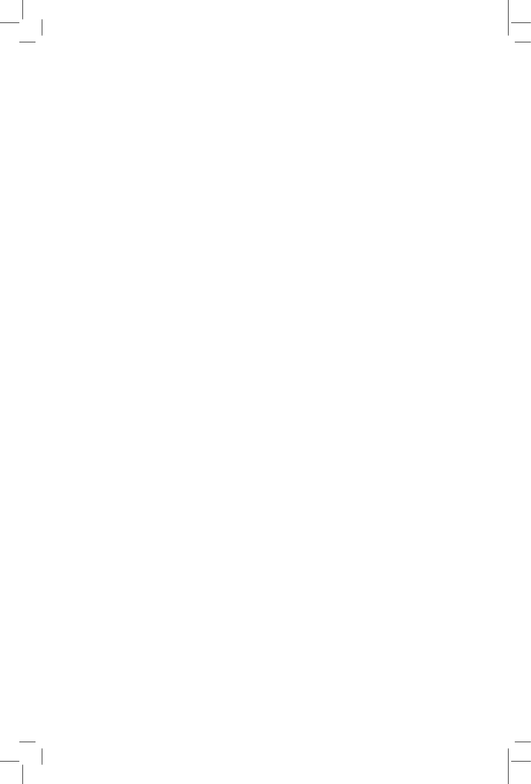$\begin{array}{ccc} \begin{array}{ccc} \end{array} & \begin{array}{ccc} \end{array} & \end{array}$  $\frac{1}{\sqrt{2}}$ 

Ξ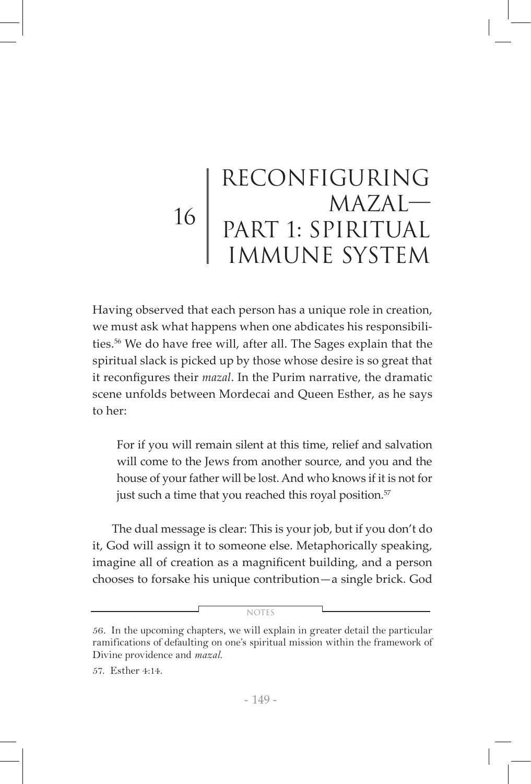## Reconfiguring Mazal part 1: Spiritual Immune System 16

Having observed that each person has a unique role in creation, we must ask what happens when one abdicates his responsibilities.56 We do have free will, after all. The Sages explain that the spiritual slack is picked up by those whose desire is so great that it reconfigures their *mazal*. In the Purim narrative, the dramatic scene unfolds between Mordecai and Queen Esther, as he says to her:

For if you will remain silent at this time, relief and salvation will come to the Jews from another source, and you and the house of your father will be lost. And who knows if it is not for just such a time that you reached this royal position.<sup>57</sup>

The dual message is clear: This is your job, but if you don't do it, God will assign it to someone else. Metaphorically speaking, imagine all of creation as a magnificent building, and a person chooses to forsake his unique contribution—a single brick. God

notes

57. Esther 4:14.

<sup>56.</sup> In the upcoming chapters, we will explain in greater detail the particular ramifications of defaulting on one's spiritual mission within the framework of Divine providence and *mazal*.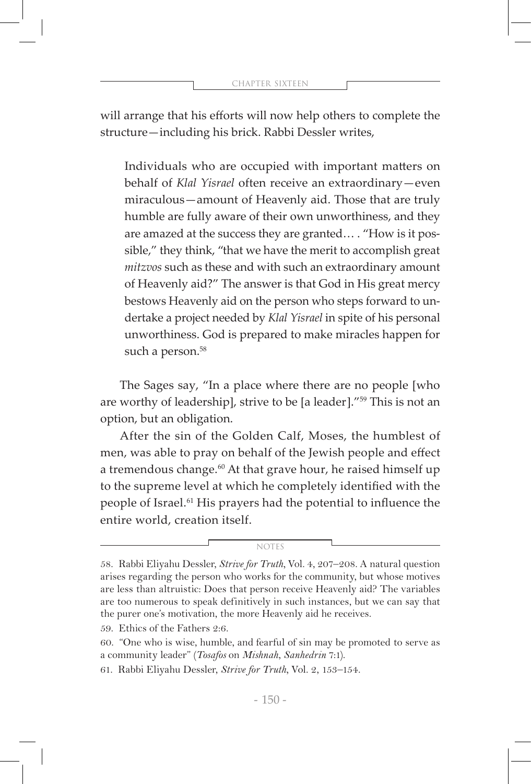will arrange that his efforts will now help others to complete the structure—including his brick. Rabbi Dessler writes,

Individuals who are occupied with important matters on behalf of *Klal Yisrael* often receive an extraordinary—even miraculous—amount of Heavenly aid. Those that are truly humble are fully aware of their own unworthiness, and they are amazed at the success they are granted… . "How is it possible," they think, "that we have the merit to accomplish great *mitzvos* such as these and with such an extraordinary amount of Heavenly aid?" The answer is that God in His great mercy bestows Heavenly aid on the person who steps forward to undertake a project needed by *Klal Yisrael* in spite of his personal unworthiness. God is prepared to make miracles happen for such a person.<sup>58</sup>

The Sages say, "In a place where there are no people [who are worthy of leadership], strive to be [a leader]."<sup>59</sup> This is not an option, but an obligation.

After the sin of the Golden Calf, Moses, the humblest of men, was able to pray on behalf of the Jewish people and effect a tremendous change. $60$  At that grave hour, he raised himself up to the supreme level at which he completely identified with the people of Israel.<sup>61</sup> His prayers had the potential to influence the entire world, creation itself.

#### notes

59. Ethics of the Fathers 2:6.

61. Rabbi Eliyahu Dessler, *Strive for Truth,* Vol. 2, 153–154.

<sup>58.</sup> Rabbi Eliyahu Dessler, *Strive for Truth,* Vol. 4, 207–208. A natural question arises regarding the person who works for the community, but whose motives are less than altruistic: Does that person receive Heavenly aid? The variables are too numerous to speak definitively in such instances, but we can say that the purer one's motivation, the more Heavenly aid he receives.

<sup>60.</sup> "One who is wise, humble, and fearful of sin may be promoted to serve as a community leader" (*Tosafos* on *Mishnah*, *Sanhedrin* 7:1).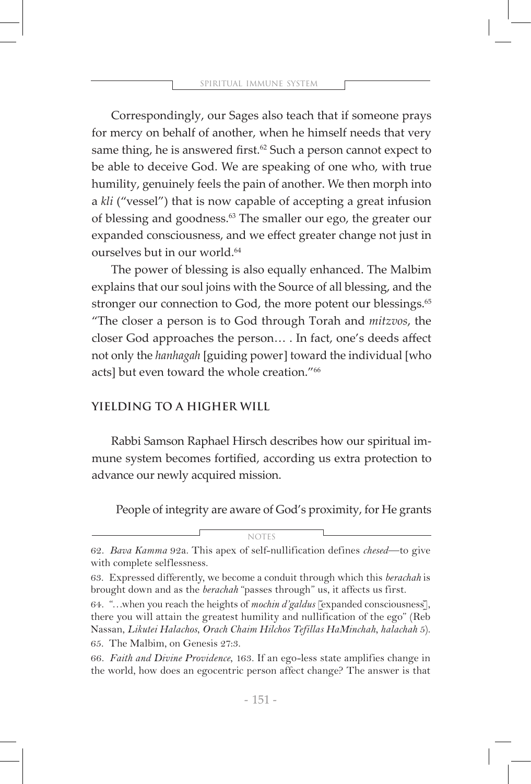Correspondingly, our Sages also teach that if someone prays for mercy on behalf of another, when he himself needs that very same thing, he is answered first.<sup>62</sup> Such a person cannot expect to be able to deceive God. We are speaking of one who, with true humility, genuinely feels the pain of another. We then morph into a *kli* ("vessel") that is now capable of accepting a great infusion of blessing and goodness.<sup>63</sup> The smaller our ego, the greater our expanded consciousness, and we effect greater change not just in ourselves but in our world.<sup>64</sup>

The power of blessing is also equally enhanced. The Malbim explains that our soul joins with the Source of all blessing, and the stronger our connection to God, the more potent our blessings.<sup>65</sup> "The closer a person is to God through Torah and *mitzvos*, the closer God approaches the person… . In fact, one's deeds affect not only the *hanhagah* [guiding power] toward the individual [who acts] but even toward the whole creation."<sup>66</sup>

## **YIELDING TO A HIGHER WILL**

Rabbi Samson Raphael Hirsch describes how our spiritual immune system becomes fortified, according us extra protection to advance our newly acquired mission.

People of integrity are aware of God's proximity, for He grants

NOTES

<sup>62.</sup> *Bava Kamma* 92a. This apex of self-nullification defines *chesed*—to give with complete selflessness.

<sup>63.</sup> Expressed differently, we become a conduit through which this *berachah* is brought down and as the *berachah* "passes through" us, it affects us first.

<sup>64.</sup> "…when you reach the heights of *mochin d'galdus* [expanded consciousness], there you will attain the greatest humility and nullification of the ego" (Reb Nassan, *Likutei Halachos*, *Orach Chaim Hilchos Tefillas HaMinchah, halachah* 5). 65. The Malbim, on Genesis 27:3.

<sup>66.</sup> *Faith and Divine Providence*, 163. If an ego-less state amplifies change in the world, how does an egocentric person affect change? The answer is that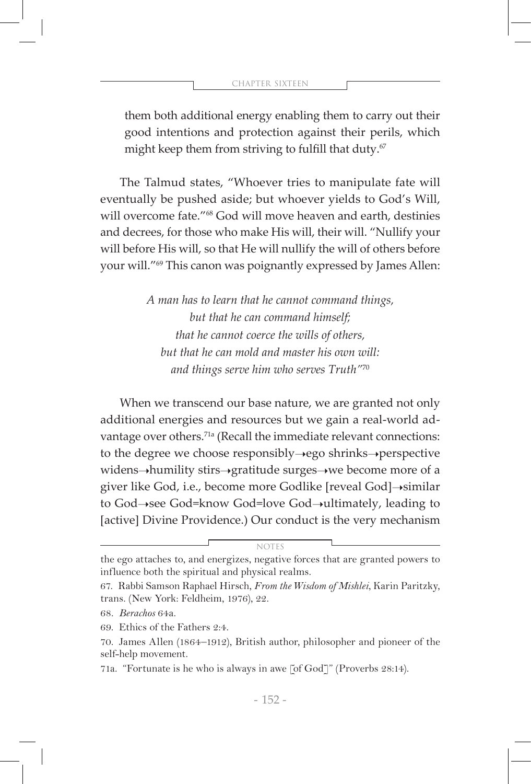them both additional energy enabling them to carry out their good intentions and protection against their perils, which might keep them from striving to fulfill that duty.<sup>67</sup>

The Talmud states, "Whoever tries to manipulate fate will eventually be pushed aside; but whoever yields to God's Will, will overcome fate."<sup>68</sup> God will move heaven and earth, destinies and decrees, for those who make His will, their will. "Nullify your will before His will, so that He will nullify the will of others before your will."69 This canon was poignantly expressed by James Allen:

> *A man has to learn that he cannot command things, but that he can command himself; that he cannot coerce the wills of others, but that he can mold and master his own will: and things serve him who serves Truth"*<sup>70</sup>

When we transcend our base nature, we are granted not only additional energies and resources but we gain a real-world advantage over others.<sup>71a</sup> (Recall the immediate relevant connections: to the degree we choose responsibly→ego shrinks→perspective widens→humility stirs→gratitude surges→we become more of a giver like God, i.e., become more Godlike [reveal God]→similar to God→see God=know God=love God→ultimately, leading to [active] Divine Providence.) Our conduct is the very mechanism

**NOTES** 

the ego attaches to, and energizes, negative forces that are granted powers to influence both the spiritual and physical realms.

<sup>67.</sup> Rabbi Samson Raphael Hirsch, *From the Wisdom of Mishlei*, Karin Paritzky, trans. (New York: Feldheim, 1976), 22.

<sup>68.</sup> *Berachos* 64a.

<sup>69.</sup> Ethics of the Fathers 2:4.

<sup>70.</sup> James Allen (1864–1912), British author, philosopher and pioneer of the self-help movement.

<sup>71</sup>a. "Fortunate is he who is always in awe [of God]" (Proverbs 28:14).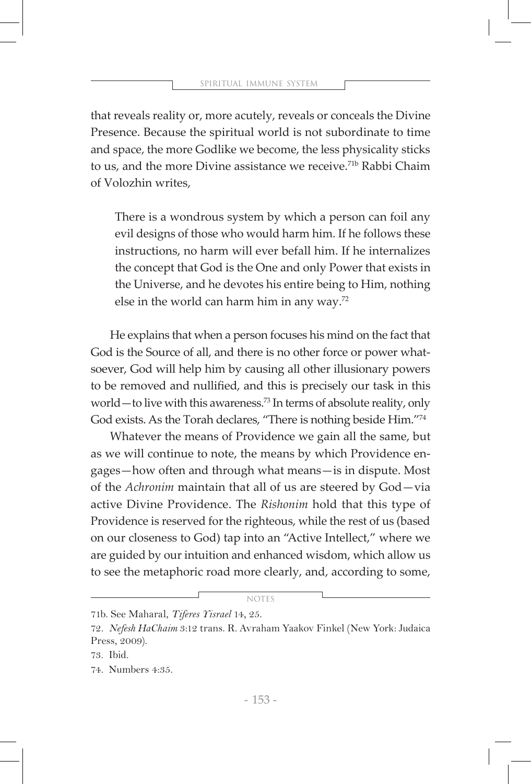that reveals reality or, more acutely, reveals or conceals the Divine Presence. Because the spiritual world is not subordinate to time and space, the more Godlike we become, the less physicality sticks to us, and the more Divine assistance we receive.<sup>71b</sup> Rabbi Chaim of Volozhin writes,

There is a wondrous system by which a person can foil any evil designs of those who would harm him. If he follows these instructions, no harm will ever befall him. If he internalizes the concept that God is the One and only Power that exists in the Universe, and he devotes his entire being to Him, nothing else in the world can harm him in any way. $72$ 

He explains that when a person focuses his mind on the fact that God is the Source of all, and there is no other force or power whatsoever, God will help him by causing all other illusionary powers to be removed and nullified, and this is precisely our task in this world—to live with this awareness.73 In terms of absolute reality, only God exists. As the Torah declares, "There is nothing beside Him."74

Whatever the means of Providence we gain all the same, but as we will continue to note, the means by which Providence engages—how often and through what means—is in dispute. Most of the *Achronim* maintain that all of us are steered by God—via active Divine Providence. The *Rishonim* hold that this type of Providence is reserved for the righteous, while the rest of us (based on our closeness to God) tap into an "Active Intellect," where we are guided by our intuition and enhanced wisdom, which allow us to see the metaphoric road more clearly, and, according to some,

<sup>71</sup>b. See Maharal, *Tiferes Yisrael* 14, 25.

<sup>72.</sup> *Nefesh HaChaim* 3:12 trans. R. Avraham Yaakov Finkel (New York: Judaica Press, 2009).

<sup>73.</sup> Ibid*.*

<sup>74.</sup> Numbers 4:35.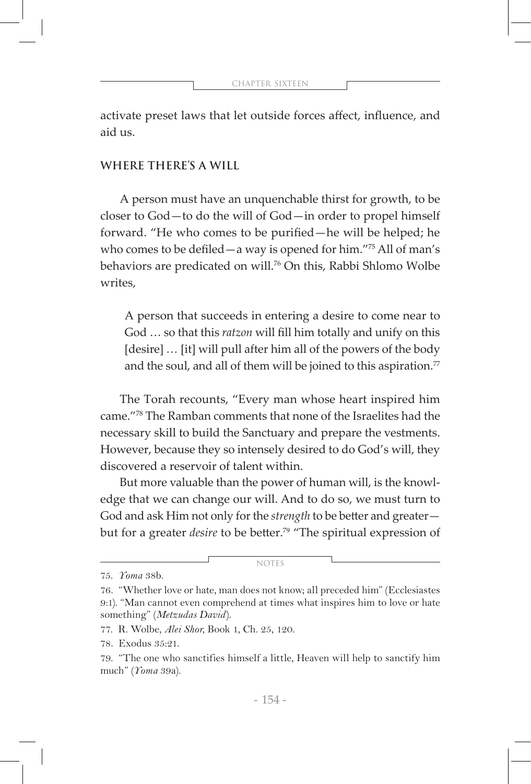activate preset laws that let outside forces affect, influence, and aid us.

## **WHERE THERE'S A WILL**

A person must have an unquenchable thirst for growth, to be closer to God—to do the will of God—in order to propel himself forward. "He who comes to be purified—he will be helped; he who comes to be defiled—a way is opened for him."<sup>75</sup> All of man's behaviors are predicated on will.<sup>76</sup> On this, Rabbi Shlomo Wolbe writes,

A person that succeeds in entering a desire to come near to God … so that this *ratzon* will fill him totally and unify on this [desire] ... [it] will pull after him all of the powers of the body and the soul, and all of them will be joined to this aspiration. $77$ 

The Torah recounts, "Every man whose heart inspired him came."78 The Ramban comments that none of the Israelites had the necessary skill to build the Sanctuary and prepare the vestments. However, because they so intensely desired to do God's will, they discovered a reservoir of talent within.

But more valuable than the power of human will, is the knowledge that we can change our will. And to do so, we must turn to God and ask Him not only for the *strength* to be better and greater but for a greater *desire* to be better.<sup>79</sup> "The spiritual expression of

notes

<sup>75.</sup> *Yoma* 38b.

<sup>76.</sup> "Whether love or hate, man does not know; all preceded him" (Ecclesiastes 9:1). "Man cannot even comprehend at times what inspires him to love or hate something" (*Metzudas David*).

<sup>77.</sup> R. Wolbe, *Alei Shor*, Book 1, Ch. 25, 120.

<sup>78.</sup> Exodus 35:21.

<sup>79.</sup> "The one who sanctifies himself a little, Heaven will help to sanctify him much" (*Yoma* 39a).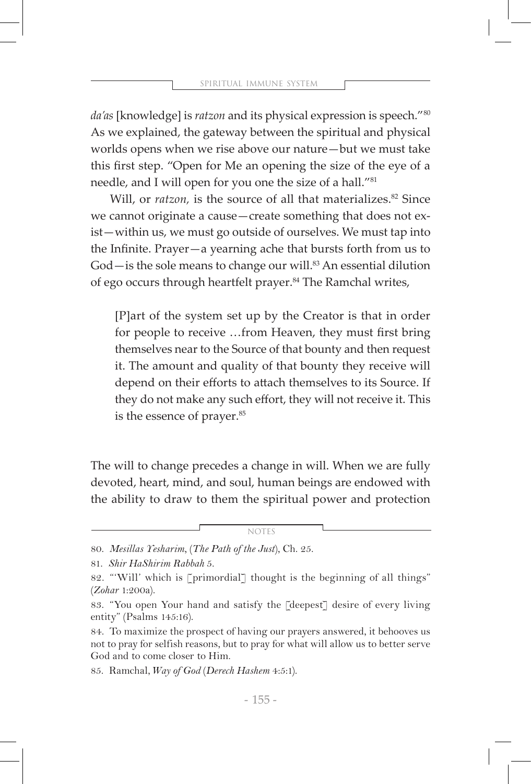*da'as* [knowledge] is *ratzon* and its physical expression is speech."80 As we explained, the gateway between the spiritual and physical worlds opens when we rise above our nature—but we must take this first step. "Open for Me an opening the size of the eye of a needle, and I will open for you one the size of a hall."81

Will, or *ratzon*, is the source of all that materializes.<sup>82</sup> Since we cannot originate a cause—create something that does not exist—within us, we must go outside of ourselves. We must tap into the Infinite. Prayer—a yearning ache that bursts forth from us to  $God—is the sole means to change our will.<sup>83</sup> An essential dilution$ of ego occurs through heartfelt prayer.<sup>84</sup> The Ramchal writes,

[P]art of the system set up by the Creator is that in order for people to receive …from Heaven, they must first bring themselves near to the Source of that bounty and then request it. The amount and quality of that bounty they receive will depend on their efforts to attach themselves to its Source. If they do not make any such effort, they will not receive it. This is the essence of prayer.<sup>85</sup>

The will to change precedes a change in will. When we are fully devoted, heart, mind, and soul, human beings are endowed with the ability to draw to them the spiritual power and protection

notes

<sup>80.</sup> *Mesillas Yesharim,* (*The Path of the Just*), Ch. 25.

<sup>81.</sup> *Shir HaShirim Rabbah* 5.

<sup>82. &</sup>quot;'Will' which is [primordial] thought is the beginning of all things" (*Zohar* 1:200a).

<sup>83.</sup> "You open Your hand and satisfy the [deepest] desire of every living entity" (Psalms 145:16).

<sup>84.</sup> To maximize the prospect of having our prayers answered, it behooves us not to pray for selfish reasons, but to pray for what will allow us to better serve God and to come closer to Him.

<sup>85.</sup> Ramchal, *Way of God* (*Derech Hashem* 4:5:1).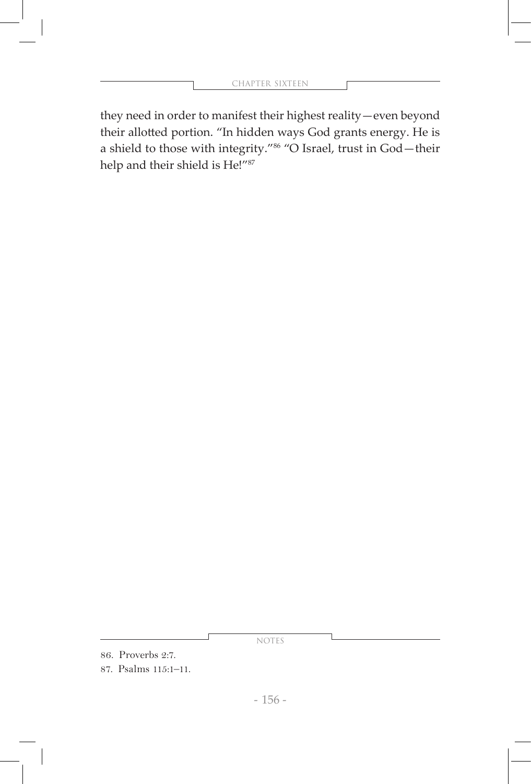| ADTED CIVTEENI<br>. |  |
|---------------------|--|

they need in order to manifest their highest reality—even beyond their allotted portion. "In hidden ways God grants energy. He is a shield to those with integrity."86 "O Israel, trust in God—their help and their shield is He!"<sup>87</sup>

87. Psalms 115:1–11.

<sup>86.</sup> Proverbs 2:7.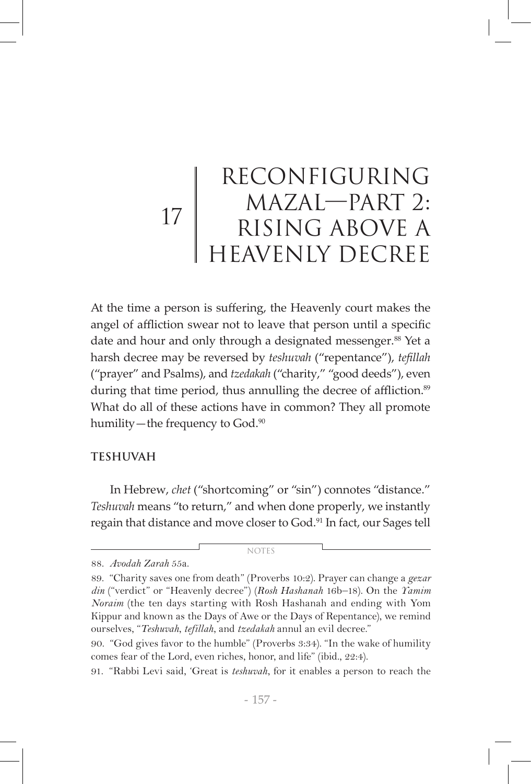## Reconfiguring Mazal—Part 2: Rising Above a Heavenly Decree 17

At the time a person is suffering, the Heavenly court makes the angel of affliction swear not to leave that person until a specific date and hour and only through a designated messenger.<sup>88</sup> Yet a harsh decree may be reversed by *teshuvah* ("repentance"), *tefillah* ("prayer" and Psalms), and *tzedakah* ("charity," "good deeds"), even during that time period, thus annulling the decree of affliction.<sup>89</sup> What do all of these actions have in common? They all promote humility—the frequency to God.<sup>90</sup>

## **TESHUVAH**

In Hebrew, *chet* ("shortcoming" or "sin") connotes "distance." *Teshuvah* means "to return," and when done properly, we instantly regain that distance and move closer to God.91 In fact, our Sages tell

### notes

89. "Charity saves one from death" (Proverbs 10:2). Prayer can change a *gezar din* ("verdict" or "Heavenly decree") (*Rosh Hashanah* 16b–18). On the *Yamim Noraim* (the ten days starting with Rosh Hashanah and ending with Yom Kippur and known as the Days of Awe or the Days of Repentance), we remind ourselves, "*Teshuvah*, *tefillah*, and *tzedakah* annul an evil decree."

90. "God gives favor to the humble" (Proverbs 3:34). "In the wake of humility comes fear of the Lord, even riches, honor, and life" (ibid., 22:4).

91. "Rabbi Levi said, 'Great is *teshuvah*, for it enables a person to reach the

<sup>88.</sup> *Avodah Zarah* 55a.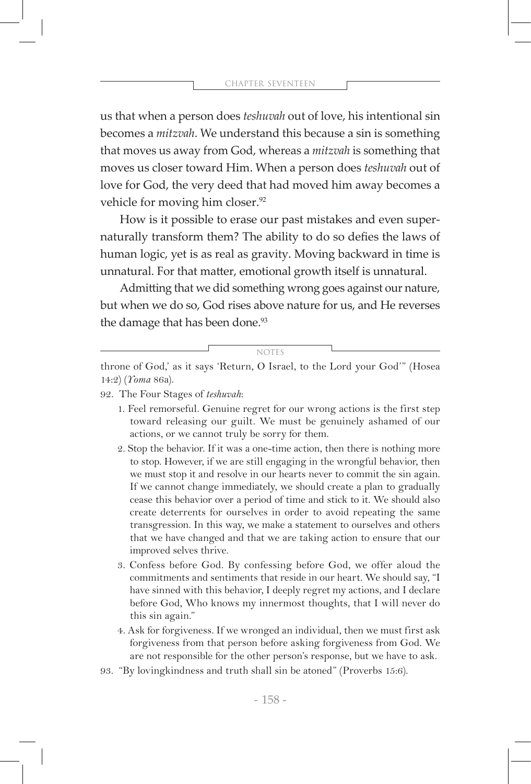us that when a person does *teshuvah* out of love, his intentional sin becomes a *mitzvah*. We understand this because a sin is something that moves us away from God, whereas a *mitzvah* is something that moves us closer toward Him. When a person does *teshuvah* out of love for God, the very deed that had moved him away becomes a vehicle for moving him closer.<sup>92</sup>

How is it possible to erase our past mistakes and even supernaturally transform them? The ability to do so defies the laws of human logic, yet is as real as gravity. Moving backward in time is unnatural. For that matter, emotional growth itself is unnatural.

Admitting that we did something wrong goes against our nature, but when we do so, God rises above nature for us, and He reverses the damage that has been done.<sup>93</sup>

notes

throne of God,' as it says 'Return, O Israel, to the Lord your God'" (Hosea 14:2) (*Yoma* 86a).

- 92. The Four Stages of *teshuvah*:
	- 1. Feel remorseful. Genuine regret for our wrong actions is the first step toward releasing our guilt. We must be genuinely ashamed of our actions, or we cannot truly be sorry for them.
	- 2. Stop the behavior. If it was a one-time action, then there is nothing more to stop. However, if we are still engaging in the wrongful behavior, then we must stop it and resolve in our hearts never to commit the sin again. If we cannot change immediately, we should create a plan to gradually cease this behavior over a period of time and stick to it. We should also create deterrents for ourselves in order to avoid repeating the same transgression. In this way, we make a statement to ourselves and others that we have changed and that we are taking action to ensure that our improved selves thrive.
	- 3. Confess before God. By confessing before God, we offer aloud the commitments and sentiments that reside in our heart. We should say, "I have sinned with this behavior, I deeply regret my actions, and I declare before God, Who knows my innermost thoughts, that I will never do this sin again."
	- 4. Ask for forgiveness. If we wronged an individual, then we must first ask forgiveness from that person before asking forgiveness from God. We are not responsible for the other person's response, but we have to ask.
- 93. "By lovingkindness and truth shall sin be atoned" (Proverbs 15:6).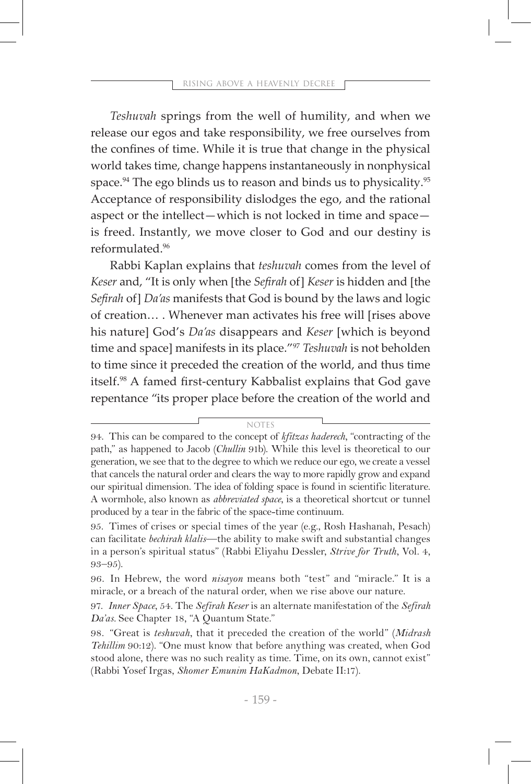*Teshuvah* springs from the well of humility, and when we release our egos and take responsibility, we free ourselves from the confines of time. While it is true that change in the physical world takes time, change happens instantaneously in nonphysical space.<sup>94</sup> The ego blinds us to reason and binds us to physicality.<sup>95</sup> Acceptance of responsibility dislodges the ego, and the rational aspect or the intellect—which is not locked in time and space is freed. Instantly, we move closer to God and our destiny is reformulated.96

Rabbi Kaplan explains that *teshuvah* comes from the level of *Keser* and, "It is only when [the *Sefirah* of] *Keser* is hidden and [the *Sefirah* of] *Da'as* manifests that God is bound by the laws and logic of creation… . Whenever man activates his free will [rises above his nature] God's *Da'as* disappears and *Keser* [which is beyond time and space] manifests in its place."97 *Teshuvah* is not beholden to time since it preceded the creation of the world, and thus time itself.98 A famed first-century Kabbalist explains that God gave repentance "its proper place before the creation of the world and

notes

<sup>94.</sup> This can be compared to the concept of *kfitzas haderech*, "contracting of the path," as happened to Jacob (*Chullin* 91b). While this level is theoretical to our generation, we see that to the degree to which we reduce our ego, we create a vessel that cancels the natural order and clears the way to more rapidly grow and expand our spiritual dimension. The idea of folding space is found in scientific literature. A wormhole, also known as *abbreviated space*, is a theoretical shortcut or tunnel produced by a tear in the fabric of the space-time continuum.

<sup>95.</sup> Times of crises or special times of the year (e.g., Rosh Hashanah, Pesach) can facilitate *bechirah klalis*—the ability to make swift and substantial changes in a person's spiritual status" (Rabbi Eliyahu Dessler, *Strive for Truth*, Vol. 4, 93–95).

<sup>96.</sup> In Hebrew, the word *nisayon* means both "test" and "miracle." It is a miracle, or a breach of the natural order, when we rise above our nature.

<sup>97.</sup> *Inner Space*, 54. The *Sefirah Keser* is an alternate manifestation of the *Sefirah Da'as.* See Chapter 18, "A Quantum State."

<sup>98.</sup> "Great is *teshuvah*, that it preceded the creation of the world" (*Midrash Tehillim* 90:12). "One must know that before anything was created, when God stood alone, there was no such reality as time. Time, on its own, cannot exist" (Rabbi Yosef Irgas, *Shomer Emunim HaKadmon*, Debate II:17).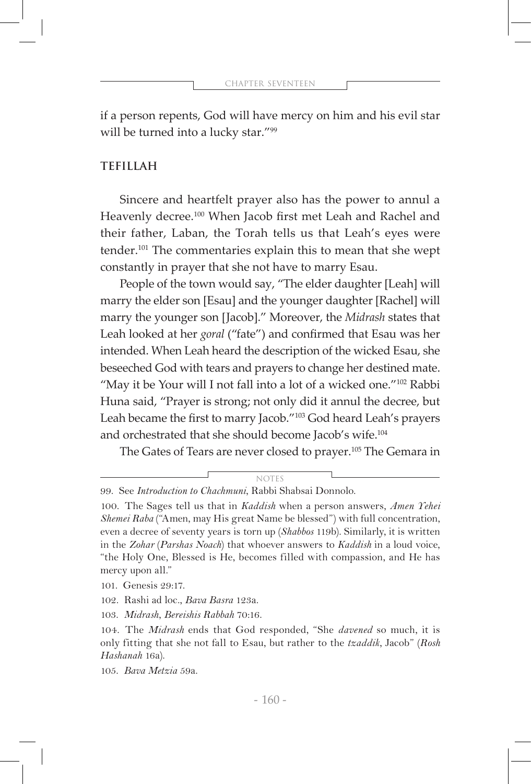|  | <b>CHAPTER SEVENTEEN</b> |
|--|--------------------------|
|--|--------------------------|

if a person repents, God will have mercy on him and his evil star will be turned into a lucky star."<sup>99</sup>

## **TEFILLAH**

Sincere and heartfelt prayer also has the power to annul a Heavenly decree.100 When Jacob first met Leah and Rachel and their father, Laban, the Torah tells us that Leah's eyes were tender.101 The commentaries explain this to mean that she wept constantly in prayer that she not have to marry Esau.

People of the town would say, "The elder daughter [Leah] will marry the elder son [Esau] and the younger daughter [Rachel] will marry the younger son [Jacob]." Moreover, the *Midrash* states that Leah looked at her *goral* ("fate") and confirmed that Esau was her intended. When Leah heard the description of the wicked Esau, she beseeched God with tears and prayers to change her destined mate. "May it be Your will I not fall into a lot of a wicked one."<sup>102</sup> Rabbi Huna said, "Prayer is strong; not only did it annul the decree, but Leah became the first to marry Jacob."103 God heard Leah's prayers and orchestrated that she should become Jacob's wife.<sup>104</sup>

The Gates of Tears are never closed to prayer.<sup>105</sup> The Gemara in

<sup>99.</sup> See *Introduction to Chachmuni*, Rabbi Shabsai Donnolo.

<sup>100.</sup> The Sages tell us that in *Kaddish* when a person answers, *Amen Yehei Shemei Raba* ("Amen, may His great Name be blessed") with full concentration, even a decree of seventy years is torn up (*Shabbos* 119b). Similarly, it is written in the *Zohar* (*Parshas Noach*) that whoever answers to *Kaddish* in a loud voice, "the Holy One, Blessed is He, becomes filled with compassion, and He has mercy upon all."

<sup>101.</sup> Genesis 29:17.

<sup>102.</sup> Rashi ad loc., *Bava Basra* 123a.

<sup>103.</sup> *Midrash*, *Bereishis Rabbah* 70:16.

<sup>104.</sup> The *Midrash* ends that God responded, "She *davened* so much, it is only fitting that she not fall to Esau, but rather to the *tzaddik*, Jacob" (*Rosh Hashanah* 16a).

<sup>105.</sup> *Bava Metzia* 59a.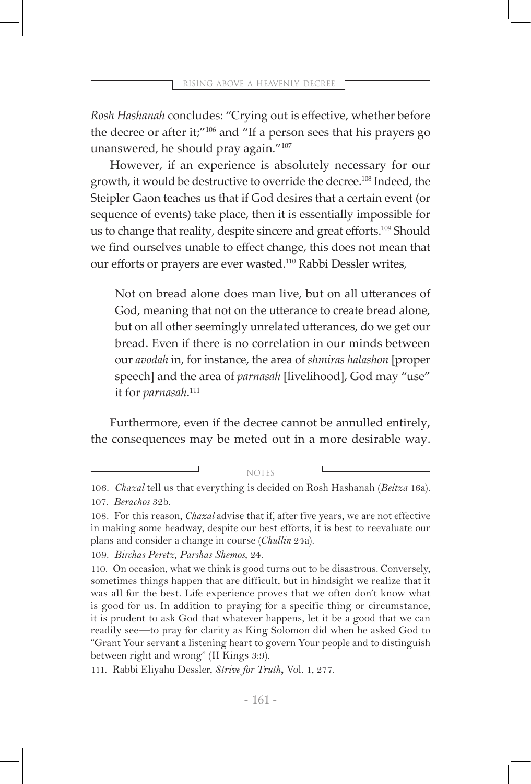*Rosh Hashanah* concludes: "Crying out is effective, whether before the decree or after it;"106 and "If a person sees that his prayers go unanswered, he should pray again."107

However, if an experience is absolutely necessary for our growth, it would be destructive to override the decree.108 Indeed, the Steipler Gaon teaches us that if God desires that a certain event (or sequence of events) take place, then it is essentially impossible for us to change that reality, despite sincere and great efforts.<sup>109</sup> Should we find ourselves unable to effect change, this does not mean that our efforts or prayers are ever wasted.110 Rabbi Dessler writes,

Not on bread alone does man live, but on all utterances of God, meaning that not on the utterance to create bread alone, but on all other seemingly unrelated utterances, do we get our bread. Even if there is no correlation in our minds between our *avodah* in, for instance, the area of *shmiras halashon* [proper speech] and the area of *parnasah* [livelihood], God may "use" it for *parnasah*. 111

Furthermore, even if the decree cannot be annulled entirely, the consequences may be meted out in a more desirable way.

NOTES

106. *Chazal* tell us that everything is decided on Rosh Hashanah (*Beitza* 16a). 107. *Berachos* 32b.

111. Rabbi Eliyahu Dessler, *Strive for Truth*, Vol. 1, 277.

<sup>108.</sup> For this reason, *Chazal* advise that if, after five years, we are not effective in making some headway, despite our best efforts, it is best to reevaluate our plans and consider a change in course (*Chullin* 24a).

<sup>109.</sup> *Birchas Peretz*, *Parshas Shemos*, 24.

<sup>110.</sup> On occasion, what we think is good turns out to be disastrous. Conversely, sometimes things happen that are difficult, but in hindsight we realize that it was all for the best. Life experience proves that we often don't know what is good for us. In addition to praying for a specific thing or circumstance, it is prudent to ask God that whatever happens, let it be a good that we can readily see—to pray for clarity as King Solomon did when he asked God to "Grant Your servant a listening heart to govern Your people and to distinguish between right and wrong" (II Kings 3:9).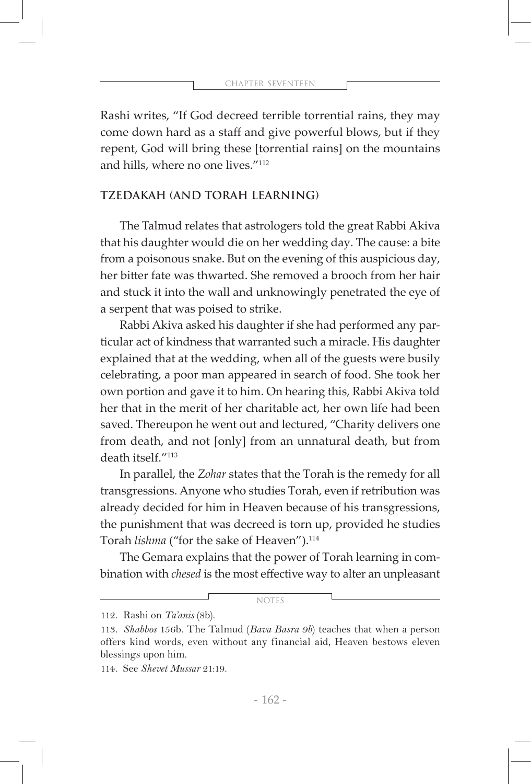Rashi writes, "If God decreed terrible torrential rains, they may come down hard as a staff and give powerful blows, but if they repent, God will bring these [torrential rains] on the mountains and hills, where no one lives."112

## **TZEDAKAH (AND TORAH LEARNING)**

The Talmud relates that astrologers told the great Rabbi Akiva that his daughter would die on her wedding day. The cause: a bite from a poisonous snake. But on the evening of this auspicious day, her bitter fate was thwarted. She removed a brooch from her hair and stuck it into the wall and unknowingly penetrated the eye of a serpent that was poised to strike.

Rabbi Akiva asked his daughter if she had performed any particular act of kindness that warranted such a miracle. His daughter explained that at the wedding, when all of the guests were busily celebrating, a poor man appeared in search of food. She took her own portion and gave it to him. On hearing this, Rabbi Akiva told her that in the merit of her charitable act, her own life had been saved. Thereupon he went out and lectured, "Charity delivers one from death, and not [only] from an unnatural death, but from death itself."113

In parallel, the *Zohar* states that the Torah is the remedy for all transgressions. Anyone who studies Torah, even if retribution was already decided for him in Heaven because of his transgressions, the punishment that was decreed is torn up, provided he studies Torah *lishma* ("for the sake of Heaven").<sup>114</sup>

The Gemara explains that the power of Torah learning in combination with *chesed* is the most effective way to alter an unpleasant

<sup>112.</sup> Rashi on *Ta'anis* (8b).

<sup>113.</sup> *Shabbos* 156b. The Talmud (*Bava Basra 9b*) teaches that when a person offers kind words, even without any financial aid, Heaven bestows eleven blessings upon him.

<sup>114.</sup> See *Shevet Mussar* 21:19.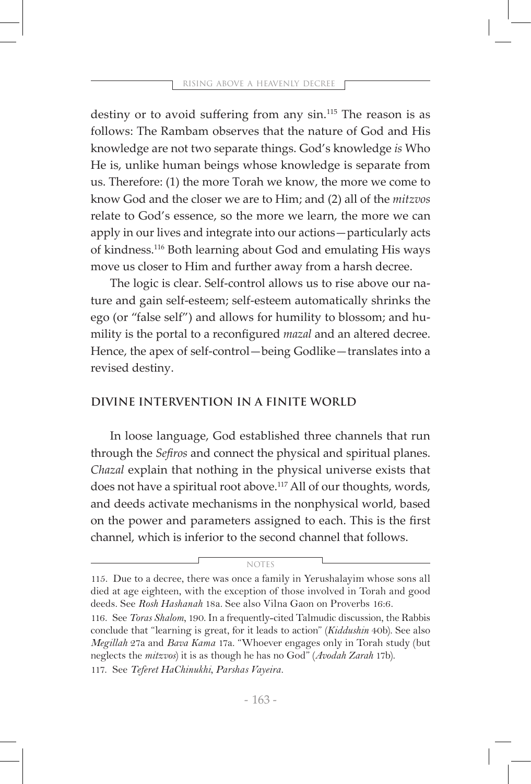### rising above a heavenly decree

destiny or to avoid suffering from any sin.115 The reason is as follows: The Rambam observes that the nature of God and His knowledge are not two separate things. God's knowledge *is* Who He is, unlike human beings whose knowledge is separate from us. Therefore: (1) the more Torah we know, the more we come to know God and the closer we are to Him; and (2) all of the *mitzvos* relate to God's essence, so the more we learn, the more we can apply in our lives and integrate into our actions—particularly acts of kindness.116 Both learning about God and emulating His ways move us closer to Him and further away from a harsh decree.

The logic is clear. Self-control allows us to rise above our nature and gain self-esteem; self-esteem automatically shrinks the ego (or "false self") and allows for humility to blossom; and humility is the portal to a reconfigured *mazal* and an altered decree. Hence, the apex of self-control—being Godlike—translates into a revised destiny.

## **DIVINE INTERVENTION IN A FINITE WORLD**

In loose language, God established three channels that run through the *Sefiros* and connect the physical and spiritual planes. *Chazal* explain that nothing in the physical universe exists that does not have a spiritual root above.<sup>117</sup> All of our thoughts, words, and deeds activate mechanisms in the nonphysical world, based on the power and parameters assigned to each. This is the first channel, which is inferior to the second channel that follows.

notes

117. See *Teferet HaChinukhi, Parshas Vayeira.*

<sup>115.</sup> Due to a decree, there was once a family in Yerushalayim whose sons all died at age eighteen, with the exception of those involved in Torah and good deeds. See *Rosh Hashanah* 18a. See also Vilna Gaon on Proverbs 16:6.

<sup>116.</sup> See *Toras Shalom,* 190. In a frequently-cited Talmudic discussion, the Rabbis conclude that "learning is great, for it leads to action" (*Kiddushin* 40b). See also *Megillah* 27a and *Bava Kama* 17a. "Whoever engages only in Torah study (but neglects the *mitzvos*) it is as though he has no God" (*Avodah Zarah* 17b).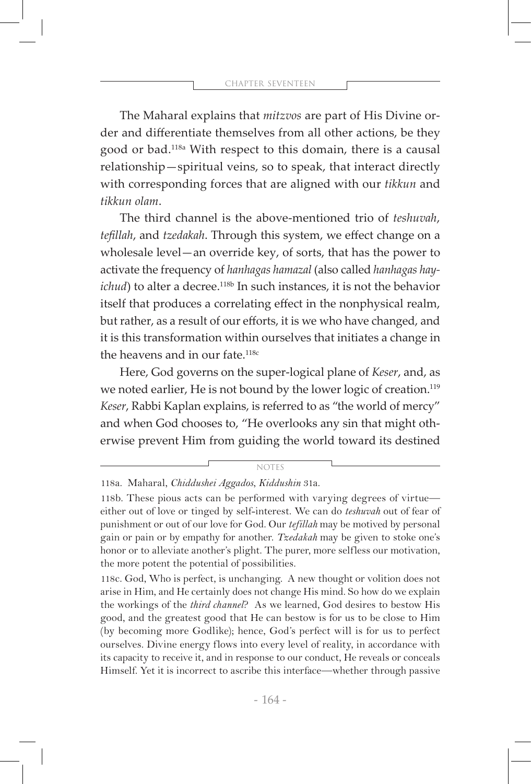The Maharal explains that *mitzvos* are part of His Divine order and differentiate themselves from all other actions, be they good or bad.118a With respect to this domain, there is a causal relationship—spiritual veins, so to speak, that interact directly with corresponding forces that are aligned with our *tikkun* and *tikkun olam*.

The third channel is the above-mentioned trio of *teshuvah*, *tefillah*, and *tzedakah*. Through this system, we effect change on a wholesale level—an override key, of sorts, that has the power to activate the frequency of *hanhagas hamazal* (also called *hanhagas hayichud*) to alter a decree.<sup>118b</sup> In such instances, it is not the behavior itself that produces a correlating effect in the nonphysical realm, but rather, as a result of our efforts, it is we who have changed, and it is this transformation within ourselves that initiates a change in the heavens and in our fate. $118c$ 

Here, God governs on the super-logical plane of *Keser*, and, as we noted earlier, He is not bound by the lower logic of creation.<sup>119</sup> *Keser*, Rabbi Kaplan explains, is referred to as "the world of mercy" and when God chooses to, "He overlooks any sin that might otherwise prevent Him from guiding the world toward its destined

118c. God, Who is perfect, is unchanging. A new thought or volition does not arise in Him, and He certainly does not change His mind. So how do we explain the workings of the *third channel*? As we learned, God desires to bestow His good, and the greatest good that He can bestow is for us to be close to Him (by becoming more Godlike); hence, God's perfect will is for us to perfect ourselves. Divine energy flows into every level of reality, in accordance with its capacity to receive it, and in response to our conduct, He reveals or conceals Himself. Yet it is incorrect to ascribe this interface—whether through passive

notes

<sup>118</sup>a. Maharal, *Chiddushei Aggados*, *Kiddushin* 31a.

<sup>118</sup>b. These pious acts can be performed with varying degrees of virtue either out of love or tinged by self-interest. We can do *teshuvah* out of fear of punishment or out of our love for God. Our *tefillah* may be motived by personal gain or pain or by empathy for another. *Tzedakah* may be given to stoke one's honor or to alleviate another's plight. The purer, more selfless our motivation, the more potent the potential of possibilities.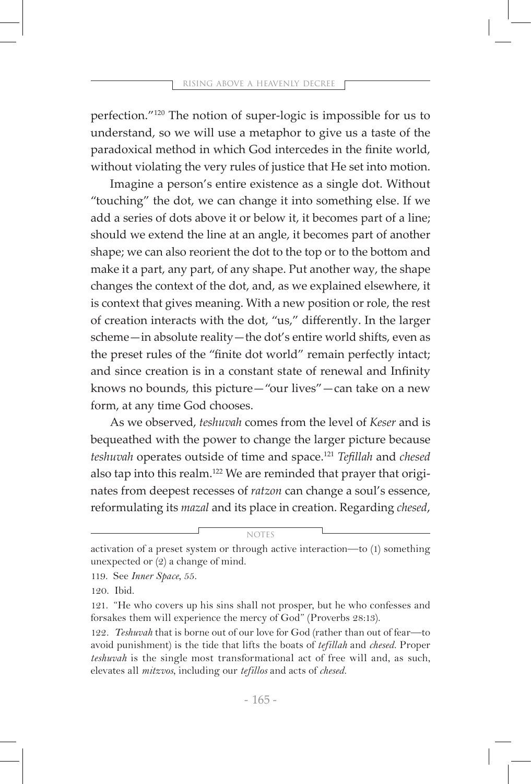perfection."120 The notion of super-logic is impossible for us to understand, so we will use a metaphor to give us a taste of the paradoxical method in which God intercedes in the finite world, without violating the very rules of justice that He set into motion.

Imagine a person's entire existence as a single dot. Without "touching" the dot, we can change it into something else. If we add a series of dots above it or below it, it becomes part of a line; should we extend the line at an angle, it becomes part of another shape; we can also reorient the dot to the top or to the bottom and make it a part, any part, of any shape. Put another way, the shape changes the context of the dot, and, as we explained elsewhere, it is context that gives meaning. With a new position or role, the rest of creation interacts with the dot, "us," differently. In the larger scheme—in absolute reality—the dot's entire world shifts, even as the preset rules of the "finite dot world" remain perfectly intact; and since creation is in a constant state of renewal and Infinity knows no bounds, this picture—"our lives"—can take on a new form, at any time God chooses.

As we observed, *teshuvah* comes from the level of *Keser* and is bequeathed with the power to change the larger picture because *teshuvah* operates outside of time and space.121 *Tefillah* and *chesed* also tap into this realm.122 We are reminded that prayer that originates from deepest recesses of *ratzon* can change a soul's essence, reformulating its *mazal* and its place in creation. Regarding *chesed*,

#### **NOTES**

activation of a preset system or through active interaction—to (1) something unexpected or  $(2)$  a change of mind.

<sup>119.</sup> See *Inner Space*, 55.

<sup>120.</sup> Ibid.

<sup>121.</sup> "He who covers up his sins shall not prosper, but he who confesses and forsakes them will experience the mercy of God" (Proverbs 28:13).

<sup>122.</sup> *Teshuvah* that is borne out of our love for God (rather than out of fear—to avoid punishment) is the tide that lifts the boats of *tefillah* and *chesed*. Proper *teshuvah* is the single most transformational act of free will and, as such, elevates all *mitzvos*, including our *tefillos* and acts of *chesed*.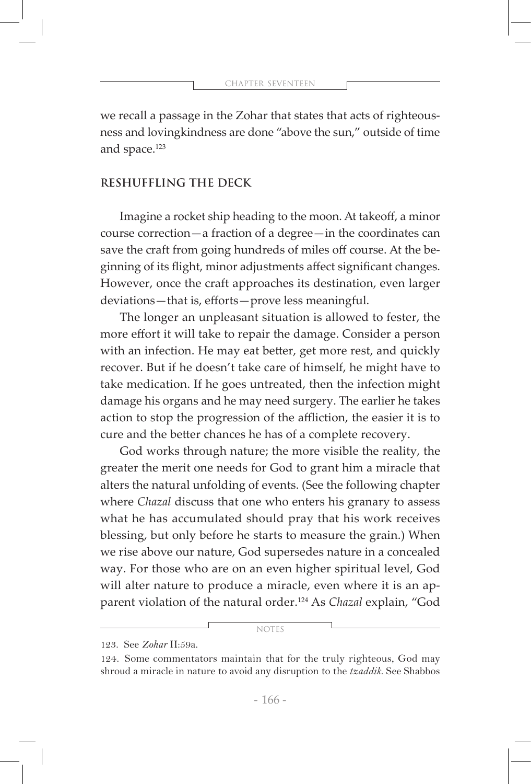we recall a passage in the Zohar that states that acts of righteousness and lovingkindness are done "above the sun," outside of time and space.<sup>123</sup>

## **RESHUFFLING THE DECK**

Imagine a rocket ship heading to the moon. At takeoff, a minor course correction—a fraction of a degree—in the coordinates can save the craft from going hundreds of miles off course. At the beginning of its flight, minor adjustments affect significant changes. However, once the craft approaches its destination, even larger deviations—that is, efforts—prove less meaningful.

The longer an unpleasant situation is allowed to fester, the more effort it will take to repair the damage. Consider a person with an infection. He may eat better, get more rest, and quickly recover. But if he doesn't take care of himself, he might have to take medication. If he goes untreated, then the infection might damage his organs and he may need surgery. The earlier he takes action to stop the progression of the affliction, the easier it is to cure and the better chances he has of a complete recovery.

God works through nature; the more visible the reality, the greater the merit one needs for God to grant him a miracle that alters the natural unfolding of events. (See the following chapter where *Chazal* discuss that one who enters his granary to assess what he has accumulated should pray that his work receives blessing, but only before he starts to measure the grain.) When we rise above our nature, God supersedes nature in a concealed way. For those who are on an even higher spiritual level, God will alter nature to produce a miracle, even where it is an apparent violation of the natural order.124 As *Chazal* explain, "God

<sup>123.</sup> See *Zohar* II:59a.

<sup>124.</sup> Some commentators maintain that for the truly righteous, God may shroud a miracle in nature to avoid any disruption to the *tzaddik*. See Shabbos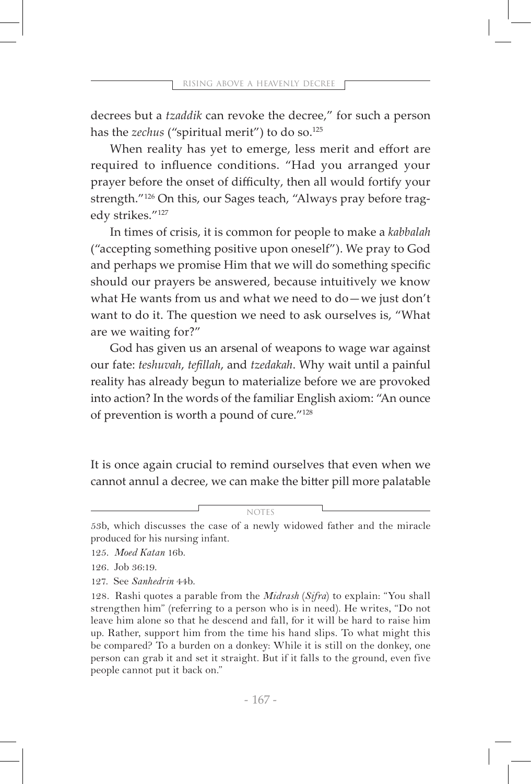decrees but a *tzaddik* can revoke the decree," for such a person has the *zechus* ("spiritual merit") to do so.<sup>125</sup>

When reality has yet to emerge, less merit and effort are required to influence conditions. "Had you arranged your prayer before the onset of difficulty, then all would fortify your strength."126 On this, our Sages teach, "Always pray before tragedy strikes."127

In times of crisis, it is common for people to make a *kabbalah* ("accepting something positive upon oneself"). We pray to God and perhaps we promise Him that we will do something specific should our prayers be answered, because intuitively we know what He wants from us and what we need to do—we just don't want to do it. The question we need to ask ourselves is, "What are we waiting for?"

God has given us an arsenal of weapons to wage war against our fate: *teshuvah*, *tefillah*, and *tzedakah*. Why wait until a painful reality has already begun to materialize before we are provoked into action? In the words of the familiar English axiom: "An ounce of prevention is worth a pound of cure."128

It is once again crucial to remind ourselves that even when we cannot annul a decree, we can make the bitter pill more palatable

#### notes

125. *Moed Katan* 16b.

127. See *Sanhedrin* 44b.

128. Rashi quotes a parable from the *Midrash* (*Sifra*) to explain: "You shall strengthen him" (referring to a person who is in need). He writes, "Do not leave him alone so that he descend and fall, for it will be hard to raise him up. Rather, support him from the time his hand slips. To what might this be compared? To a burden on a donkey: While it is still on the donkey, one person can grab it and set it straight. But if it falls to the ground, even five people cannot put it back on."

<sup>53</sup>b, which discusses the case of a newly widowed father and the miracle produced for his nursing infant.

<sup>126.</sup> Job 36:19.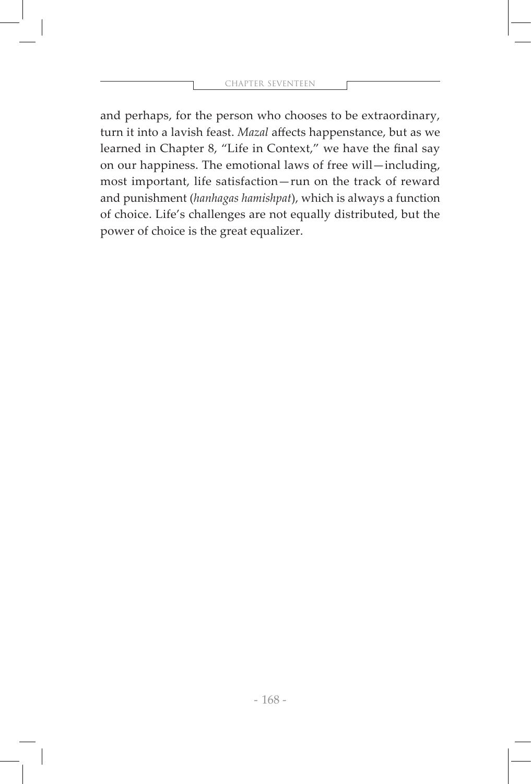## chapter seventeen

and perhaps, for the person who chooses to be extraordinary, turn it into a lavish feast. *Mazal* affects happenstance, but as we learned in Chapter 8, "Life in Context," we have the final say on our happiness. The emotional laws of free will—including, most important, life satisfaction—run on the track of reward and punishment (*hanhagas hamishpat*), which is always a function of choice. Life's challenges are not equally distributed, but the power of choice is the great equalizer.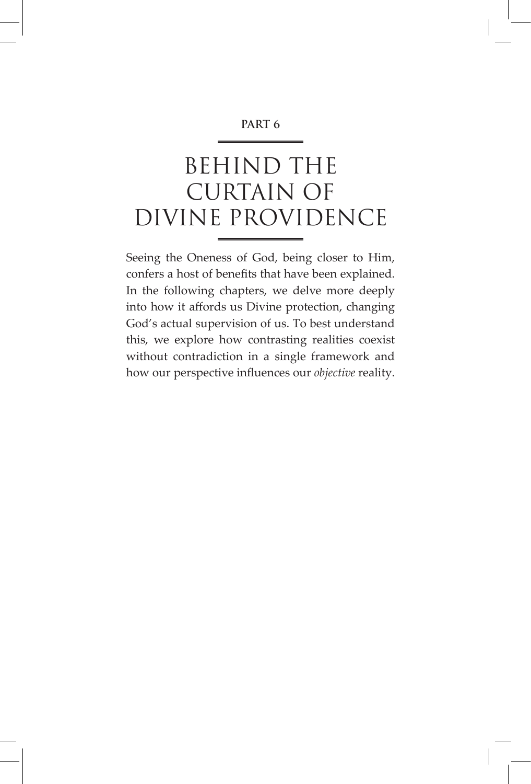## **part 6**

# Behind the CURTAIN OF divine Providence

Seeing the Oneness of God, being closer to Him, confers a host of benefits that have been explained. In the following chapters, we delve more deeply into how it affords us Divine protection, changing God's actual supervision of us. To best understand this, we explore how contrasting realities coexist without contradiction in a single framework and how our perspective influences our *objective* reality.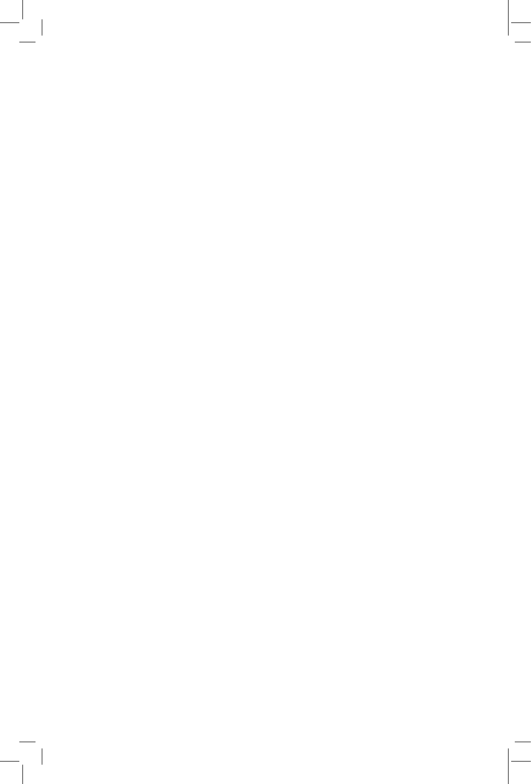$\begin{array}{ccc} \begin{array}{ccc} \end{array} & \begin{array}{ccc} \end{array} & \end{array}$  $\frac{1}{\sqrt{2}}$ 

Ξ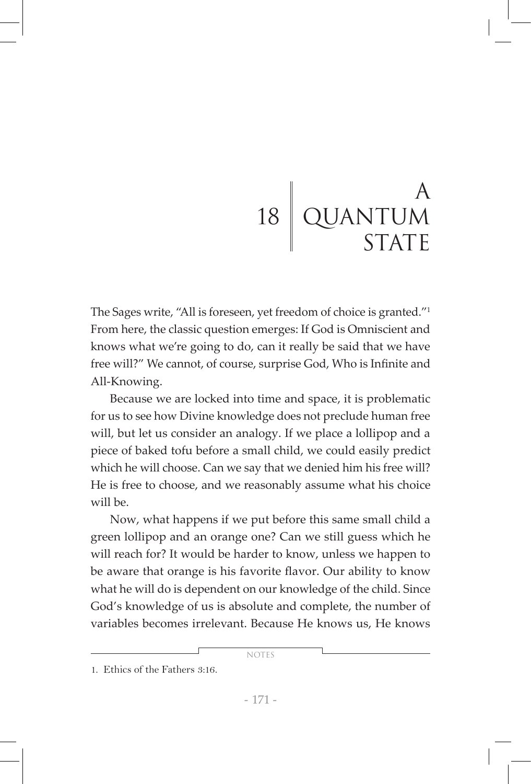## A Quantum **STATE** 18

The Sages write, "All is foreseen, yet freedom of choice is granted."1 From here, the classic question emerges: If God is Omniscient and knows what we're going to do, can it really be said that we have free will?" We cannot, of course, surprise God, Who is Infinite and All-Knowing.

Because we are locked into time and space, it is problematic for us to see how Divine knowledge does not preclude human free will, but let us consider an analogy. If we place a lollipop and a piece of baked tofu before a small child, we could easily predict which he will choose. Can we say that we denied him his free will? He is free to choose, and we reasonably assume what his choice will be.

Now, what happens if we put before this same small child a green lollipop and an orange one? Can we still guess which he will reach for? It would be harder to know, unless we happen to be aware that orange is his favorite flavor. Our ability to know what he will do is dependent on our knowledge of the child. Since God's knowledge of us is absolute and complete, the number of variables becomes irrelevant. Because He knows us, He knows

<sup>1.</sup> Ethics of the Fathers 3:16.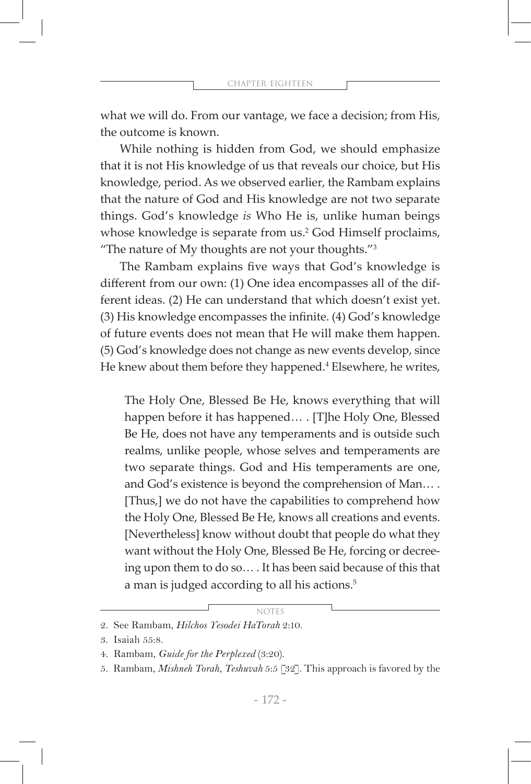what we will do. From our vantage, we face a decision; from His, the outcome is known.

While nothing is hidden from God, we should emphasize that it is not His knowledge of us that reveals our choice, but His knowledge, period. As we observed earlier, the Rambam explains that the nature of God and His knowledge are not two separate things. God's knowledge *is* Who He is, unlike human beings whose knowledge is separate from us.<sup>2</sup> God Himself proclaims, "The nature of My thoughts are not your thoughts."3

The Rambam explains five ways that God's knowledge is different from our own: (1) One idea encompasses all of the different ideas. (2) He can understand that which doesn't exist yet. (3) His knowledge encompasses the infinite. (4) God's knowledge of future events does not mean that He will make them happen. (5) God's knowledge does not change as new events develop, since He knew about them before they happened.<sup>4</sup> Elsewhere, he writes,

The Holy One, Blessed Be He, knows everything that will happen before it has happened… . [T]he Holy One, Blessed Be He, does not have any temperaments and is outside such realms, unlike people, whose selves and temperaments are two separate things. God and His temperaments are one, and God's existence is beyond the comprehension of Man… . [Thus,] we do not have the capabilities to comprehend how the Holy One, Blessed Be He, knows all creations and events. [Nevertheless] know without doubt that people do what they want without the Holy One, Blessed Be He, forcing or decreeing upon them to do so… . It has been said because of this that a man is judged according to all his actions.<sup>5</sup>

notes

<sup>2.</sup> See Rambam, *Hilchos Yesodei HaTorah* 2:10.

<sup>3.</sup> Isaiah 55:8.

<sup>4.</sup> Rambam, *Guide for the Perplexed* (3:20).

<sup>5.</sup> Rambam, *Mishneh Torah*, *Teshuvah* 5:5 [32]. This approach is favored by the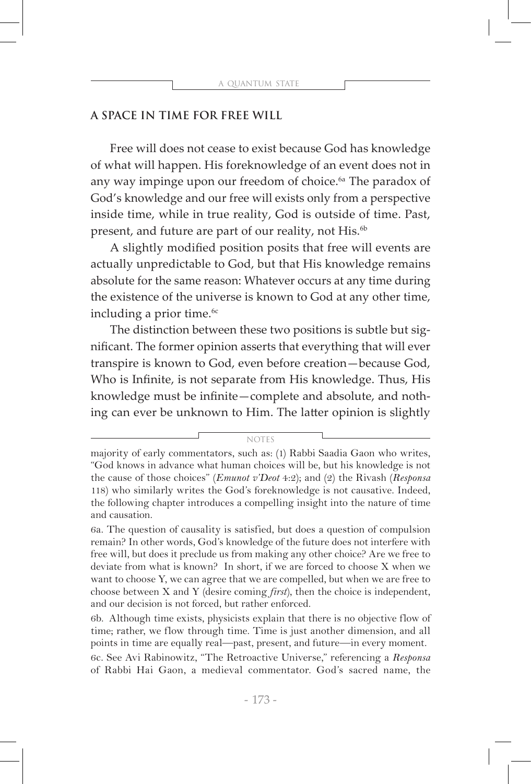## **A SPACE IN TIME FOR FREE WILL**

Free will does not cease to exist because God has knowledge of what will happen. His foreknowledge of an event does not in any way impinge upon our freedom of choice.<sup>6a</sup> The paradox of God's knowledge and our free will exists only from a perspective inside time, while in true reality, God is outside of time. Past, present, and future are part of our reality, not His.<sup>6b</sup>

A slightly modified position posits that free will events are actually unpredictable to God, but that His knowledge remains absolute for the same reason: Whatever occurs at any time during the existence of the universe is known to God at any other time, including a prior time. $6c$ 

The distinction between these two positions is subtle but significant. The former opinion asserts that everything that will ever transpire is known to God, even before creation—because God, Who is Infinite, is not separate from His knowledge. Thus, His knowledge must be infinite—complete and absolute, and nothing can ever be unknown to Him. The latter opinion is slightly

#### notes

6a. The question of causality is satisfied, but does a question of compulsion remain? In other words, God's knowledge of the future does not interfere with free will, but does it preclude us from making any other choice? Are we free to deviate from what is known? In short, if we are forced to choose X when we want to choose Y, we can agree that we are compelled, but when we are free to choose between X and Y (desire coming *first*), then the choice is independent, and our decision is not forced, but rather enforced.

6b. Although time exists, physicists explain that there is no objective flow of time; rather, we flow through time. Time is just another dimension, and all points in time are equally real—past, present, and future—in every moment.

6c. See Avi Rabinowitz, "The Retroactive Universe," referencing a *Responsa* of Rabbi Hai Gaon, a medieval commentator. God's sacred name, the

majority of early commentators, such as: (1) Rabbi Saadia Gaon who writes, "God knows in advance what human choices will be, but his knowledge is not the cause of those choices" (*Emunot v'Deot* 4:2); and (2) the Rivash (*Responsa* 118) who similarly writes the God's foreknowledge is not causative. Indeed, the following chapter introduces a compelling insight into the nature of time and causation.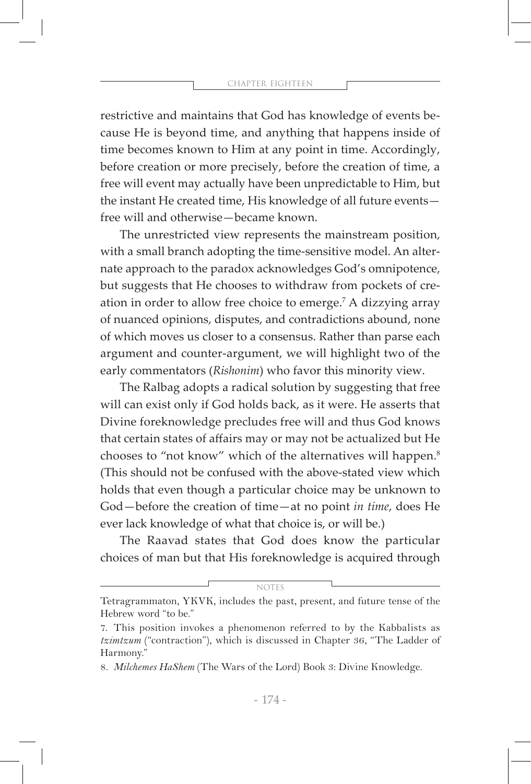#### chapter eighteen

restrictive and maintains that God has knowledge of events because He is beyond time, and anything that happens inside of time becomes known to Him at any point in time. Accordingly, before creation or more precisely, before the creation of time, a free will event may actually have been unpredictable to Him, but the instant He created time, His knowledge of all future events free will and otherwise—became known.

The unrestricted view represents the mainstream position, with a small branch adopting the time-sensitive model. An alternate approach to the paradox acknowledges God's omnipotence, but suggests that He chooses to withdraw from pockets of creation in order to allow free choice to emerge.7 A dizzying array of nuanced opinions, disputes, and contradictions abound, none of which moves us closer to a consensus. Rather than parse each argument and counter-argument, we will highlight two of the early commentators (*Rishonim*) who favor this minority view.

The Ralbag adopts a radical solution by suggesting that free will can exist only if God holds back, as it were. He asserts that Divine foreknowledge precludes free will and thus God knows that certain states of affairs may or may not be actualized but He chooses to "not know" which of the alternatives will happen.<sup>8</sup> (This should not be confused with the above-stated view which holds that even though a particular choice may be unknown to God—before the creation of time—at no point *in time*, does He ever lack knowledge of what that choice is, or will be.)

The Raavad states that God does know the particular choices of man but that His foreknowledge is acquired through

notes

Tetragrammaton, YKVK, includes the past, present, and future tense of the Hebrew word "to be."

<sup>7.</sup> This position invokes a phenomenon referred to by the Kabbalists as *tzimtzum* ("contraction"), which is discussed in Chapter 36, "The Ladder of Harmony.'

<sup>8.</sup> *Milchemes HaShem* (The Wars of the Lord) Book 3: Divine Knowledge.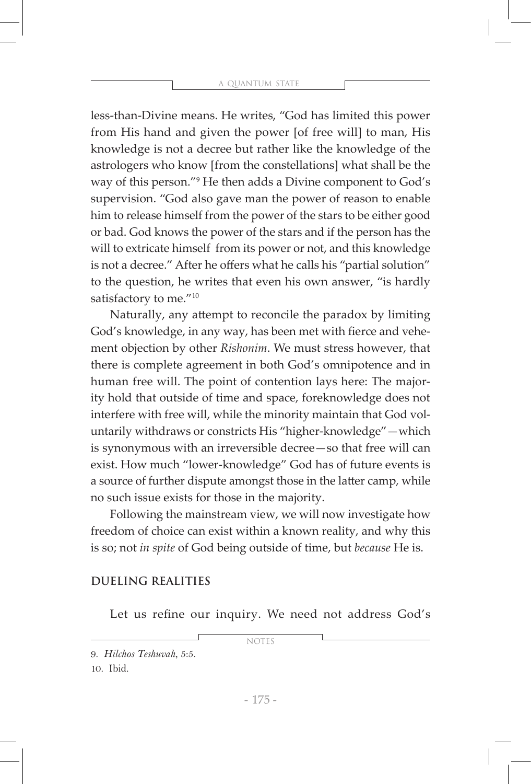less-than-Divine means. He writes, "God has limited this power from His hand and given the power [of free will] to man, His knowledge is not a decree but rather like the knowledge of the astrologers who know [from the constellations] what shall be the way of this person."<sup>9</sup> He then adds a Divine component to God's supervision. "God also gave man the power of reason to enable him to release himself from the power of the stars to be either good or bad. God knows the power of the stars and if the person has the will to extricate himself from its power or not, and this knowledge is not a decree." After he offers what he calls his "partial solution" to the question, he writes that even his own answer, "is hardly satisfactory to me."10

Naturally, any attempt to reconcile the paradox by limiting God's knowledge, in any way, has been met with fierce and vehement objection by other *Rishonim*. We must stress however, that there is complete agreement in both God's omnipotence and in human free will. The point of contention lays here: The majority hold that outside of time and space, foreknowledge does not interfere with free will, while the minority maintain that God voluntarily withdraws or constricts His "higher-knowledge"—which is synonymous with an irreversible decree—so that free will can exist. How much "lower-knowledge" God has of future events is a source of further dispute amongst those in the latter camp, while no such issue exists for those in the majority.

Following the mainstream view, we will now investigate how freedom of choice can exist within a known reality, and why this is so; not *in spite* of God being outside of time, but *because* He is.

## **DUELING REALITIES**

Let us refine our inquiry. We need not address God's

10. Ibid.

<sup>9.</sup> *Hilchos Teshuvah*, 5:5.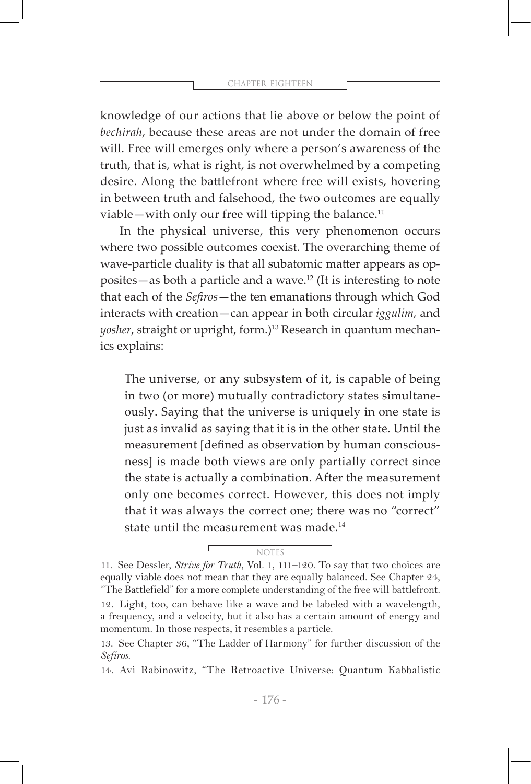#### chapter eighteen

knowledge of our actions that lie above or below the point of *bechirah*, because these areas are not under the domain of free will. Free will emerges only where a person's awareness of the truth, that is, what is right, is not overwhelmed by a competing desire. Along the battlefront where free will exists, hovering in between truth and falsehood, the two outcomes are equally viable—with only our free will tipping the balance.<sup>11</sup>

In the physical universe, this very phenomenon occurs where two possible outcomes coexist. The overarching theme of wave-particle duality is that all subatomic matter appears as opposites—as both a particle and a wave.12 (It is interesting to note that each of the *Sefiros*—the ten emanations through which God interacts with creation—can appear in both circular *iggulim,* and *yosher*, straight or upright, form.)<sup>13</sup> Research in quantum mechanics explains:

The universe, or any subsystem of it, is capable of being in two (or more) mutually contradictory states simultaneously. Saying that the universe is uniquely in one state is just as invalid as saying that it is in the other state. Until the measurement [defined as observation by human consciousness] is made both views are only partially correct since the state is actually a combination. After the measurement only one becomes correct. However, this does not imply that it was always the correct one; there was no "correct" state until the measurement was made.<sup>14</sup>

<sup>11.</sup> See Dessler, *Strive for Truth*, Vol. 1, 111–120. To say that two choices are equally viable does not mean that they are equally balanced. See Chapter 24, "The Battlefield" for a more complete understanding of the free will battlefront.

<sup>12.</sup> Light, too, can behave like a wave and be labeled with a wavelength, a frequency, and a velocity, but it also has a certain amount of energy and momentum. In those respects, it resembles a particle.

<sup>13.</sup> See Chapter 36, "The Ladder of Harmony" for further discussion of the *Sefiros*.

<sup>14.</sup> Avi Rabinowitz, "The Retroactive Universe: Quantum Kabbalistic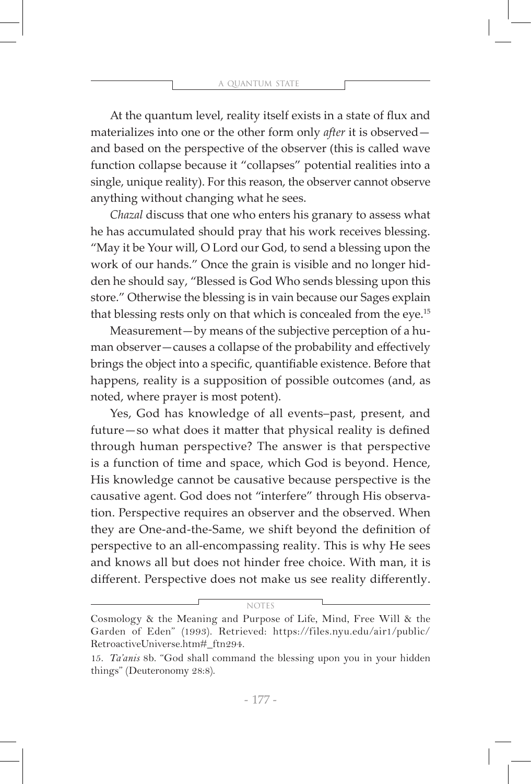At the quantum level, reality itself exists in a state of flux and materializes into one or the other form only *after* it is observed and based on the perspective of the observer (this is called wave function collapse because it "collapses" potential realities into a single, unique reality). For this reason, the observer cannot observe anything without changing what he sees.

*Chazal* discuss that one who enters his granary to assess what he has accumulated should pray that his work receives blessing. "May it be Your will, O Lord our God, to send a blessing upon the work of our hands." Once the grain is visible and no longer hidden he should say, "Blessed is God Who sends blessing upon this store." Otherwise the blessing is in vain because our Sages explain that blessing rests only on that which is concealed from the eye.15

Measurement—by means of the subjective perception of a human observer—causes a collapse of the probability and effectively brings the object into a specific, quantifiable existence. Before that happens, reality is a supposition of possible outcomes (and, as noted, where prayer is most potent).

Yes, God has knowledge of all events–past, present, and future—so what does it matter that physical reality is defined through human perspective? The answer is that perspective is a function of time and space, which God is beyond. Hence, His knowledge cannot be causative because perspective is the causative agent. God does not "interfere" through His observation. Perspective requires an observer and the observed. When they are One-and-the-Same, we shift beyond the definition of perspective to an all-encompassing reality. This is why He sees and knows all but does not hinder free choice. With man, it is different. Perspective does not make us see reality differently.

Cosmology & the Meaning and Purpose of Life, Mind, Free Will & the Garden of Eden" (1993). Retrieved: https://files.nyu.edu/air1/public/ RetroactiveUniverse.htm#\_ftn294.

<sup>15.</sup> *Ta'anis* 8b. "God shall command the blessing upon you in your hidden things" (Deuteronomy 28:8).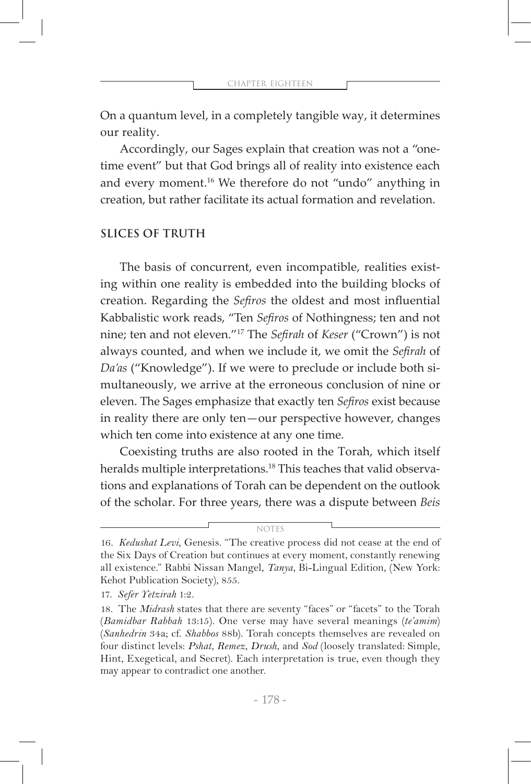On a quantum level, in a completely tangible way, it determines our reality.

Accordingly, our Sages explain that creation was not a "onetime event" but that God brings all of reality into existence each and every moment.<sup>16</sup> We therefore do not "undo" anything in creation, but rather facilitate its actual formation and revelation.

# **SLICES OF TRUTH**

The basis of concurrent, even incompatible, realities existing within one reality is embedded into the building blocks of creation. Regarding the *Sefiros* the oldest and most influential Kabbalistic work reads, "Ten *Sefiros* of Nothingness; ten and not nine; ten and not eleven."17 The *Sefirah* of *Keser* ("Crown") is not always counted, and when we include it, we omit the *Sefirah* of *Da'as* ("Knowledge"). If we were to preclude or include both simultaneously, we arrive at the erroneous conclusion of nine or eleven. The Sages emphasize that exactly ten *Sefiros* exist because in reality there are only ten—our perspective however, changes which ten come into existence at any one time.

Coexisting truths are also rooted in the Torah, which itself heralds multiple interpretations.<sup>18</sup> This teaches that valid observations and explanations of Torah can be dependent on the outlook of the scholar. For three years, there was a dispute between *Beis*

<sup>16.</sup> *Kedushat Levi*, Genesis. "The creative process did not cease at the end of the Six Days of Creation but continues at every moment, constantly renewing all existence." Rabbi Nissan Mangel, *Tanya*, Bi-Lingual Edition, (New York: Kehot Publication Society), 855.

<sup>17.</sup> *Sefer Yetzirah* 1:2.

<sup>18.</sup> The *Midrash* states that there are seventy "faces" or "facets" to the Torah (*Bamidbar Rabbah* 13:15). One verse may have several meanings (*te'amim*) (*Sanhedrin* 34a; cf. *Shabbos* 88b). Torah concepts themselves are revealed on four distinct levels: *Pshat*, *Remez*, *Drush*, and *Sod* (loosely translated: Simple, Hint, Exegetical, and Secret). Each interpretation is true, even though they may appear to contradict one another.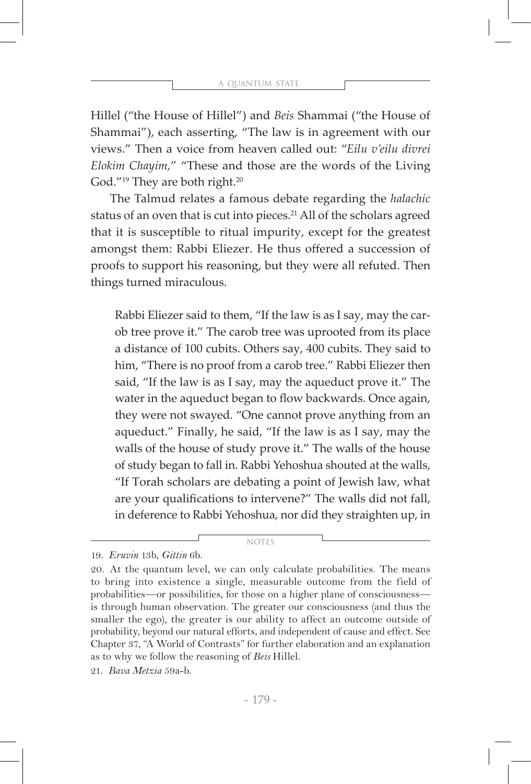Hillel ("the House of Hillel") and *Beis* Shammai ("the House of Shammai"), each asserting, "The law is in agreement with our views." Then a voice from heaven called out: "*Eilu v'eilu divrei Elokim Chayim,*" "These and those are the words of the Living God."<sup>19</sup> They are both right.<sup>20</sup>

The Talmud relates a famous debate regarding the *halachic* status of an oven that is cut into pieces.<sup>21</sup> All of the scholars agreed that it is susceptible to ritual impurity, except for the greatest amongst them: Rabbi Eliezer. He thus offered a succession of proofs to support his reasoning, but they were all refuted. Then things turned miraculous.

Rabbi Eliezer said to them, "If the law is as I say, may the carob tree prove it." The carob tree was uprooted from its place a distance of 100 cubits. Others say, 400 cubits. They said to him, "There is no proof from a carob tree." Rabbi Eliezer then said, "If the law is as I say, may the aqueduct prove it." The water in the aqueduct began to flow backwards. Once again, they were not swayed. "One cannot prove anything from an aqueduct." Finally, he said, "If the law is as I say, may the walls of the house of study prove it." The walls of the house of study began to fall in. Rabbi Yehoshua shouted at the walls, "If Torah scholars are debating a point of Jewish law, what are your qualifications to intervene?" The walls did not fall, in deference to Rabbi Yehoshua, nor did they straighten up, in

21. *Bava Metzia* 59a-b.

notes

<sup>19.</sup> *Eruvin* 13b, *Gittin* 6b.

<sup>20.</sup> At the quantum level, we can only calculate probabilities. The means to bring into existence a single, measurable outcome from the field of probabilities—or possibilities, for those on a higher plane of consciousness is through human observation. The greater our consciousness (and thus the smaller the ego), the greater is our ability to affect an outcome outside of probability, beyond our natural efforts, and independent of cause and effect. See Chapter 37, "A World of Contrasts" for further elaboration and an explanation as to why we follow the reasoning of *Beis* Hillel.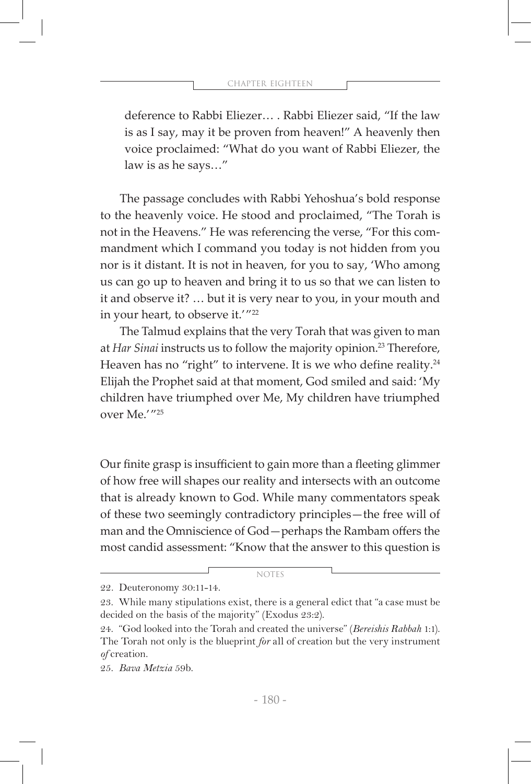#### chapter eighteen

deference to Rabbi Eliezer… . Rabbi Eliezer said, "If the law is as I say, may it be proven from heaven!" A heavenly then voice proclaimed: "What do you want of Rabbi Eliezer, the law is as he says…"

The passage concludes with Rabbi Yehoshua's bold response to the heavenly voice. He stood and proclaimed, "The Torah is not in the Heavens." He was referencing the verse, "For this commandment which I command you today is not hidden from you nor is it distant. It is not in heaven, for you to say, 'Who among us can go up to heaven and bring it to us so that we can listen to it and observe it? … but it is very near to you, in your mouth and in your heart, to observe it.'"<sup>22</sup>

The Talmud explains that the very Torah that was given to man at *Har Sinai* instructs us to follow the majority opinion.<sup>23</sup> Therefore, Heaven has no "right" to intervene. It is we who define reality.<sup>24</sup> Elijah the Prophet said at that moment, God smiled and said: 'My children have triumphed over Me, My children have triumphed over Me.' "<sup>25</sup>

Our finite grasp is insufficient to gain more than a fleeting glimmer of how free will shapes our reality and intersects with an outcome that is already known to God. While many commentators speak of these two seemingly contradictory principles—the free will of man and the Omniscience of God—perhaps the Rambam offers the most candid assessment: "Know that the answer to this question is

<sup>22.</sup> Deuteronomy 30:11-14.

<sup>23.</sup> While many stipulations exist, there is a general edict that "a case must be decided on the basis of the majority" (Exodus 23:2).

<sup>24.</sup> "God looked into the Torah and created the universe" (*Bereishis Rabbah* 1:1). The Torah not only is the blueprint *for* all of creation but the very instrument *of* creation.

<sup>25.</sup> *Bava Metzia* 59b.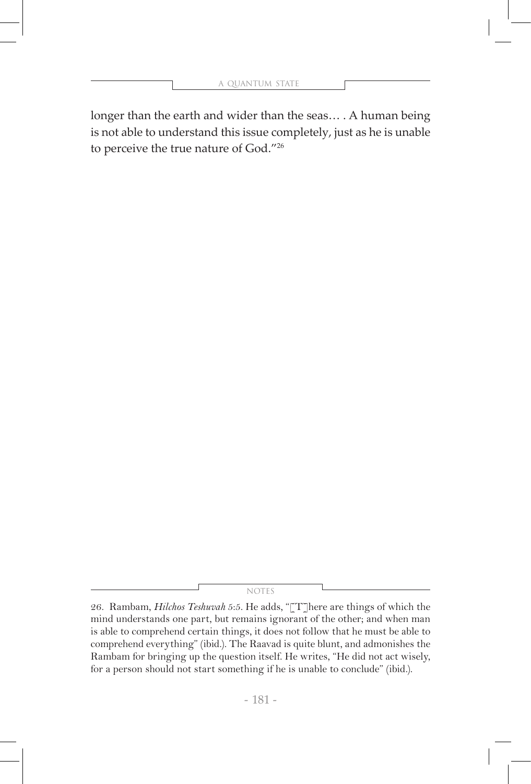| .<br>.<br>- |
|-------------|
|-------------|

longer than the earth and wider than the seas… . A human being is not able to understand this issue completely, just as he is unable to perceive the true nature of God."26

<sup>26.</sup> Rambam, *Hilchos Teshuvah* 5:5. He adds, "[T]here are things of which the mind understands one part, but remains ignorant of the other; and when man is able to comprehend certain things, it does not follow that he must be able to comprehend everything" (ibid.). The Raavad is quite blunt, and admonishes the Rambam for bringing up the question itself. He writes, "He did not act wisely, for a person should not start something if he is unable to conclude" (ibid.).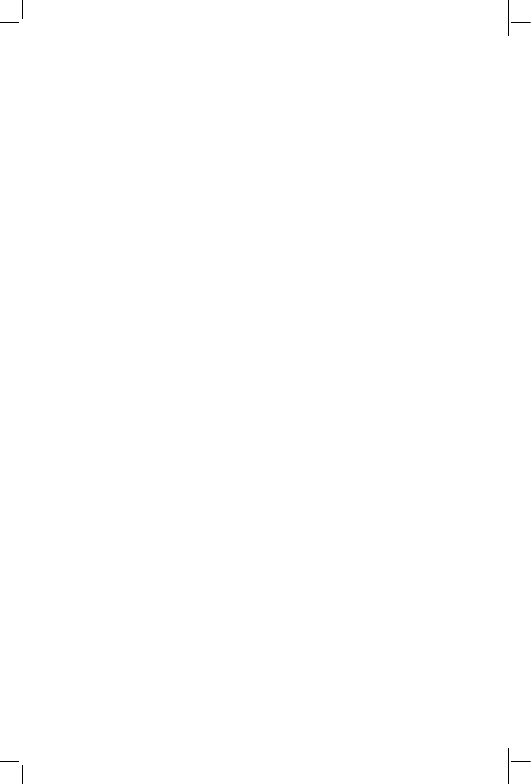$\begin{array}{ccc} \begin{array}{ccc} \end{array} & \begin{array}{ccc} \end{array} & \end{array}$  $\frac{1}{\sqrt{2}}$ 

Ξ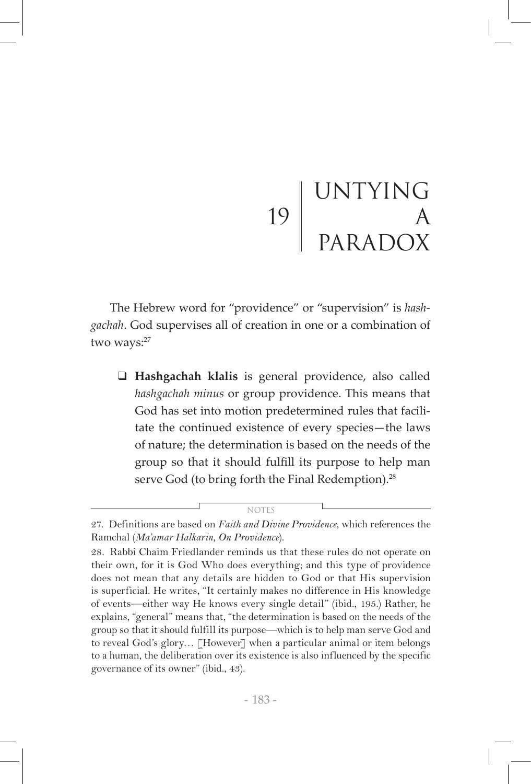# Untying  $\mathsf{A}% _{0}\!\left( \mathcal{M}_{0}\right) ^{T}$ **PARADOX** 19

The Hebrew word for "providence" or "supervision" is *hashgachah*. God supervises all of creation in one or a combination of two ways:<sup>27</sup>

❑ **Hashgachah klalis** is general providence, also called *hashgachah minus* or group providence. This means that God has set into motion predetermined rules that facilitate the continued existence of every species—the laws of nature; the determination is based on the needs of the group so that it should fulfill its purpose to help man serve God (to bring forth the Final Redemption).<sup>28</sup>

notes

<sup>27.</sup> Definitions are based on *Faith and Divine Providence*, which references the Ramchal (*Ma'amar Halkarin, On Providence*).

<sup>28.</sup> Rabbi Chaim Friedlander reminds us that these rules do not operate on their own, for it is God Who does everything; and this type of providence does not mean that any details are hidden to God or that His supervision is superficial. He writes, "It certainly makes no difference in His knowledge of events—either way He knows every single detail" (ibid., 195.) Rather, he explains, "general" means that, "the determination is based on the needs of the group so that it should fulfill its purpose—which is to help man serve God and to reveal God's glory… [However] when a particular animal or item belongs to a human, the deliberation over its existence is also influenced by the specific governance of its owner" (ibid., 43).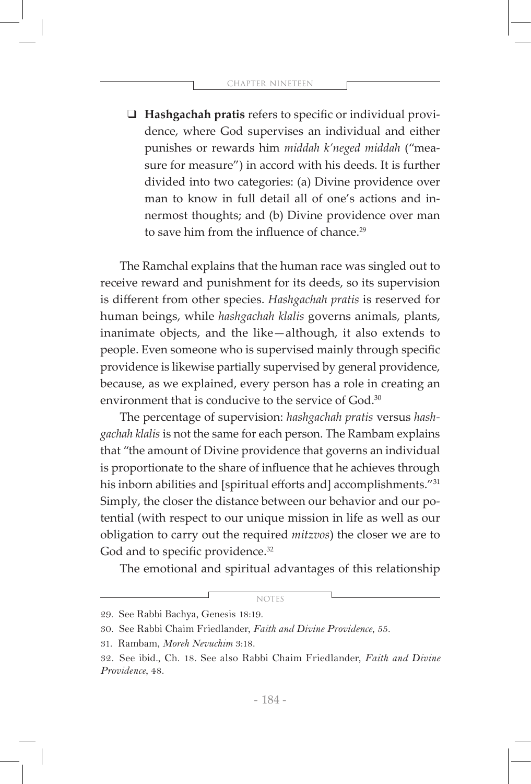❑ **Hashgachah pratis** refers to specific or individual providence, where God supervises an individual and either punishes or rewards him *middah k'neged middah* ("measure for measure") in accord with his deeds. It is further divided into two categories: (a) Divine providence over man to know in full detail all of one's actions and innermost thoughts; and (b) Divine providence over man to save him from the influence of chance.<sup>29</sup>

The Ramchal explains that the human race was singled out to receive reward and punishment for its deeds, so its supervision is different from other species. *Hashgachah pratis* is reserved for human beings, while *hashgachah klalis* governs animals, plants, inanimate objects, and the like—although, it also extends to people. Even someone who is supervised mainly through specific providence is likewise partially supervised by general providence, because, as we explained, every person has a role in creating an environment that is conducive to the service of God.<sup>30</sup>

The percentage of supervision: *hashgachah pratis* versus *hashgachah klalis* is not the same for each person. The Rambam explains that "the amount of Divine providence that governs an individual is proportionate to the share of influence that he achieves through his inborn abilities and [spiritual efforts and] accomplishments."<sup>31</sup> Simply, the closer the distance between our behavior and our potential (with respect to our unique mission in life as well as our obligation to carry out the required *mitzvos*) the closer we are to God and to specific providence.<sup>32</sup>

The emotional and spiritual advantages of this relationship

<sup>29.</sup> See Rabbi Bachya, Genesis 18:19.

<sup>30.</sup> See Rabbi Chaim Friedlander, *Faith and Divine Providence*, 55.

<sup>31.</sup> Rambam, *Moreh Nevuchim* 3:18.

<sup>32.</sup> See ibid., Ch. 18. See also Rabbi Chaim Friedlander, *Faith and Divine Providence*, 48.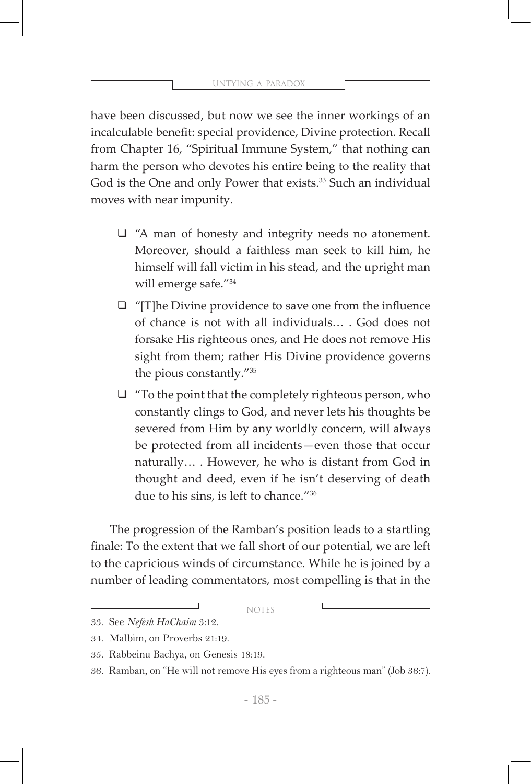have been discussed, but now we see the inner workings of an incalculable benefit: special providence, Divine protection. Recall from Chapter 16, "Spiritual Immune System," that nothing can harm the person who devotes his entire being to the reality that God is the One and only Power that exists.<sup>33</sup> Such an individual moves with near impunity.

- ❑ "A man of honesty and integrity needs no atonement. Moreover, should a faithless man seek to kill him, he himself will fall victim in his stead, and the upright man will emerge safe."34
- ❑ "[T]he Divine providence to save one from the influence of chance is not with all individuals… . God does not forsake His righteous ones, and He does not remove His sight from them; rather His Divine providence governs the pious constantly."35
- ❑ "To the point that the completely righteous person, who constantly clings to God, and never lets his thoughts be severed from Him by any worldly concern, will always be protected from all incidents—even those that occur naturally… . However, he who is distant from God in thought and deed, even if he isn't deserving of death due to his sins, is left to chance."36

The progression of the Ramban's position leads to a startling finale: To the extent that we fall short of our potential, we are left to the capricious winds of circumstance. While he is joined by a number of leading commentators, most compelling is that in the

<sup>33.</sup> See *Nefesh HaChaim* 3:12.

<sup>34.</sup> Malbim, on Proverbs 21:19.

<sup>35.</sup> Rabbeinu Bachya, on Genesis 18:19.

<sup>36.</sup> Ramban, on "He will not remove His eyes from a righteous man" (Job 36:7).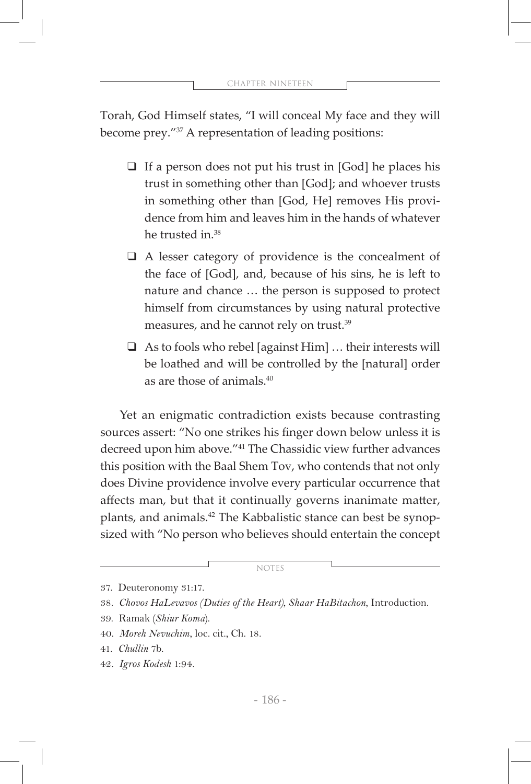Torah, God Himself states, "I will conceal My face and they will become prey."37 A representation of leading positions:

- ❑ If a person does not put his trust in [God] he places his trust in something other than [God]; and whoever trusts in something other than [God, He] removes His providence from him and leaves him in the hands of whatever he trusted in.38
- ❑ A lesser category of providence is the concealment of the face of [God], and, because of his sins, he is left to nature and chance … the person is supposed to protect himself from circumstances by using natural protective measures, and he cannot rely on trust.39
- $\Box$  As to fools who rebel [against Him]  $\ldots$  their interests will be loathed and will be controlled by the [natural] order as are those of animals.40

Yet an enigmatic contradiction exists because contrasting sources assert: "No one strikes his finger down below unless it is decreed upon him above."41 The Chassidic view further advances this position with the Baal Shem Tov, who contends that not only does Divine providence involve every particular occurrence that affects man, but that it continually governs inanimate matter, plants, and animals.<sup>42</sup> The Kabbalistic stance can best be synopsized with "No person who believes should entertain the concept

<sup>37.</sup> Deuteronomy 31:17.

<sup>38.</sup> *Chovos HaLevavos (Duties of the Heart), Shaar HaBitachon,* Introduction.

<sup>39.</sup> Ramak (*Shiur Koma*).

<sup>40.</sup> *Moreh Nevuchim*, loc. cit., Ch. 18.

<sup>41.</sup> *Chullin* 7b.

<sup>42.</sup> *Igros Kodesh* 1:94.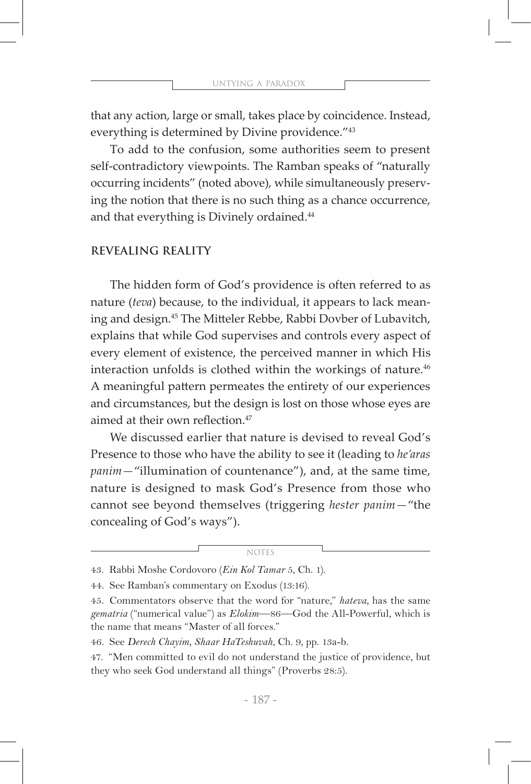that any action, large or small, takes place by coincidence. Instead, everything is determined by Divine providence."43

To add to the confusion, some authorities seem to present self-contradictory viewpoints. The Ramban speaks of "naturally occurring incidents" (noted above), while simultaneously preserving the notion that there is no such thing as a chance occurrence, and that everything is Divinely ordained.<sup>44</sup>

# **REVEALING REALITY**

The hidden form of God's providence is often referred to as nature (*teva*) because, to the individual, it appears to lack meaning and design.45 The Mitteler Rebbe, Rabbi Dovber of Lubavitch, explains that while God supervises and controls every aspect of every element of existence, the perceived manner in which His interaction unfolds is clothed within the workings of nature.<sup>46</sup> A meaningful pattern permeates the entirety of our experiences and circumstances, but the design is lost on those whose eyes are aimed at their own reflection.<sup>47</sup>

We discussed earlier that nature is devised to reveal God's Presence to those who have the ability to see it (leading to *he'aras panim—*"illumination of countenance"), and, at the same time, nature is designed to mask God's Presence from those who cannot see beyond themselves (triggering *hester panim—*"the concealing of God's ways").

notes

<sup>43.</sup> Rabbi Moshe Cordovoro (*Ein Kol Tamar* 5, Ch. 1).

<sup>44.</sup> See Ramban's commentary on Exodus (13:16).

<sup>45.</sup> Commentators observe that the word for "nature," *hateva,* has the same *gematria* ("numerical value") as *Elokim*—86—God the All-Powerful, which is the name that means "Master of all forces."

<sup>46.</sup> See *Derech Chayim, Shaar HaTeshuvah*, Ch. 9, pp. 13a-b.

<sup>47.</sup> "Men committed to evil do not understand the justice of providence, but they who seek God understand all things" (Proverbs 28:5).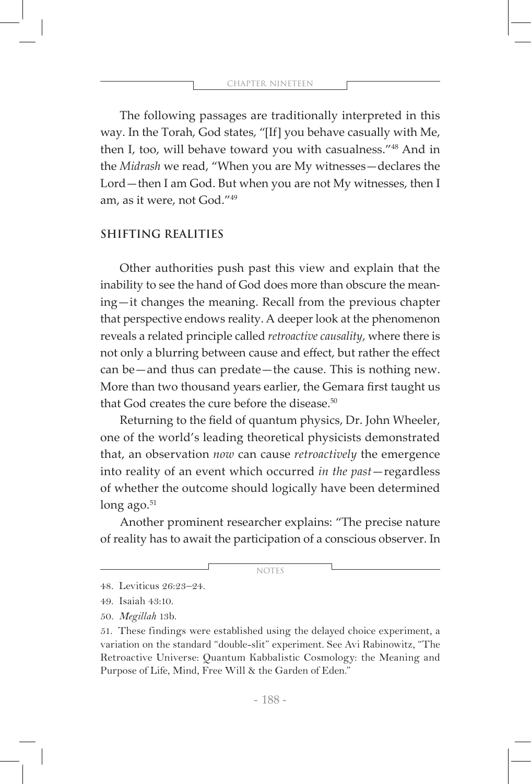The following passages are traditionally interpreted in this way. In the Torah, God states, "[If] you behave casually with Me, then I, too, will behave toward you with casualness."48 And in the *Midrash* we read, "When you are My witnesses—declares the Lord—then I am God. But when you are not My witnesses, then I am, as it were, not God."49

# **SHIFTING REALITIES**

Other authorities push past this view and explain that the inability to see the hand of God does more than obscure the meaning—it changes the meaning. Recall from the previous chapter that perspective endows reality. A deeper look at the phenomenon reveals a related principle called *retroactive causality*, where there is not only a blurring between cause and effect, but rather the effect can be—and thus can predate—the cause. This is nothing new. More than two thousand years earlier, the Gemara first taught us that God creates the cure before the disease.<sup>50</sup>

Returning to the field of quantum physics, Dr. John Wheeler, one of the world's leading theoretical physicists demonstrated that, an observation *now* can cause *retroactively* the emergence into reality of an event which occurred *in the past*—regardless of whether the outcome should logically have been determined long ago. $51$ 

Another prominent researcher explains: "The precise nature of reality has to await the participation of a conscious observer. In

<sup>48.</sup> Leviticus 26:23–24.

<sup>49.</sup> Isaiah 43:10.

<sup>50.</sup> *Megillah* 13b.

<sup>51.</sup> These findings were established using the delayed choice experiment, a variation on the standard "double-slit" experiment. See Avi Rabinowitz, "The Retroactive Universe: Quantum Kabbalistic Cosmology: the Meaning and Purpose of Life, Mind, Free Will & the Garden of Eden."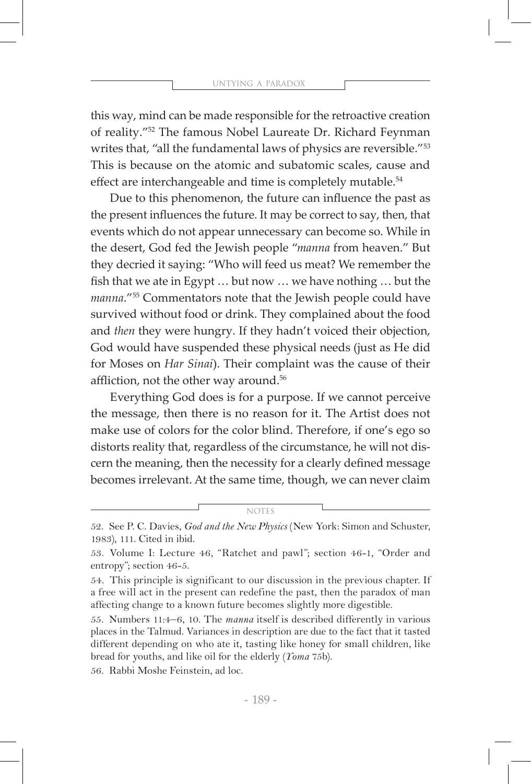this way, mind can be made responsible for the retroactive creation of reality."52 The famous Nobel Laureate Dr. Richard Feynman writes that, "all the fundamental laws of physics are reversible."<sup>53</sup> This is because on the atomic and subatomic scales, cause and effect are interchangeable and time is completely mutable.<sup>54</sup>

Due to this phenomenon, the future can influence the past as the present influences the future. It may be correct to say, then, that events which do not appear unnecessary can become so. While in the desert, God fed the Jewish people "*manna* from heaven." But they decried it saying: "Who will feed us meat? We remember the fish that we ate in Egypt … but now … we have nothing … but the *manna*."55 Commentators note that the Jewish people could have survived without food or drink. They complained about the food and *then* they were hungry. If they hadn't voiced their objection, God would have suspended these physical needs (just as He did for Moses on *Har Sinai*). Their complaint was the cause of their affliction, not the other way around.<sup>56</sup>

Everything God does is for a purpose. If we cannot perceive the message, then there is no reason for it. The Artist does not make use of colors for the color blind. Therefore, if one's ego so distorts reality that, regardless of the circumstance, he will not discern the meaning, then the necessity for a clearly defined message becomes irrelevant. At the same time, though, we can never claim

#### notes

56. Rabbi Moshe Feinstein, ad loc.

<sup>52.</sup> See P. C. Davies, *God and the New Physics* (New York: Simon and Schuster, 1983), 111. Cited in ibid.

<sup>53.</sup> Volume I: Lecture 46, "Ratchet and pawl"; section 46-1, "Order and entropy"; section 46-5.

<sup>54.</sup> This principle is significant to our discussion in the previous chapter. If a free will act in the present can redefine the past, then the paradox of man affecting change to a known future becomes slightly more digestible.

<sup>55.</sup> Numbers 11:4–6, 10. The *manna* itself is described differently in various places in the Talmud. Variances in description are due to the fact that it tasted different depending on who ate it, tasting like honey for small children, like bread for youths, and like oil for the elderly (*Yoma* 75b).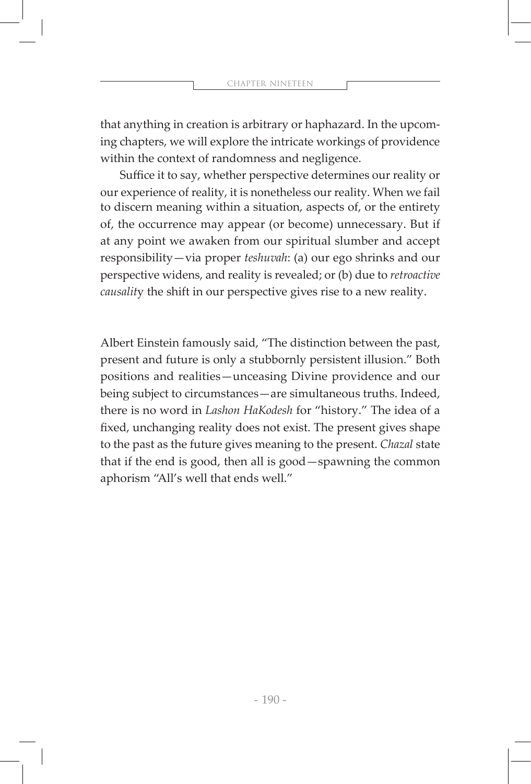that anything in creation is arbitrary or haphazard. In the upcoming chapters, we will explore the intricate workings of providence within the context of randomness and negligence.

Suffice it to say, whether perspective determines our reality or our experience of reality, it is nonetheless our reality. When we fail to discern meaning within a situation, aspects of, or the entirety of, the occurrence may appear (or become) unnecessary. But if at any point we awaken from our spiritual slumber and accept responsibility—via proper *teshuvah*: (a) our ego shrinks and our perspective widens, and reality is revealed; or (b) due to *retroactive causalit*y the shift in our perspective gives rise to a new reality.

Albert Einstein famously said, "The distinction between the past, present and future is only a stubbornly persistent illusion." Both positions and realities—unceasing Divine providence and our being subject to circumstances—are simultaneous truths. Indeed, there is no word in *Lashon HaKodesh* for "history." The idea of a fixed, unchanging reality does not exist. The present gives shape to the past as the future gives meaning to the present. *Chazal* state that if the end is good, then all is good—spawning the common aphorism "All's well that ends well."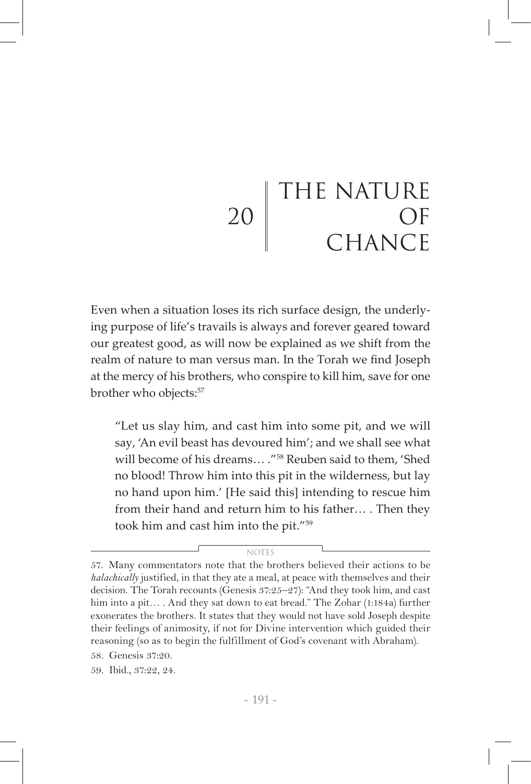# The Nature of HANCE 20

Even when a situation loses its rich surface design, the underlying purpose of life's travails is always and forever geared toward our greatest good, as will now be explained as we shift from the realm of nature to man versus man. In the Torah we find Joseph at the mercy of his brothers, who conspire to kill him, save for one brother who objects:<sup>57</sup>

"Let us slay him, and cast him into some pit, and we will say, 'An evil beast has devoured him'; and we shall see what will become of his dreams... ."<sup>58</sup> Reuben said to them, 'Shed no blood! Throw him into this pit in the wilderness, but lay no hand upon him.' [He said this] intending to rescue him from their hand and return him to his father… . Then they took him and cast him into the pit."59

## notes

58. Genesis 37:20.

59. Ibid., 37:22, 24.

<sup>57.</sup> Many commentators note that the brothers believed their actions to be *halachically* justified, in that they ate a meal, at peace with themselves and their decision. The Torah recounts (Genesis 37:25–27): "And they took him, and cast him into a pit… . And they sat down to eat bread." The Zohar (1:184a) further exonerates the brothers. It states that they would not have sold Joseph despite their feelings of animosity, if not for Divine intervention which guided their reasoning (so as to begin the fulfillment of God's covenant with Abraham).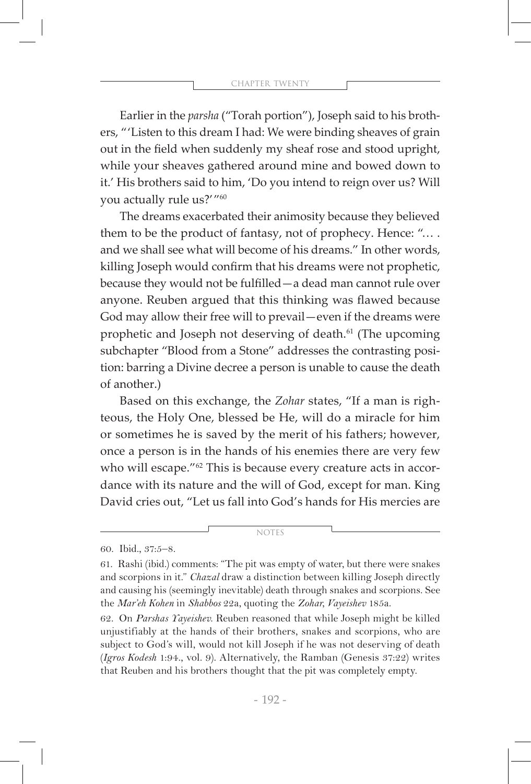Earlier in the *parsha* ("Torah portion"), Joseph said to his brothers, "'Listen to this dream I had: We were binding sheaves of grain out in the field when suddenly my sheaf rose and stood upright, while your sheaves gathered around mine and bowed down to it.' His brothers said to him, 'Do you intend to reign over us? Will you actually rule us?'"<sup>60</sup>

The dreams exacerbated their animosity because they believed them to be the product of fantasy, not of prophecy. Hence: "… . and we shall see what will become of his dreams." In other words, killing Joseph would confirm that his dreams were not prophetic, because they would not be fulfilled—a dead man cannot rule over anyone. Reuben argued that this thinking was flawed because God may allow their free will to prevail—even if the dreams were prophetic and Joseph not deserving of death.<sup>61</sup> (The upcoming subchapter "Blood from a Stone" addresses the contrasting position: barring a Divine decree a person is unable to cause the death of another.)

Based on this exchange, the *Zohar* states, "If a man is righteous, the Holy One, blessed be He, will do a miracle for him or sometimes he is saved by the merit of his fathers; however, once a person is in the hands of his enemies there are very few who will escape."<sup>62</sup> This is because every creature acts in accordance with its nature and the will of God, except for man. King David cries out, "Let us fall into God's hands for His mercies are

<sup>60.</sup> Ibid., 37:5–8.

<sup>61.</sup> Rashi (ibid.) comments: "The pit was empty of water, but there were snakes and scorpions in it." *Chazal* draw a distinction between killing Joseph directly and causing his (seemingly inevitable) death through snakes and scorpions. See the *Mar'eh Kohen* in *Shabbos* 22a, quoting the *Zohar*, *Vayeishev* 185a.

<sup>62.</sup> On *Parshas Yayeishev*. Reuben reasoned that while Joseph might be killed unjustifiably at the hands of their brothers, snakes and scorpions, who are subject to God's will, would not kill Joseph if he was not deserving of death (*Igros Kodesh* 1:94., vol. 9). Alternatively, the Ramban (Genesis 37:22) writes that Reuben and his brothers thought that the pit was completely empty.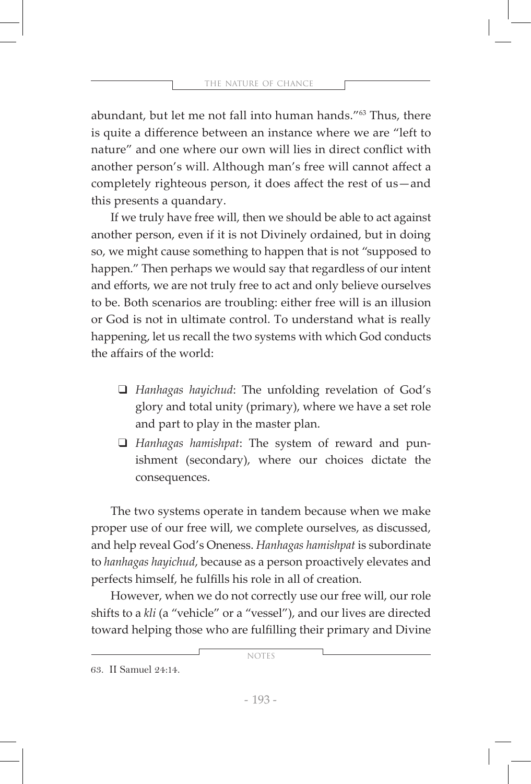abundant, but let me not fall into human hands."63 Thus, there is quite a difference between an instance where we are "left to nature" and one where our own will lies in direct conflict with another person's will. Although man's free will cannot affect a completely righteous person, it does affect the rest of us—and this presents a quandary.

If we truly have free will, then we should be able to act against another person, even if it is not Divinely ordained, but in doing so, we might cause something to happen that is not "supposed to happen." Then perhaps we would say that regardless of our intent and efforts, we are not truly free to act and only believe ourselves to be. Both scenarios are troubling: either free will is an illusion or God is not in ultimate control. To understand what is really happening, let us recall the two systems with which God conducts the affairs of the world:

- ❑ *Hanhagas hayichud*: The unfolding revelation of God's glory and total unity (primary), where we have a set role and part to play in the master plan.
- ❑ *Hanhagas hamishpat*: The system of reward and punishment (secondary), where our choices dictate the consequences.

The two systems operate in tandem because when we make proper use of our free will, we complete ourselves, as discussed, and help reveal God's Oneness. *Hanhagas hamishpat* is subordinate to *hanhagas hayichud*, because as a person proactively elevates and perfects himself, he fulfills his role in all of creation.

However, when we do not correctly use our free will, our role shifts to a *kli* (a "vehicle" or a "vessel"), and our lives are directed toward helping those who are fulfilling their primary and Divine

<sup>63.</sup> II Samuel 24:14.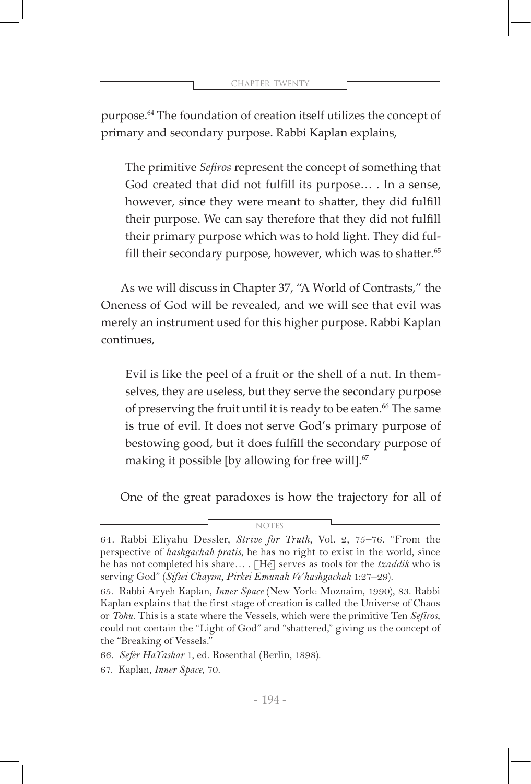|  |  | CHAPTER TWENTY |  |  |  |  |  |
|--|--|----------------|--|--|--|--|--|
|--|--|----------------|--|--|--|--|--|

purpose.64 The foundation of creation itself utilizes the concept of primary and secondary purpose. Rabbi Kaplan explains,

The primitive *Sefiros* represent the concept of something that God created that did not fulfill its purpose… . In a sense, however, since they were meant to shatter, they did fulfill their purpose. We can say therefore that they did not fulfill their primary purpose which was to hold light. They did fulfill their secondary purpose, however, which was to shatter. $65$ 

As we will discuss in Chapter 37, "A World of Contrasts," the Oneness of God will be revealed, and we will see that evil was merely an instrument used for this higher purpose. Rabbi Kaplan continues,

Evil is like the peel of a fruit or the shell of a nut. In themselves, they are useless, but they serve the secondary purpose of preserving the fruit until it is ready to be eaten.<sup>66</sup> The same is true of evil. It does not serve God's primary purpose of bestowing good, but it does fulfill the secondary purpose of making it possible [by allowing for free will].<sup>67</sup>

One of the great paradoxes is how the trajectory for all of

NOTES

<sup>64.</sup> Rabbi Eliyahu Dessler, *Strive for Truth*, Vol. 2, 75–76. "From the perspective of *hashgachah pratis*, he has no right to exist in the world, since he has not completed his share… . [He] serves as tools for the *tzaddik* who is serving God" (*Sifsei Chayim, Pirkei Emunah Ve'hashgachah* 1:27–29).

<sup>65.</sup> Rabbi Aryeh Kaplan, *Inner Space* (New York: Moznaim, 1990), 83. Rabbi Kaplan explains that the first stage of creation is called the Universe of Chaos or *Tohu*. This is a state where the Vessels, which were the primitive Ten *Sefiros*, could not contain the "Light of God" and "shattered," giving us the concept of the "Breaking of Vessels."

<sup>66.</sup> *Sefer HaYashar* 1, ed. Rosenthal (Berlin, 1898).

<sup>67.</sup> Kaplan, *Inner Space*, 70.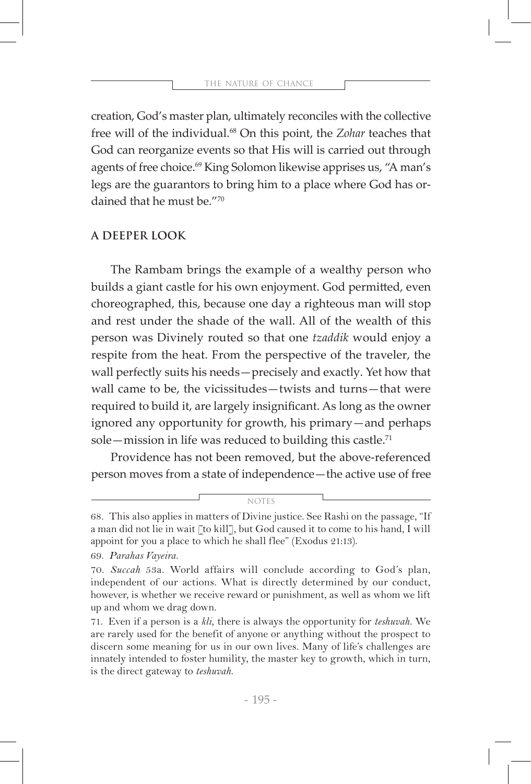creation, God's master plan, ultimately reconciles with the collective free will of the individual.68 On this point, the *Zohar* teaches that God can reorganize events so that His will is carried out through agents of free choice.<sup>69</sup> King Solomon likewise apprises us, "A man's legs are the guarantors to bring him to a place where God has ordained that he must be."70

# **A DEEPER LOOK**

The Rambam brings the example of a wealthy person who builds a giant castle for his own enjoyment. God permitted, even choreographed, this, because one day a righteous man will stop and rest under the shade of the wall. All of the wealth of this person was Divinely routed so that one *tzaddik* would enjoy a respite from the heat. From the perspective of the traveler, the wall perfectly suits his needs—precisely and exactly. Yet how that wall came to be, the vicissitudes—twists and turns—that were required to build it, are largely insignificant. As long as the owner ignored any opportunity for growth, his primary—and perhaps sole—mission in life was reduced to building this castle.<sup>71</sup>

Providence has not been removed, but the above-referenced person moves from a state of independence—the active use of free

notes

<sup>68.</sup> This also applies in matters of Divine justice. See Rashi on the passage, "If a man did not lie in wait [to kill], but God caused it to come to his hand, I will appoint for you a place to which he shall flee" (Exodus 21:13).

<sup>69.</sup> *Parahas Vayeira.*

<sup>70.</sup> *Succah* 53a. World affairs will conclude according to God's plan, independent of our actions. What is directly determined by our conduct, however, is whether we receive reward or punishment, as well as whom we lift up and whom we drag down.

<sup>71.</sup> Even if a person is a *kli*, there is always the opportunity for *teshuvah*. We are rarely used for the benefit of anyone or anything without the prospect to discern some meaning for us in our own lives. Many of life's challenges are innately intended to foster humility, the master key to growth, which in turn, is the direct gateway to *teshuvah*.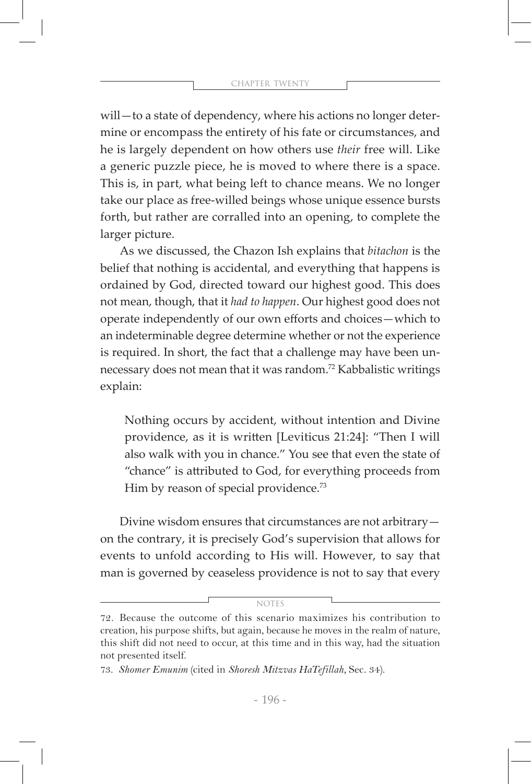will—to a state of dependency, where his actions no longer determine or encompass the entirety of his fate or circumstances, and he is largely dependent on how others use *their* free will. Like a generic puzzle piece, he is moved to where there is a space. This is, in part, what being left to chance means. We no longer take our place as free-willed beings whose unique essence bursts forth, but rather are corralled into an opening, to complete the larger picture.

As we discussed, the Chazon Ish explains that *bitachon* is the belief that nothing is accidental, and everything that happens is ordained by God, directed toward our highest good. This does not mean, though, that it *had to happen*. Our highest good does not operate independently of our own efforts and choices—which to an indeterminable degree determine whether or not the experience is required. In short, the fact that a challenge may have been unnecessary does not mean that it was random.<sup>72</sup> Kabbalistic writings explain:

Nothing occurs by accident, without intention and Divine providence, as it is written [Leviticus 21:24]: "Then I will also walk with you in chance." You see that even the state of "chance" is attributed to God, for everything proceeds from Him by reason of special providence.<sup>73</sup>

Divine wisdom ensures that circumstances are not arbitrary on the contrary, it is precisely God's supervision that allows for events to unfold according to His will. However, to say that man is governed by ceaseless providence is not to say that every

<sup>72.</sup> Because the outcome of this scenario maximizes his contribution to creation, his purpose shifts, but again, because he moves in the realm of nature, this shift did not need to occur, at this time and in this way, had the situation not presented itself.

<sup>73.</sup> *Shomer Emunim* (cited in *Shoresh Mitzvas HaTefillah,* Sec. 34).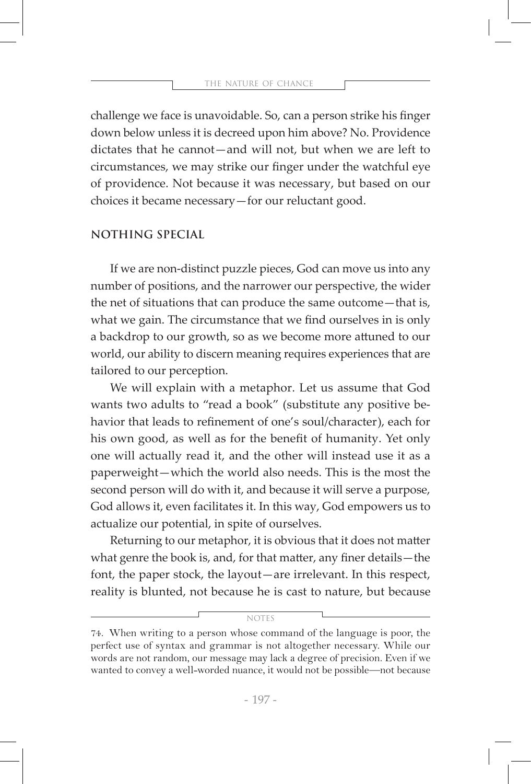challenge we face is unavoidable. So, can a person strike his finger down below unless it is decreed upon him above? No. Providence dictates that he cannot—and will not, but when we are left to circumstances, we may strike our finger under the watchful eye of providence. Not because it was necessary, but based on our choices it became necessary—for our reluctant good.

# **NOTHING SPECIAL**

If we are non-distinct puzzle pieces, God can move us into any number of positions, and the narrower our perspective, the wider the net of situations that can produce the same outcome—that is, what we gain. The circumstance that we find ourselves in is only a backdrop to our growth, so as we become more attuned to our world, our ability to discern meaning requires experiences that are tailored to our perception.

We will explain with a metaphor. Let us assume that God wants two adults to "read a book" (substitute any positive behavior that leads to refinement of one's soul/character), each for his own good, as well as for the benefit of humanity. Yet only one will actually read it, and the other will instead use it as a paperweight—which the world also needs. This is the most the second person will do with it, and because it will serve a purpose, God allows it, even facilitates it. In this way, God empowers us to actualize our potential, in spite of ourselves.

Returning to our metaphor, it is obvious that it does not matter what genre the book is, and, for that matter, any finer details—the font, the paper stock, the layout—are irrelevant. In this respect, reality is blunted, not because he is cast to nature, but because

<sup>74.</sup> When writing to a person whose command of the language is poor, the perfect use of syntax and grammar is not altogether necessary. While our words are not random, our message may lack a degree of precision. Even if we wanted to convey a well-worded nuance, it would not be possible—not because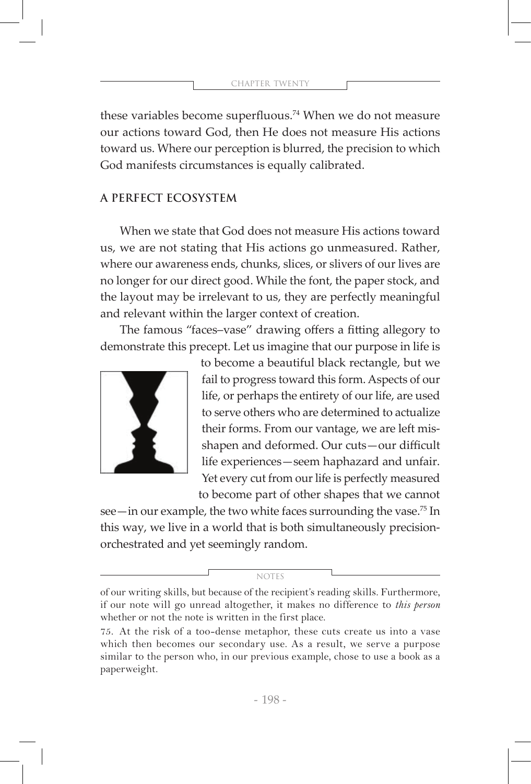| CHAPTER TWENTY |  |  |
|----------------|--|--|
|----------------|--|--|

these variables become superfluous.<sup>74</sup> When we do not measure our actions toward God, then He does not measure His actions toward us. Where our perception is blurred, the precision to which God manifests circumstances is equally calibrated.

# **A PERFECT ECOSYSTEM**

When we state that God does not measure His actions toward us, we are not stating that His actions go unmeasured. Rather, where our awareness ends, chunks, slices, or slivers of our lives are no longer for our direct good. While the font, the paper stock, and the layout may be irrelevant to us, they are perfectly meaningful and relevant within the larger context of creation.

The famous "faces–vase" drawing offers a fitting allegory to demonstrate this precept. Let us imagine that our purpose in life is



to become a beautiful black rectangle, but we fail to progress toward this form. Aspects of our life, or perhaps the entirety of our life, are used to serve others who are determined to actualize their forms. From our vantage, we are left misshapen and deformed. Our cuts—our difficult life experiences—seem haphazard and unfair. Yet every cut from our life is perfectly measured to become part of other shapes that we cannot

see—in our example, the two white faces surrounding the vase.<sup>75</sup> In this way, we live in a world that is both simultaneously precisionorchestrated and yet seemingly random.

of our writing skills, but because of the recipient's reading skills. Furthermore, if our note will go unread altogether, it makes no difference to *this person* whether or not the note is written in the first place.

<sup>75.</sup> At the risk of a too-dense metaphor, these cuts create us into a vase which then becomes our secondary use. As a result, we serve a purpose similar to the person who, in our previous example, chose to use a book as a paperweight.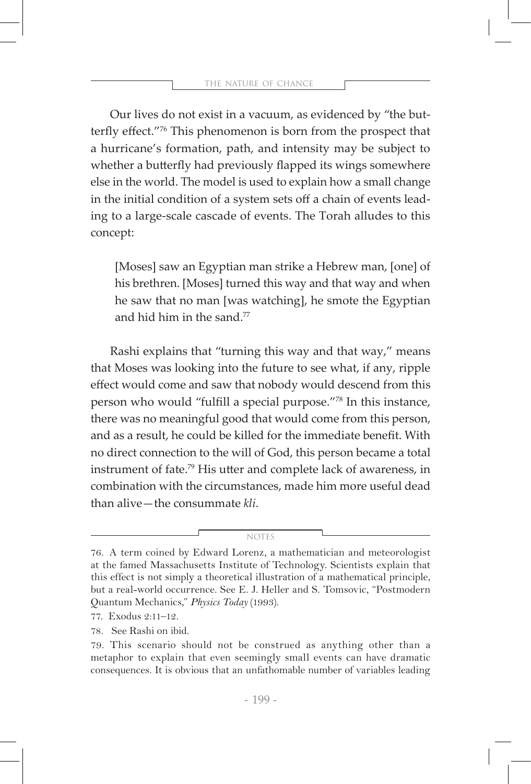Our lives do not exist in a vacuum, as evidenced by "the butterfly effect."76 This phenomenon is born from the prospect that a hurricane's formation, path, and intensity may be subject to whether a butterfly had previously flapped its wings somewhere else in the world. The model is used to explain how a small change in the initial condition of a system sets off a chain of events leading to a large-scale cascade of events. The Torah alludes to this concept:

[Moses] saw an Egyptian man strike a Hebrew man, [one] of his brethren. [Moses] turned this way and that way and when he saw that no man [was watching], he smote the Egyptian and hid him in the sand.<sup>77</sup>

Rashi explains that "turning this way and that way," means that Moses was looking into the future to see what, if any, ripple effect would come and saw that nobody would descend from this person who would "fulfill a special purpose."78 In this instance, there was no meaningful good that would come from this person, and as a result, he could be killed for the immediate benefit. With no direct connection to the will of God, this person became a total instrument of fate.79 His utter and complete lack of awareness, in combination with the circumstances, made him more useful dead than alive—the consummate *kli*.

<sup>76.</sup> A term coined by Edward Lorenz, a mathematician and meteorologist at the famed Massachusetts Institute of Technology. Scientists explain that this effect is not simply a theoretical illustration of a mathematical principle, but a real-world occurrence. See E. J. Heller and S. Tomsovic, "Postmodern Quantum Mechanics," *Physics Today* (1993).

<sup>77.</sup> Exodus 2:11–12.

<sup>78.</sup> See Rashi on ibid.

<sup>79.</sup> This scenario should not be construed as anything other than a metaphor to explain that even seemingly small events can have dramatic consequences. It is obvious that an unfathomable number of variables leading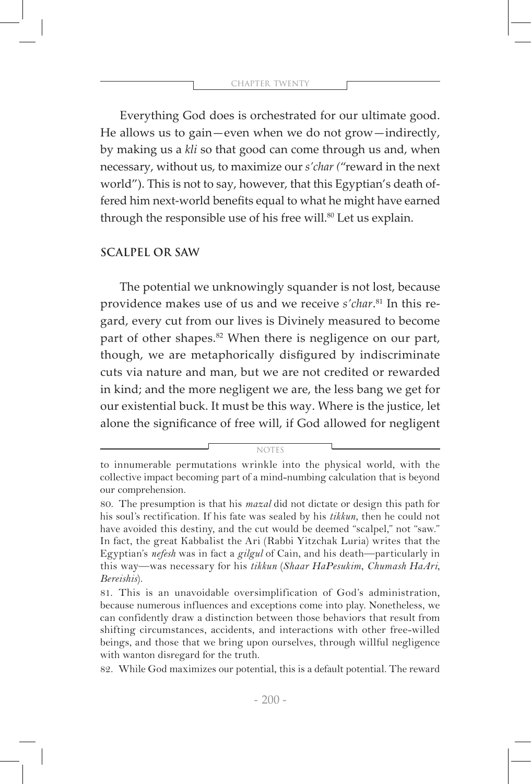Everything God does is orchestrated for our ultimate good. He allows us to gain—even when we do not grow—indirectly, by making us a *kli* so that good can come through us and, when necessary, without us, to maximize our *s'char (*"reward in the next world"). This is not to say, however, that this Egyptian's death offered him next-world benefits equal to what he might have earned through the responsible use of his free will.<sup>80</sup> Let us explain.

## **SCALPEL OR SAW**

The potential we unknowingly squander is not lost, because providence makes use of us and we receive *s'char*. 81 In this regard, every cut from our lives is Divinely measured to become part of other shapes.<sup>82</sup> When there is negligence on our part, though, we are metaphorically disfigured by indiscriminate cuts via nature and man, but we are not credited or rewarded in kind; and the more negligent we are, the less bang we get for our existential buck. It must be this way. Where is the justice, let alone the significance of free will, if God allowed for negligent

#### notes

82. While God maximizes our potential, this is a default potential. The reward

to innumerable permutations wrinkle into the physical world, with the collective impact becoming part of a mind-numbing calculation that is beyond our comprehension.

<sup>80.</sup> The presumption is that his *mazal* did not dictate or design this path for his soul's rectification. If his fate was sealed by his *tikkun*, then he could not have avoided this destiny, and the cut would be deemed "scalpel," not "saw." In fact, the great Kabbalist the Ari (Rabbi Yitzchak Luria) writes that the Egyptian's *nefesh* was in fact a *gilgul* of Cain, and his death—particularly in this way—was necessary for his *tikkun* (*Shaar HaPesukim*, *Chumash HaAri, Bereishis*).

<sup>81.</sup> This is an unavoidable oversimplification of God's administration, because numerous influences and exceptions come into play. Nonetheless, we can confidently draw a distinction between those behaviors that result from shifting circumstances, accidents, and interactions with other free-willed beings, and those that we bring upon ourselves, through willful negligence with wanton disregard for the truth.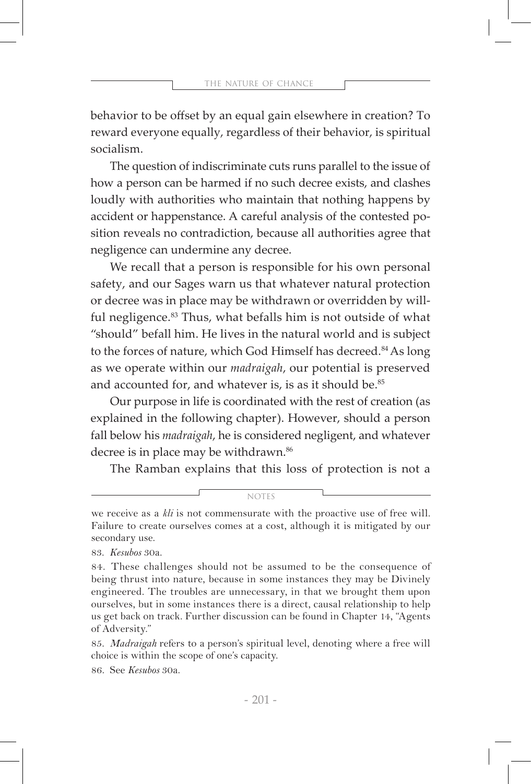behavior to be offset by an equal gain elsewhere in creation? To reward everyone equally, regardless of their behavior, is spiritual socialism.

The question of indiscriminate cuts runs parallel to the issue of how a person can be harmed if no such decree exists, and clashes loudly with authorities who maintain that nothing happens by accident or happenstance. A careful analysis of the contested position reveals no contradiction, because all authorities agree that negligence can undermine any decree.

We recall that a person is responsible for his own personal safety, and our Sages warn us that whatever natural protection or decree was in place may be withdrawn or overridden by willful negligence.<sup>83</sup> Thus, what befalls him is not outside of what "should" befall him. He lives in the natural world and is subject to the forces of nature, which God Himself has decreed.<sup>84</sup> As long as we operate within our *madraigah*, our potential is preserved and accounted for, and whatever is, is as it should be.<sup>85</sup>

Our purpose in life is coordinated with the rest of creation (as explained in the following chapter). However, should a person fall below his *madraigah*, he is considered negligent, and whatever decree is in place may be withdrawn.<sup>86</sup>

The Ramban explains that this loss of protection is not a

notes

86. See *Kesubos* 30a.

we receive as a *kli* is not commensurate with the proactive use of free will. Failure to create ourselves comes at a cost, although it is mitigated by our secondary use.

<sup>83.</sup> *Kesubos* 30a.

<sup>84.</sup> These challenges should not be assumed to be the consequence of being thrust into nature, because in some instances they may be Divinely engineered. The troubles are unnecessary, in that we brought them upon ourselves, but in some instances there is a direct, causal relationship to help us get back on track. Further discussion can be found in Chapter 14, "Agents of Adversity."

<sup>85.</sup> *Madraigah* refers to a person's spiritual level, denoting where a free will choice is within the scope of one's capacity.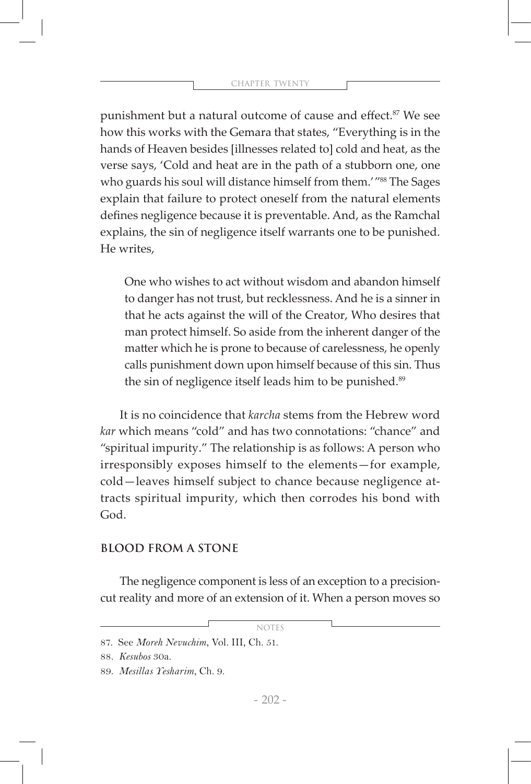punishment but a natural outcome of cause and effect.<sup>87</sup> We see how this works with the Gemara that states, "Everything is in the hands of Heaven besides [illnesses related to] cold and heat, as the verse says, 'Cold and heat are in the path of a stubborn one, one who guards his soul will distance himself from them.'<sup>788</sup> The Sages explain that failure to protect oneself from the natural elements defines negligence because it is preventable. And, as the Ramchal explains, the sin of negligence itself warrants one to be punished. He writes,

One who wishes to act without wisdom and abandon himself to danger has not trust, but recklessness. And he is a sinner in that he acts against the will of the Creator, Who desires that man protect himself. So aside from the inherent danger of the matter which he is prone to because of carelessness, he openly calls punishment down upon himself because of this sin. Thus the sin of negligence itself leads him to be punished.<sup>89</sup>

It is no coincidence that *karcha* stems from the Hebrew word *kar* which means "cold" and has two connotations: "chance" and "spiritual impurity." The relationship is as follows: A person who irresponsibly exposes himself to the elements—for example, cold—leaves himself subject to chance because negligence attracts spiritual impurity, which then corrodes his bond with God.

## **BLOOD FROM A STONE**

The negligence component is less of an exception to a precisioncut reality and more of an extension of it. When a person moves so

notes

<sup>87.</sup> See *Moreh Nevuchim*, Vol. III, Ch. 51.

<sup>88.</sup> *Kesubos* 30a.

<sup>89.</sup> *Mesillas Yesharim*, Ch. 9.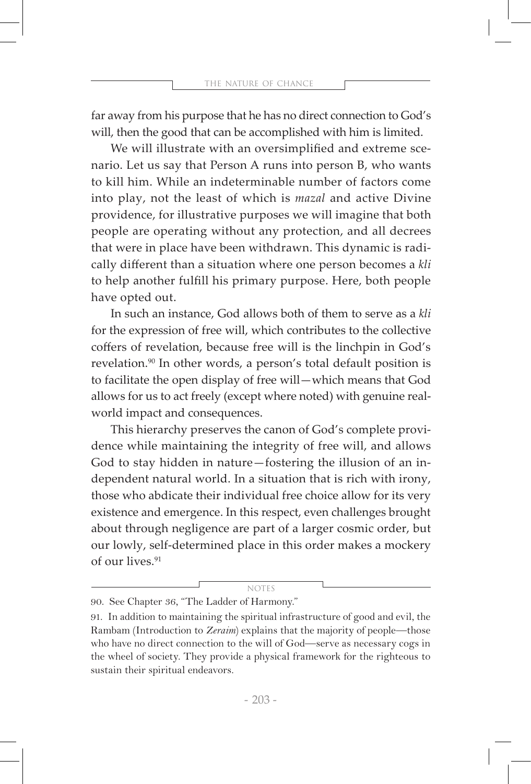far away from his purpose that he has no direct connection to God's will, then the good that can be accomplished with him is limited.

We will illustrate with an oversimplified and extreme scenario. Let us say that Person A runs into person B, who wants to kill him. While an indeterminable number of factors come into play, not the least of which is *mazal* and active Divine providence, for illustrative purposes we will imagine that both people are operating without any protection, and all decrees that were in place have been withdrawn. This dynamic is radically different than a situation where one person becomes a *kli* to help another fulfill his primary purpose. Here, both people have opted out.

In such an instance, God allows both of them to serve as a *kli* for the expression of free will, which contributes to the collective coffers of revelation, because free will is the linchpin in God's revelation.<sup>90</sup> In other words, a person's total default position is to facilitate the open display of free will—which means that God allows for us to act freely (except where noted) with genuine realworld impact and consequences.

This hierarchy preserves the canon of God's complete providence while maintaining the integrity of free will, and allows God to stay hidden in nature—fostering the illusion of an independent natural world. In a situation that is rich with irony, those who abdicate their individual free choice allow for its very existence and emergence. In this respect, even challenges brought about through negligence are part of a larger cosmic order, but our lowly, self-determined place in this order makes a mockery of our lives.91

notes

<sup>90.</sup> See Chapter 36, "The Ladder of Harmony."

<sup>91.</sup> In addition to maintaining the spiritual infrastructure of good and evil, the Rambam (Introduction to *Zeraim*) explains that the majority of people—those who have no direct connection to the will of God—serve as necessary cogs in the wheel of society. They provide a physical framework for the righteous to sustain their spiritual endeavors.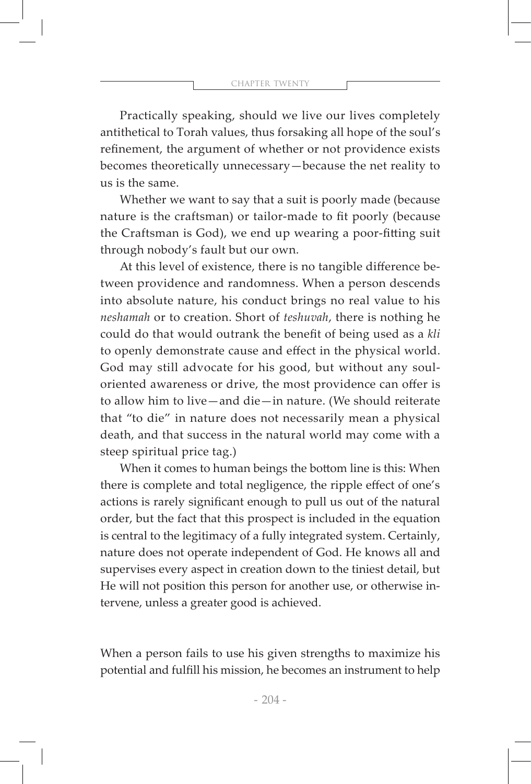Practically speaking, should we live our lives completely antithetical to Torah values, thus forsaking all hope of the soul's refinement, the argument of whether or not providence exists becomes theoretically unnecessary—because the net reality to us is the same.

Whether we want to say that a suit is poorly made (because nature is the craftsman) or tailor-made to fit poorly (because the Craftsman is God), we end up wearing a poor-fitting suit through nobody's fault but our own.

At this level of existence, there is no tangible difference between providence and randomness. When a person descends into absolute nature, his conduct brings no real value to his *neshamah* or to creation. Short of *teshuvah*, there is nothing he could do that would outrank the benefit of being used as a *kli* to openly demonstrate cause and effect in the physical world. God may still advocate for his good, but without any souloriented awareness or drive, the most providence can offer is to allow him to live—and die—in nature. (We should reiterate that "to die" in nature does not necessarily mean a physical death, and that success in the natural world may come with a steep spiritual price tag.)

When it comes to human beings the bottom line is this: When there is complete and total negligence, the ripple effect of one's actions is rarely significant enough to pull us out of the natural order, but the fact that this prospect is included in the equation is central to the legitimacy of a fully integrated system. Certainly, nature does not operate independent of God. He knows all and supervises every aspect in creation down to the tiniest detail, but He will not position this person for another use, or otherwise intervene, unless a greater good is achieved.

When a person fails to use his given strengths to maximize his potential and fulfill his mission, he becomes an instrument to help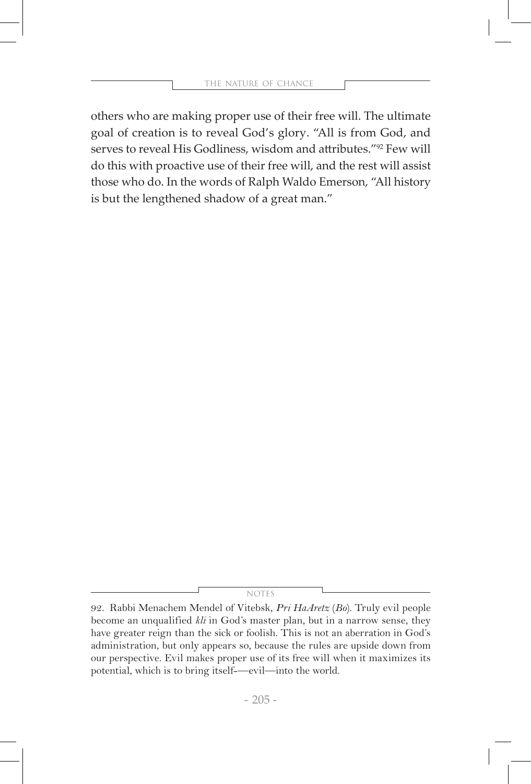## the nature of chance

others who are making proper use of their free will. The ultimate goal of creation is to reveal God's glory. "All is from God, and serves to reveal His Godliness, wisdom and attributes."92 Few will do this with proactive use of their free will, and the rest will assist those who do. In the words of Ralph Waldo Emerson, "All history is but the lengthened shadow of a great man."

<sup>92.</sup> Rabbi Menachem Mendel of Vitebsk, *Pri HaAretz* (*Bo*)*.* Truly evil people become an unqualified *kli* in God's master plan, but in a narrow sense, they have greater reign than the sick or foolish. This is not an aberration in God's administration, but only appears so, because the rules are upside down from our perspective. Evil makes proper use of its free will when it maximizes its potential, which is to bring itself-—evil—into the world.